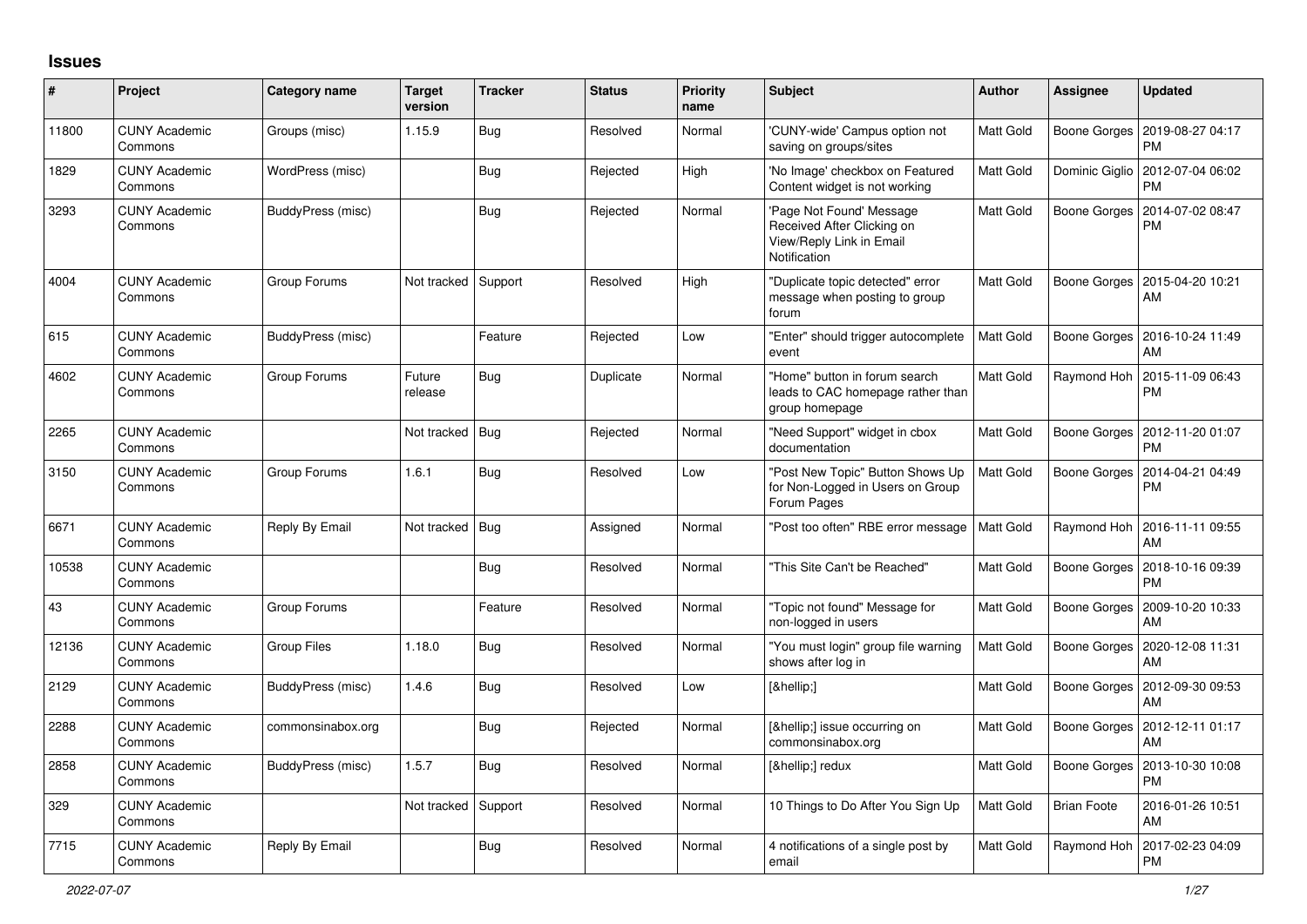## **Issues**

| $\pmb{\#}$ | Project                         | <b>Category name</b> | <b>Target</b><br>version | <b>Tracker</b> | <b>Status</b> | <b>Priority</b><br>name | <b>Subject</b>                                                                                     | Author           | Assignee            | <b>Updated</b>                        |
|------------|---------------------------------|----------------------|--------------------------|----------------|---------------|-------------------------|----------------------------------------------------------------------------------------------------|------------------|---------------------|---------------------------------------|
| 11800      | <b>CUNY Academic</b><br>Commons | Groups (misc)        | 1.15.9                   | Bug            | Resolved      | Normal                  | 'CUNY-wide' Campus option not<br>saving on groups/sites                                            | <b>Matt Gold</b> | Boone Gorges        | 2019-08-27 04:17<br><b>PM</b>         |
| 1829       | <b>CUNY Academic</b><br>Commons | WordPress (misc)     |                          | <b>Bug</b>     | Rejected      | High                    | 'No Image' checkbox on Featured<br>Content widget is not working                                   | Matt Gold        | Dominic Giglio      | 2012-07-04 06:02<br><b>PM</b>         |
| 3293       | <b>CUNY Academic</b><br>Commons | BuddyPress (misc)    |                          | Bug            | Rejected      | Normal                  | 'Page Not Found' Message<br>Received After Clicking on<br>View/Reply Link in Email<br>Notification | Matt Gold        | Boone Gorges        | 2014-07-02 08:47<br><b>PM</b>         |
| 4004       | <b>CUNY Academic</b><br>Commons | Group Forums         | Not tracked              | Support        | Resolved      | High                    | 'Duplicate topic detected" error<br>message when posting to group<br>forum                         | Matt Gold        | Boone Gorges        | 2015-04-20 10:21<br>AM                |
| 615        | <b>CUNY Academic</b><br>Commons | BuddyPress (misc)    |                          | Feature        | Rejected      | Low                     | 'Enter" should trigger autocomplete<br>event                                                       | <b>Matt Gold</b> | <b>Boone Gorges</b> | 2016-10-24 11:49<br>AM                |
| 4602       | <b>CUNY Academic</b><br>Commons | Group Forums         | Future<br>release        | Bug            | Duplicate     | Normal                  | 'Home" button in forum search<br>leads to CAC homepage rather than<br>group homepage               | Matt Gold        | Raymond Hoh         | 2015-11-09 06:43<br><b>PM</b>         |
| 2265       | <b>CUNY Academic</b><br>Commons |                      | Not tracked              | Bug            | Rejected      | Normal                  | "Need Support" widget in cbox<br>documentation                                                     | Matt Gold        | Boone Gorges        | 2012-11-20 01:07<br><b>PM</b>         |
| 3150       | <b>CUNY Academic</b><br>Commons | Group Forums         | 1.6.1                    | Bug            | Resolved      | Low                     | 'Post New Topic" Button Shows Up<br>for Non-Logged in Users on Group<br>Forum Pages                | Matt Gold        | Boone Gorges        | 2014-04-21 04:49<br><b>PM</b>         |
| 6671       | <b>CUNY Academic</b><br>Commons | Reply By Email       | Not tracked              | Bug            | Assigned      | Normal                  | 'Post too often" RBE error message                                                                 | Matt Gold        | Raymond Hoh         | 2016-11-11 09:55<br>AM                |
| 10538      | <b>CUNY Academic</b><br>Commons |                      |                          | Bug            | Resolved      | Normal                  | This Site Can't be Reached"                                                                        | Matt Gold        | Boone Gorges        | 2018-10-16 09:39<br><b>PM</b>         |
| 43         | <b>CUNY Academic</b><br>Commons | Group Forums         |                          | Feature        | Resolved      | Normal                  | "Topic not found" Message for<br>non-logged in users                                               | Matt Gold        | Boone Gorges        | 2009-10-20 10:33<br>AM                |
| 12136      | <b>CUNY Academic</b><br>Commons | <b>Group Files</b>   | 1.18.0                   | <b>Bug</b>     | Resolved      | Normal                  | 'You must login" group file warning<br>shows after log in                                          | Matt Gold        | Boone Gorges        | 2020-12-08 11:31<br>AM                |
| 2129       | <b>CUNY Academic</b><br>Commons | BuddyPress (misc)    | 1.4.6                    | Bug            | Resolved      | Low                     | […]                                                                                                | Matt Gold        | <b>Boone Gorges</b> | 2012-09-30 09:53<br>AM                |
| 2288       | <b>CUNY Academic</b><br>Commons | commonsinabox.org    |                          | Bug            | Rejected      | Normal                  | […] issue occurring on<br>commonsinabox.org                                                        | Matt Gold        |                     | Boone Gorges   2012-12-11 01:17<br>AM |
| 2858       | <b>CUNY Academic</b><br>Commons | BuddyPress (misc)    | 1.5.7                    | Bug            | Resolved      | Normal                  | […] redux                                                                                          | Matt Gold        | Boone Gorges        | 2013-10-30 10:08<br><b>PM</b>         |
| 329        | <b>CUNY Academic</b><br>Commons |                      | Not tracked              | Support        | Resolved      | Normal                  | 10 Things to Do After You Sign Up                                                                  | Matt Gold        | <b>Brian Foote</b>  | 2016-01-26 10:51<br>AM                |
| 7715       | <b>CUNY Academic</b><br>Commons | Reply By Email       |                          | Bug            | Resolved      | Normal                  | 4 notifications of a single post by<br>email                                                       | <b>Matt Gold</b> | Raymond Hoh         | 2017-02-23 04:09<br><b>PM</b>         |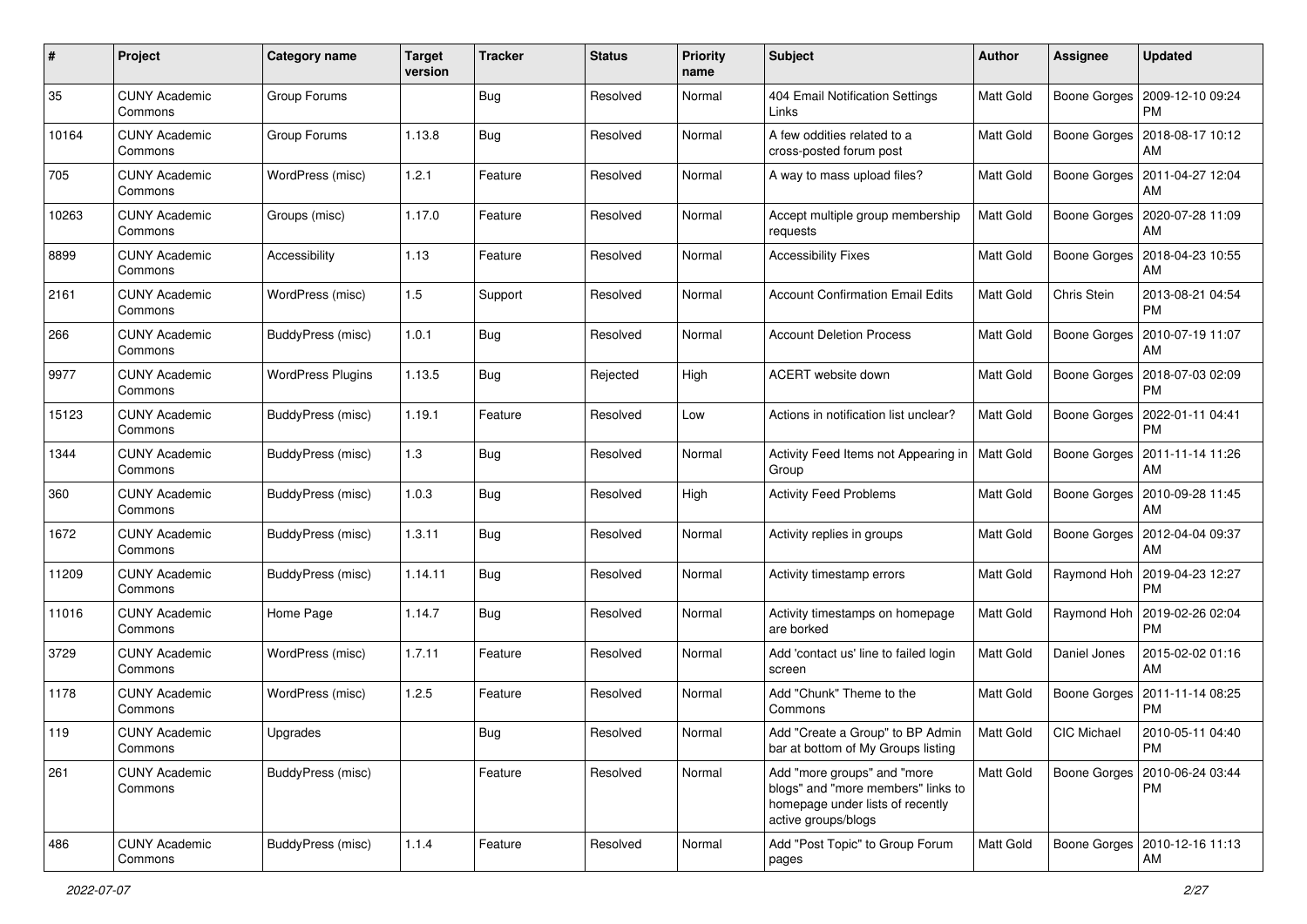| #     | Project                         | <b>Category name</b>     | <b>Target</b><br>version | <b>Tracker</b> | <b>Status</b> | <b>Priority</b><br>name | Subject                                                                                                                      | Author           | <b>Assignee</b>    | <b>Updated</b>                              |
|-------|---------------------------------|--------------------------|--------------------------|----------------|---------------|-------------------------|------------------------------------------------------------------------------------------------------------------------------|------------------|--------------------|---------------------------------------------|
| 35    | <b>CUNY Academic</b><br>Commons | Group Forums             |                          | <b>Bug</b>     | Resolved      | Normal                  | 404 Email Notification Settings<br>Links                                                                                     | Matt Gold        | Boone Gorges       | 2009-12-10 09:24<br>PM                      |
| 10164 | <b>CUNY Academic</b><br>Commons | Group Forums             | 1.13.8                   | Bug            | Resolved      | Normal                  | A few oddities related to a<br>cross-posted forum post                                                                       | Matt Gold        | Boone Gorges       | 2018-08-17 10:12<br>AM                      |
| 705   | <b>CUNY Academic</b><br>Commons | WordPress (misc)         | 1.2.1                    | Feature        | Resolved      | Normal                  | A way to mass upload files?                                                                                                  | <b>Matt Gold</b> | Boone Gorges       | 2011-04-27 12:04<br>AM                      |
| 10263 | <b>CUNY Academic</b><br>Commons | Groups (misc)            | 1.17.0                   | Feature        | Resolved      | Normal                  | Accept multiple group membership<br>requests                                                                                 | Matt Gold        | Boone Gorges       | 2020-07-28 11:09<br>AM                      |
| 8899  | <b>CUNY Academic</b><br>Commons | Accessibility            | 1.13                     | Feature        | Resolved      | Normal                  | <b>Accessibility Fixes</b>                                                                                                   | Matt Gold        | Boone Gorges       | 2018-04-23 10:55<br>AM                      |
| 2161  | <b>CUNY Academic</b><br>Commons | WordPress (misc)         | 1.5                      | Support        | Resolved      | Normal                  | <b>Account Confirmation Email Edits</b>                                                                                      | Matt Gold        | Chris Stein        | 2013-08-21 04:54<br><b>PM</b>               |
| 266   | <b>CUNY Academic</b><br>Commons | BuddyPress (misc)        | 1.0.1                    | Bug            | Resolved      | Normal                  | <b>Account Deletion Process</b>                                                                                              | <b>Matt Gold</b> | Boone Gorges       | 2010-07-19 11:07<br>AM                      |
| 9977  | <b>CUNY Academic</b><br>Commons | <b>WordPress Plugins</b> | 1.13.5                   | <b>Bug</b>     | Rejected      | High                    | ACERT website down                                                                                                           | Matt Gold        | Boone Gorges       | 2018-07-03 02:09<br>PM                      |
| 15123 | <b>CUNY Academic</b><br>Commons | BuddyPress (misc)        | 1.19.1                   | Feature        | Resolved      | Low                     | Actions in notification list unclear?                                                                                        | Matt Gold        | Boone Gorges       | 2022-01-11 04:41<br><b>PM</b>               |
| 1344  | <b>CUNY Academic</b><br>Commons | BuddyPress (misc)        | 1.3                      | Bug            | Resolved      | Normal                  | Activity Feed Items not Appearing in<br>Group                                                                                | Matt Gold        | Boone Gorges       | 2011-11-14 11:26<br>AM                      |
| 360   | <b>CUNY Academic</b><br>Commons | BuddyPress (misc)        | 1.0.3                    | Bug            | Resolved      | High                    | <b>Activity Feed Problems</b>                                                                                                | <b>Matt Gold</b> | Boone Gorges       | 2010-09-28 11:45<br>AM                      |
| 1672  | <b>CUNY Academic</b><br>Commons | BuddyPress (misc)        | 1.3.11                   | Bug            | Resolved      | Normal                  | Activity replies in groups                                                                                                   | <b>Matt Gold</b> | Boone Gorges       | 2012-04-04 09:37<br>AM                      |
| 11209 | <b>CUNY Academic</b><br>Commons | BuddyPress (misc)        | 1.14.11                  | Bug            | Resolved      | Normal                  | Activity timestamp errors                                                                                                    | Matt Gold        |                    | Raymond Hoh   2019-04-23 12:27<br><b>PM</b> |
| 11016 | <b>CUNY Academic</b><br>Commons | Home Page                | 1.14.7                   | Bug            | Resolved      | Normal                  | Activity timestamps on homepage<br>are borked                                                                                | Matt Gold        | Raymond Hoh        | 2019-02-26 02:04<br>PM                      |
| 3729  | <b>CUNY Academic</b><br>Commons | WordPress (misc)         | 1.7.11                   | Feature        | Resolved      | Normal                  | Add 'contact us' line to failed login<br>screen                                                                              | Matt Gold        | Daniel Jones       | 2015-02-02 01:16<br>AM                      |
| 1178  | <b>CUNY Academic</b><br>Commons | WordPress (misc)         | 1.2.5                    | Feature        | Resolved      | Normal                  | Add "Chunk" Theme to the<br>Commons                                                                                          | <b>Matt Gold</b> | Boone Gorges       | 2011-11-14 08:25<br><b>PM</b>               |
| 119   | <b>CUNY Academic</b><br>Commons | Upgrades                 |                          | Bug            | Resolved      | Normal                  | Add "Create a Group" to BP Admin<br>bar at bottom of My Groups listing                                                       | <b>Matt Gold</b> | <b>CIC Michael</b> | 2010-05-11 04:40<br>PM                      |
| 261   | <b>CUNY Academic</b><br>Commons | BuddyPress (misc)        |                          | Feature        | Resolved      | Normal                  | Add "more groups" and "more<br>blogs" and "more members" links to<br>homepage under lists of recently<br>active groups/blogs | Matt Gold        | Boone Gorges       | 2010-06-24 03:44<br>PM                      |
| 486   | <b>CUNY Academic</b><br>Commons | BuddyPress (misc)        | 1.1.4                    | Feature        | Resolved      | Normal                  | Add "Post Topic" to Group Forum<br>pages                                                                                     | Matt Gold        |                    | Boone Gorges   2010-12-16 11:13<br>AM       |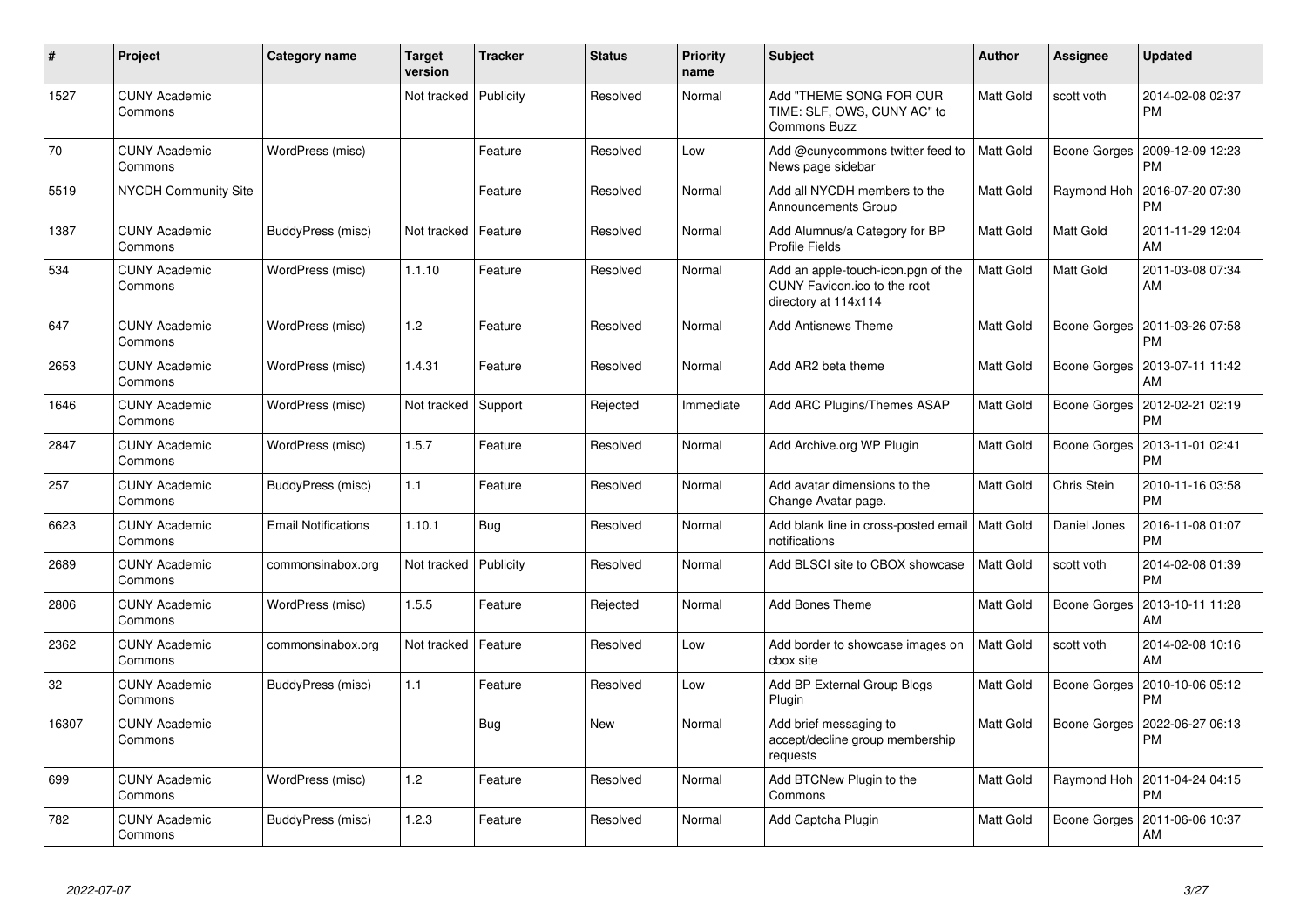| #     | Project                         | Category name              | <b>Target</b><br>version | <b>Tracker</b> | <b>Status</b> | <b>Priority</b><br>name | <b>Subject</b>                                                                             | <b>Author</b> | <b>Assignee</b> | <b>Updated</b>                |
|-------|---------------------------------|----------------------------|--------------------------|----------------|---------------|-------------------------|--------------------------------------------------------------------------------------------|---------------|-----------------|-------------------------------|
| 1527  | <b>CUNY Academic</b><br>Commons |                            | Not tracked              | Publicity      | Resolved      | Normal                  | Add "THEME SONG FOR OUR<br>TIME: SLF, OWS, CUNY AC" to<br><b>Commons Buzz</b>              | Matt Gold     | scott voth      | 2014-02-08 02:37<br><b>PM</b> |
| 70    | <b>CUNY Academic</b><br>Commons | WordPress (misc)           |                          | Feature        | Resolved      | Low                     | Add @cunycommons twitter feed to<br>News page sidebar                                      | Matt Gold     | Boone Gorges    | 2009-12-09 12:23<br><b>PM</b> |
| 5519  | <b>NYCDH Community Site</b>     |                            |                          | Feature        | Resolved      | Normal                  | Add all NYCDH members to the<br>Announcements Group                                        | Matt Gold     | Raymond Hoh     | 2016-07-20 07:30<br><b>PM</b> |
| 1387  | <b>CUNY Academic</b><br>Commons | BuddyPress (misc)          | Not tracked              | Feature        | Resolved      | Normal                  | Add Alumnus/a Category for BP<br><b>Profile Fields</b>                                     | Matt Gold     | Matt Gold       | 2011-11-29 12:04<br>AM        |
| 534   | <b>CUNY Academic</b><br>Commons | WordPress (misc)           | 1.1.10                   | Feature        | Resolved      | Normal                  | Add an apple-touch-icon.pgn of the<br>CUNY Favicon.ico to the root<br>directory at 114x114 | Matt Gold     | Matt Gold       | 2011-03-08 07:34<br>AM        |
| 647   | <b>CUNY Academic</b><br>Commons | WordPress (misc)           | 1.2                      | Feature        | Resolved      | Normal                  | <b>Add Antisnews Theme</b>                                                                 | Matt Gold     | Boone Gorges    | 2011-03-26 07:58<br><b>PM</b> |
| 2653  | <b>CUNY Academic</b><br>Commons | WordPress (misc)           | 1.4.31                   | Feature        | Resolved      | Normal                  | Add AR2 beta theme                                                                         | Matt Gold     | Boone Gorges    | 2013-07-11 11:42<br>AM        |
| 1646  | <b>CUNY Academic</b><br>Commons | WordPress (misc)           | Not tracked              | Support        | Rejected      | Immediate               | Add ARC Plugins/Themes ASAP                                                                | Matt Gold     | Boone Gorges    | 2012-02-21 02:19<br><b>PM</b> |
| 2847  | <b>CUNY Academic</b><br>Commons | WordPress (misc)           | 1.5.7                    | Feature        | Resolved      | Normal                  | Add Archive.org WP Plugin                                                                  | Matt Gold     | Boone Gorges    | 2013-11-01 02:41<br><b>PM</b> |
| 257   | <b>CUNY Academic</b><br>Commons | BuddyPress (misc)          | 1.1                      | Feature        | Resolved      | Normal                  | Add avatar dimensions to the<br>Change Avatar page.                                        | Matt Gold     | Chris Stein     | 2010-11-16 03:58<br><b>PM</b> |
| 6623  | <b>CUNY Academic</b><br>Commons | <b>Email Notifications</b> | 1.10.1                   | Bug            | Resolved      | Normal                  | Add blank line in cross-posted email   Matt Gold<br>notifications                          |               | Daniel Jones    | 2016-11-08 01:07<br><b>PM</b> |
| 2689  | <b>CUNY Academic</b><br>Commons | commonsinabox.org          | Not tracked              | Publicity      | Resolved      | Normal                  | Add BLSCI site to CBOX showcase                                                            | Matt Gold     | scott voth      | 2014-02-08 01:39<br><b>PM</b> |
| 2806  | <b>CUNY Academic</b><br>Commons | WordPress (misc)           | 1.5.5                    | Feature        | Rejected      | Normal                  | Add Bones Theme                                                                            | Matt Gold     | Boone Gorges    | 2013-10-11 11:28<br>AM        |
| 2362  | <b>CUNY Academic</b><br>Commons | commonsinabox.org          | Not tracked              | Feature        | Resolved      | Low                     | Add border to showcase images on<br>cbox site                                              | Matt Gold     | scott voth      | 2014-02-08 10:16<br>AM        |
| 32    | <b>CUNY Academic</b><br>Commons | BuddyPress (misc)          | 1.1                      | Feature        | Resolved      | Low                     | Add BP External Group Blogs<br>Plugin                                                      | Matt Gold     | Boone Gorges    | 2010-10-06 05:12<br><b>PM</b> |
| 16307 | <b>CUNY Academic</b><br>Commons |                            |                          | Bug            | New           | Normal                  | Add brief messaging to<br>accept/decline group membership<br>requests                      | Matt Gold     | Boone Gorges    | 2022-06-27 06:13<br><b>PM</b> |
| 699   | <b>CUNY Academic</b><br>Commons | WordPress (misc)           | 1.2                      | Feature        | Resolved      | Normal                  | Add BTCNew Plugin to the<br>Commons                                                        | Matt Gold     | Raymond Hoh     | 2011-04-24 04:15<br><b>PM</b> |
| 782   | <b>CUNY Academic</b><br>Commons | BuddyPress (misc)          | 1.2.3                    | Feature        | Resolved      | Normal                  | Add Captcha Plugin                                                                         | Matt Gold     | Boone Gorges    | 2011-06-06 10:37<br>AM        |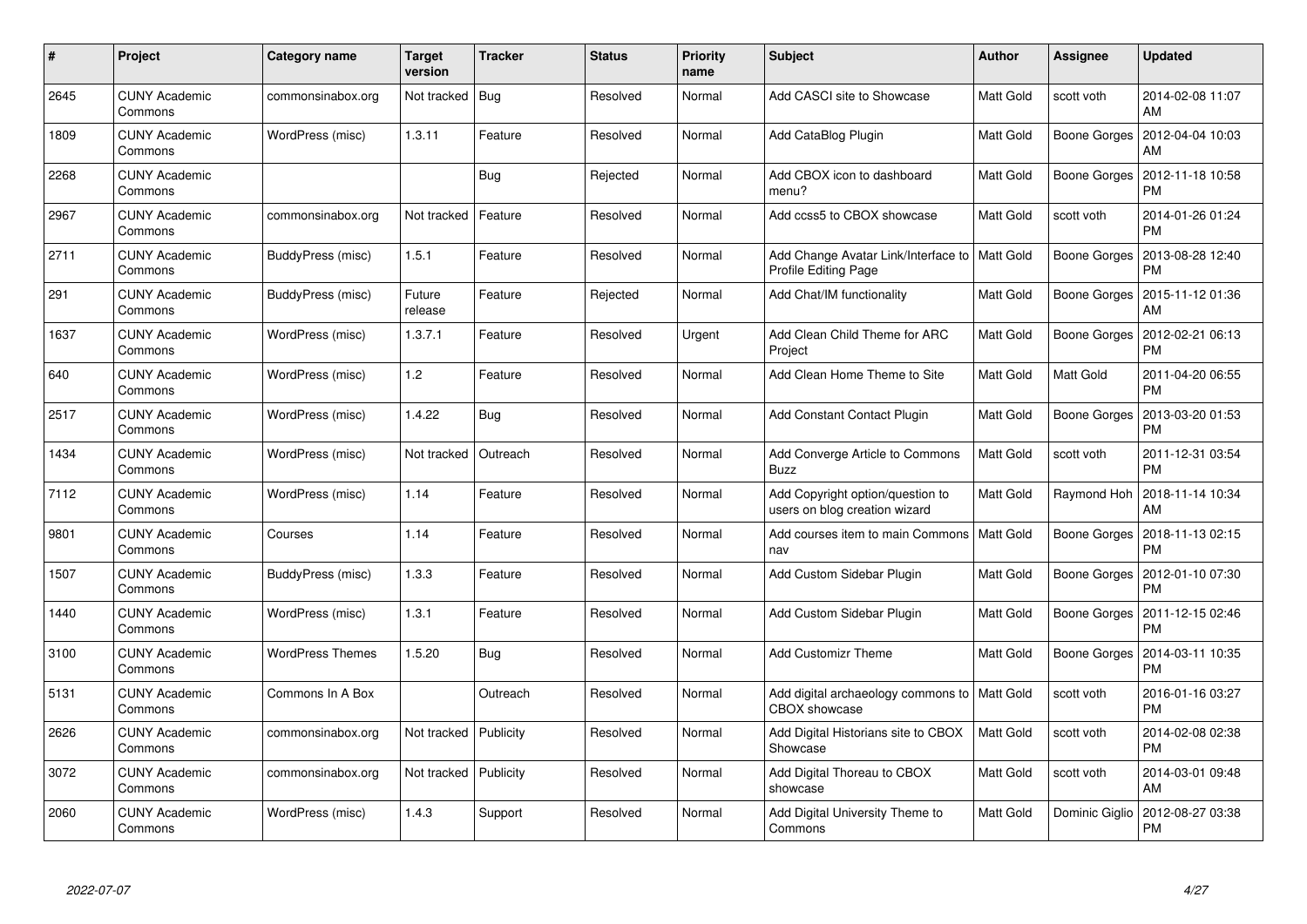| #    | Project                         | Category name           | <b>Target</b><br>version | Tracker   | <b>Status</b> | <b>Priority</b><br>name | <b>Subject</b>                                                          | <b>Author</b> | Assignee       | <b>Updated</b>                |
|------|---------------------------------|-------------------------|--------------------------|-----------|---------------|-------------------------|-------------------------------------------------------------------------|---------------|----------------|-------------------------------|
| 2645 | <b>CUNY Academic</b><br>Commons | commonsinabox.org       | Not tracked              | Bug       | Resolved      | Normal                  | Add CASCI site to Showcase                                              | Matt Gold     | scott voth     | 2014-02-08 11:07<br>AM        |
| 1809 | <b>CUNY Academic</b><br>Commons | WordPress (misc)        | 1.3.11                   | Feature   | Resolved      | Normal                  | Add CataBlog Plugin                                                     | Matt Gold     | Boone Gorges   | 2012-04-04 10:03<br>AM        |
| 2268 | <b>CUNY Academic</b><br>Commons |                         |                          | Bug       | Rejected      | Normal                  | Add CBOX icon to dashboard<br>menu?                                     | Matt Gold     | Boone Gorges   | 2012-11-18 10:58<br>PM        |
| 2967 | <b>CUNY Academic</b><br>Commons | commonsinabox.org       | Not tracked              | Feature   | Resolved      | Normal                  | Add ccss5 to CBOX showcase                                              | Matt Gold     | scott voth     | 2014-01-26 01:24<br>PM        |
| 2711 | <b>CUNY Academic</b><br>Commons | BuddyPress (misc)       | 1.5.1                    | Feature   | Resolved      | Normal                  | Add Change Avatar Link/Interface to   Matt Gold<br>Profile Editing Page |               | Boone Gorges   | 2013-08-28 12:40<br><b>PM</b> |
| 291  | <b>CUNY Academic</b><br>Commons | BuddyPress (misc)       | Future<br>release        | Feature   | Rejected      | Normal                  | Add Chat/IM functionality                                               | Matt Gold     | Boone Gorges   | 2015-11-12 01:36<br>AM        |
| 1637 | <b>CUNY Academic</b><br>Commons | WordPress (misc)        | 1.3.7.1                  | Feature   | Resolved      | Urgent                  | Add Clean Child Theme for ARC<br>Project                                | Matt Gold     | Boone Gorges   | 2012-02-21 06:13<br><b>PM</b> |
| 640  | <b>CUNY Academic</b><br>Commons | WordPress (misc)        | 1.2                      | Feature   | Resolved      | Normal                  | Add Clean Home Theme to Site                                            | Matt Gold     | Matt Gold      | 2011-04-20 06:55<br><b>PM</b> |
| 2517 | <b>CUNY Academic</b><br>Commons | WordPress (misc)        | 1.4.22                   | Bug       | Resolved      | Normal                  | <b>Add Constant Contact Plugin</b>                                      | Matt Gold     | Boone Gorges   | 2013-03-20 01:53<br><b>PM</b> |
| 1434 | <b>CUNY Academic</b><br>Commons | WordPress (misc)        | Not tracked              | Outreach  | Resolved      | Normal                  | Add Converge Article to Commons<br><b>Buzz</b>                          | Matt Gold     | scott voth     | 2011-12-31 03:54<br><b>PM</b> |
| 7112 | <b>CUNY Academic</b><br>Commons | WordPress (misc)        | 1.14                     | Feature   | Resolved      | Normal                  | Add Copyright option/question to<br>users on blog creation wizard       | Matt Gold     | Raymond Hoh    | 2018-11-14 10:34<br>AM        |
| 9801 | <b>CUNY Academic</b><br>Commons | Courses                 | 1.14                     | Feature   | Resolved      | Normal                  | Add courses item to main Commons   Matt Gold<br>nav                     |               | Boone Gorges   | 2018-11-13 02:15<br><b>PM</b> |
| 1507 | <b>CUNY Academic</b><br>Commons | BuddyPress (misc)       | 1.3.3                    | Feature   | Resolved      | Normal                  | Add Custom Sidebar Plugin                                               | Matt Gold     | Boone Gorges   | 2012-01-10 07:30<br><b>PM</b> |
| 1440 | <b>CUNY Academic</b><br>Commons | WordPress (misc)        | 1.3.1                    | Feature   | Resolved      | Normal                  | Add Custom Sidebar Plugin                                               | Matt Gold     | Boone Gorges   | 2011-12-15 02:46<br><b>PM</b> |
| 3100 | <b>CUNY Academic</b><br>Commons | <b>WordPress Themes</b> | 1.5.20                   | Bug       | Resolved      | Normal                  | <b>Add Customizr Theme</b>                                              | Matt Gold     | Boone Gorges   | 2014-03-11 10:35<br><b>PM</b> |
| 5131 | <b>CUNY Academic</b><br>Commons | Commons In A Box        |                          | Outreach  | Resolved      | Normal                  | Add digital archaeology commons to   Matt Gold<br><b>CBOX</b> showcase  |               | scott voth     | 2016-01-16 03:27<br><b>PM</b> |
| 2626 | <b>CUNY Academic</b><br>Commons | commonsinabox.org       | Not tracked              | Publicity | Resolved      | Normal                  | Add Digital Historians site to CBOX<br>Showcase                         | Matt Gold     | scott voth     | 2014-02-08 02:38<br><b>PM</b> |
| 3072 | <b>CUNY Academic</b><br>Commons | commonsinabox.org       | Not tracked              | Publicity | Resolved      | Normal                  | Add Digital Thoreau to CBOX<br>showcase                                 | Matt Gold     | scott voth     | 2014-03-01 09:48<br>AM        |
| 2060 | CUNY Academic<br>Commons        | WordPress (misc)        | 1.4.3                    | Support   | Resolved      | Normal                  | Add Digital University Theme to<br>Commons                              | Matt Gold     | Dominic Giglio | 2012-08-27 03:38<br>PM        |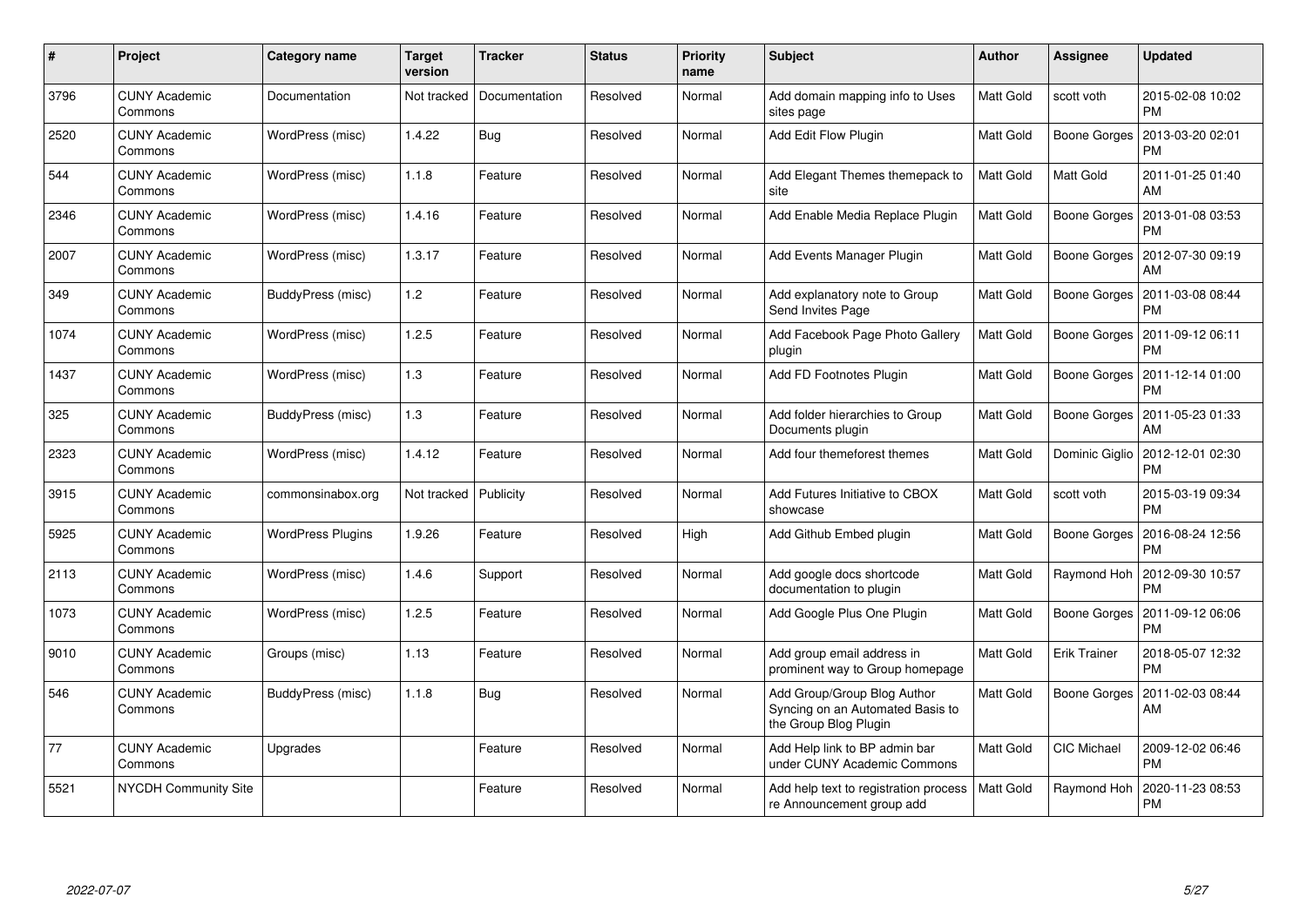| #    | Project                         | Category name            | Target<br>version | <b>Tracker</b> | <b>Status</b> | <b>Priority</b><br>name | <b>Subject</b>                                                                           | <b>Author</b> | Assignee            | <b>Updated</b>                |
|------|---------------------------------|--------------------------|-------------------|----------------|---------------|-------------------------|------------------------------------------------------------------------------------------|---------------|---------------------|-------------------------------|
| 3796 | <b>CUNY Academic</b><br>Commons | Documentation            | Not tracked       | Documentation  | Resolved      | Normal                  | Add domain mapping info to Uses<br>sites page                                            | Matt Gold     | scott voth          | 2015-02-08 10:02<br><b>PM</b> |
| 2520 | <b>CUNY Academic</b><br>Commons | WordPress (misc)         | 1.4.22            | Bug            | Resolved      | Normal                  | Add Edit Flow Plugin                                                                     | Matt Gold     | Boone Gorges        | 2013-03-20 02:01<br><b>PM</b> |
| 544  | <b>CUNY Academic</b><br>Commons | WordPress (misc)         | 1.1.8             | Feature        | Resolved      | Normal                  | Add Elegant Themes themepack to<br>site                                                  | Matt Gold     | Matt Gold           | 2011-01-25 01:40<br>AM        |
| 2346 | <b>CUNY Academic</b><br>Commons | WordPress (misc)         | 1.4.16            | Feature        | Resolved      | Normal                  | Add Enable Media Replace Plugin                                                          | Matt Gold     | Boone Gorges        | 2013-01-08 03:53<br><b>PM</b> |
| 2007 | <b>CUNY Academic</b><br>Commons | WordPress (misc)         | 1.3.17            | Feature        | Resolved      | Normal                  | Add Events Manager Plugin                                                                | Matt Gold     | Boone Gorges        | 2012-07-30 09:19<br>AM        |
| 349  | <b>CUNY Academic</b><br>Commons | BuddyPress (misc)        | 1.2               | Feature        | Resolved      | Normal                  | Add explanatory note to Group<br>Send Invites Page                                       | Matt Gold     | Boone Gorges        | 2011-03-08 08:44<br><b>PM</b> |
| 1074 | <b>CUNY Academic</b><br>Commons | WordPress (misc)         | 1.2.5             | Feature        | Resolved      | Normal                  | Add Facebook Page Photo Gallery<br>plugin                                                | Matt Gold     | Boone Gorges        | 2011-09-12 06:11<br><b>PM</b> |
| 1437 | <b>CUNY Academic</b><br>Commons | WordPress (misc)         | 1.3               | Feature        | Resolved      | Normal                  | Add FD Footnotes Plugin                                                                  | Matt Gold     | Boone Gorges        | 2011-12-14 01:00<br>PM        |
| 325  | <b>CUNY Academic</b><br>Commons | BuddyPress (misc)        | 1.3               | Feature        | Resolved      | Normal                  | Add folder hierarchies to Group<br>Documents plugin                                      | Matt Gold     | Boone Gorges        | 2011-05-23 01:33<br>AM        |
| 2323 | <b>CUNY Academic</b><br>Commons | WordPress (misc)         | 1.4.12            | Feature        | Resolved      | Normal                  | Add four themeforest themes                                                              | Matt Gold     | Dominic Giglio      | 2012-12-01 02:30<br><b>PM</b> |
| 3915 | <b>CUNY Academic</b><br>Commons | commonsinabox.org        | Not tracked       | Publicity      | Resolved      | Normal                  | Add Futures Initiative to CBOX<br>showcase                                               | Matt Gold     | scott voth          | 2015-03-19 09:34<br><b>PM</b> |
| 5925 | <b>CUNY Academic</b><br>Commons | <b>WordPress Plugins</b> | 1.9.26            | Feature        | Resolved      | High                    | Add Github Embed plugin                                                                  | Matt Gold     | Boone Gorges        | 2016-08-24 12:56<br><b>PM</b> |
| 2113 | <b>CUNY Academic</b><br>Commons | WordPress (misc)         | 1.4.6             | Support        | Resolved      | Normal                  | Add google docs shortcode<br>documentation to plugin                                     | Matt Gold     | Raymond Hoh         | 2012-09-30 10:57<br><b>PM</b> |
| 1073 | <b>CUNY Academic</b><br>Commons | WordPress (misc)         | 1.2.5             | Feature        | Resolved      | Normal                  | Add Google Plus One Plugin                                                               | Matt Gold     | Boone Gorges        | 2011-09-12 06:06<br><b>PM</b> |
| 9010 | <b>CUNY Academic</b><br>Commons | Groups (misc)            | 1.13              | Feature        | Resolved      | Normal                  | Add group email address in<br>prominent way to Group homepage                            | Matt Gold     | <b>Erik Trainer</b> | 2018-05-07 12:32<br><b>PM</b> |
| 546  | <b>CUNY Academic</b><br>Commons | BuddyPress (misc)        | 1.1.8             | Bug            | Resolved      | Normal                  | Add Group/Group Blog Author<br>Syncing on an Automated Basis to<br>the Group Blog Plugin | Matt Gold     | Boone Gorges        | 2011-02-03 08:44<br>AM        |
| 77   | <b>CUNY Academic</b><br>Commons | Upgrades                 |                   | Feature        | Resolved      | Normal                  | Add Help link to BP admin bar<br>under CUNY Academic Commons                             | Matt Gold     | <b>CIC Michael</b>  | 2009-12-02 06:46<br><b>PM</b> |
| 5521 | NYCDH Community Site            |                          |                   | Feature        | Resolved      | Normal                  | Add help text to registration process<br>re Announcement group add                       | Matt Gold     | Raymond Hoh         | 2020-11-23 08:53<br>PM        |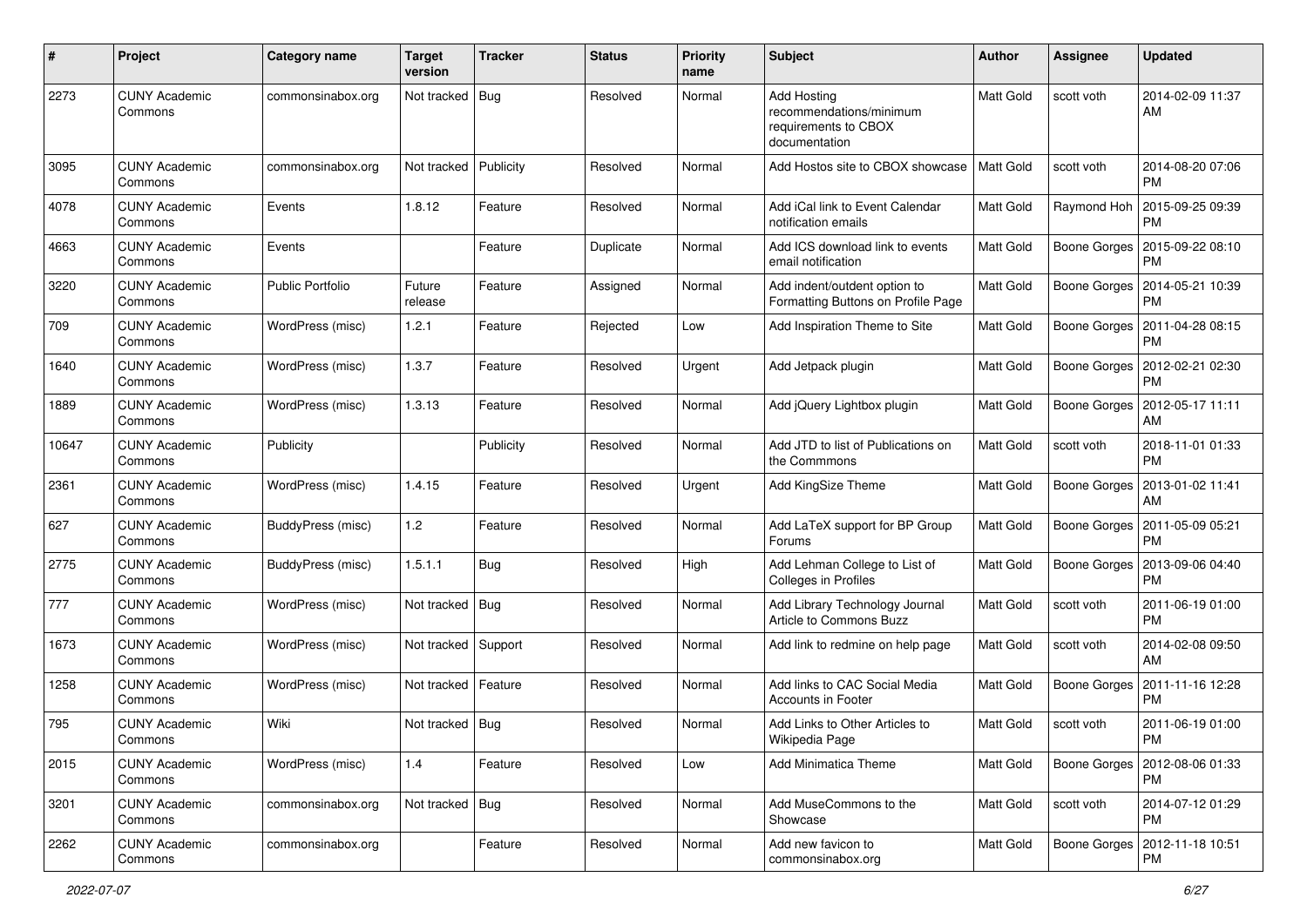| #     | Project                         | Category name           | <b>Target</b><br>version | <b>Tracker</b> | <b>Status</b> | <b>Priority</b><br>name | Subject                                                                                | <b>Author</b> | <b>Assignee</b> | <b>Updated</b>                               |
|-------|---------------------------------|-------------------------|--------------------------|----------------|---------------|-------------------------|----------------------------------------------------------------------------------------|---------------|-----------------|----------------------------------------------|
| 2273  | <b>CUNY Academic</b><br>Commons | commonsinabox.org       | Not tracked              | Bug            | Resolved      | Normal                  | <b>Add Hosting</b><br>recommendations/minimum<br>requirements to CBOX<br>documentation | Matt Gold     | scott voth      | 2014-02-09 11:37<br>AM                       |
| 3095  | <b>CUNY Academic</b><br>Commons | commonsinabox.org       | Not tracked              | Publicity      | Resolved      | Normal                  | Add Hostos site to CBOX showcase                                                       | Matt Gold     | scott voth      | 2014-08-20 07:06<br><b>PM</b>                |
| 4078  | <b>CUNY Academic</b><br>Commons | Events                  | 1.8.12                   | Feature        | Resolved      | Normal                  | Add iCal link to Event Calendar<br>notification emails                                 | Matt Gold     | Raymond Hoh     | 2015-09-25 09:39<br><b>PM</b>                |
| 4663  | <b>CUNY Academic</b><br>Commons | Events                  |                          | Feature        | Duplicate     | Normal                  | Add ICS download link to events<br>email notification                                  | Matt Gold     |                 | Boone Gorges   2015-09-22 08:10<br><b>PM</b> |
| 3220  | <b>CUNY Academic</b><br>Commons | <b>Public Portfolio</b> | Future<br>release        | Feature        | Assigned      | Normal                  | Add indent/outdent option to<br>Formatting Buttons on Profile Page                     | Matt Gold     | Boone Gorges    | 2014-05-21 10:39<br><b>PM</b>                |
| 709   | <b>CUNY Academic</b><br>Commons | WordPress (misc)        | 1.2.1                    | Feature        | Rejected      | Low                     | Add Inspiration Theme to Site                                                          | Matt Gold     | Boone Gorges    | 2011-04-28 08:15<br><b>PM</b>                |
| 1640  | <b>CUNY Academic</b><br>Commons | WordPress (misc)        | 1.3.7                    | Feature        | Resolved      | Urgent                  | Add Jetpack plugin                                                                     | Matt Gold     | Boone Gorges    | 2012-02-21 02:30<br><b>PM</b>                |
| 1889  | CUNY Academic<br>Commons        | WordPress (misc)        | 1.3.13                   | Feature        | Resolved      | Normal                  | Add jQuery Lightbox plugin                                                             | Matt Gold     |                 | Boone Gorges   2012-05-17 11:11<br>AM        |
| 10647 | <b>CUNY Academic</b><br>Commons | Publicity               |                          | Publicity      | Resolved      | Normal                  | Add JTD to list of Publications on<br>the Commmons                                     | Matt Gold     | scott voth      | 2018-11-01 01:33<br><b>PM</b>                |
| 2361  | <b>CUNY Academic</b><br>Commons | WordPress (misc)        | 1.4.15                   | Feature        | Resolved      | Urgent                  | Add KingSize Theme                                                                     | Matt Gold     | Boone Gorges    | 2013-01-02 11:41<br>AM                       |
| 627   | <b>CUNY Academic</b><br>Commons | BuddyPress (misc)       | 1.2                      | Feature        | Resolved      | Normal                  | Add LaTeX support for BP Group<br>Forums                                               | Matt Gold     | Boone Gorges    | 2011-05-09 05:21<br><b>PM</b>                |
| 2775  | <b>CUNY Academic</b><br>Commons | BuddyPress (misc)       | 1.5.1.1                  | Bug            | Resolved      | High                    | Add Lehman College to List of<br>Colleges in Profiles                                  | Matt Gold     | Boone Gorges    | 2013-09-06 04:40<br><b>PM</b>                |
| 777   | <b>CUNY Academic</b><br>Commons | WordPress (misc)        | Not tracked              | Bug            | Resolved      | Normal                  | Add Library Technology Journal<br>Article to Commons Buzz                              | Matt Gold     | scott voth      | 2011-06-19 01:00<br><b>PM</b>                |
| 1673  | <b>CUNY Academic</b><br>Commons | WordPress (misc)        | Not tracked              | Support        | Resolved      | Normal                  | Add link to redmine on help page                                                       | Matt Gold     | scott voth      | 2014-02-08 09:50<br>AM                       |
| 1258  | <b>CUNY Academic</b><br>Commons | WordPress (misc)        | Not tracked              | Feature        | Resolved      | Normal                  | Add links to CAC Social Media<br><b>Accounts in Footer</b>                             | Matt Gold     | Boone Gorges    | 2011-11-16 12:28<br><b>PM</b>                |
| 795   | <b>CUNY Academic</b><br>Commons | Wiki                    | Not tracked   Bug        |                | Resolved      | Normal                  | Add Links to Other Articles to<br>Wikipedia Page                                       | Matt Gold     | scott voth      | 2011-06-19 01:00<br>PM                       |
| 2015  | <b>CUNY Academic</b><br>Commons | WordPress (misc)        | 1.4                      | Feature        | Resolved      | Low                     | <b>Add Minimatica Theme</b>                                                            | Matt Gold     |                 | Boone Gorges   2012-08-06 01:33<br><b>PM</b> |
| 3201  | <b>CUNY Academic</b><br>Commons | commonsinabox.org       | Not tracked   Bug        |                | Resolved      | Normal                  | Add MuseCommons to the<br>Showcase                                                     | Matt Gold     | scott voth      | 2014-07-12 01:29<br><b>PM</b>                |
| 2262  | <b>CUNY Academic</b><br>Commons | commonsinabox.org       |                          | Feature        | Resolved      | Normal                  | Add new favicon to<br>commonsinabox.org                                                | Matt Gold     |                 | Boone Gorges   2012-11-18 10:51<br>PM        |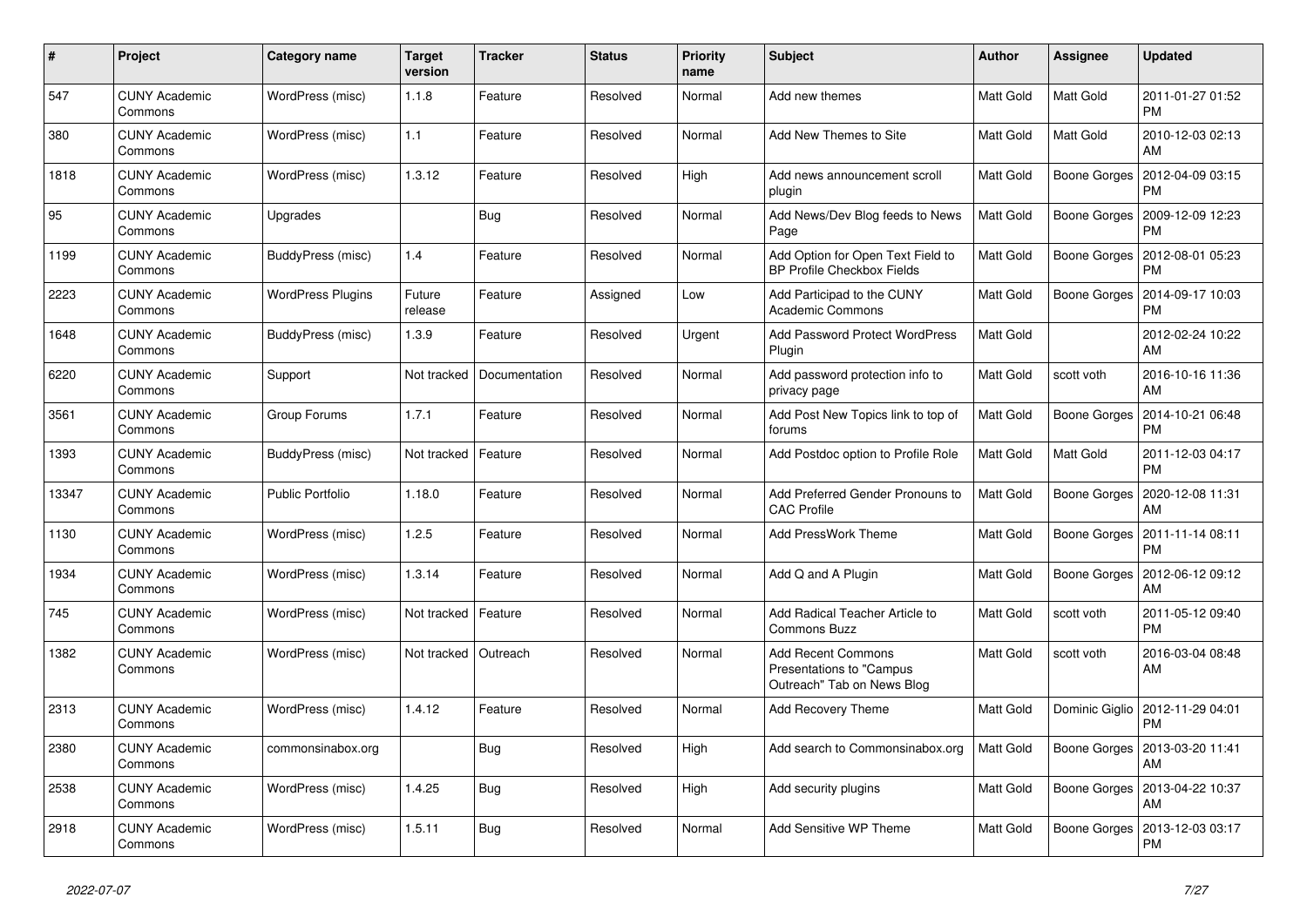| #     | Project                         | Category name            | <b>Target</b><br>version | <b>Tracker</b> | <b>Status</b> | <b>Priority</b><br>name | <b>Subject</b>                                                                      | <b>Author</b>    | Assignee            | <b>Updated</b>                |
|-------|---------------------------------|--------------------------|--------------------------|----------------|---------------|-------------------------|-------------------------------------------------------------------------------------|------------------|---------------------|-------------------------------|
| 547   | <b>CUNY Academic</b><br>Commons | WordPress (misc)         | 1.1.8                    | Feature        | Resolved      | Normal                  | Add new themes                                                                      | Matt Gold        | Matt Gold           | 2011-01-27 01:52<br><b>PM</b> |
| 380   | <b>CUNY Academic</b><br>Commons | WordPress (misc)         | 1.1                      | Feature        | Resolved      | Normal                  | Add New Themes to Site                                                              | Matt Gold        | Matt Gold           | 2010-12-03 02:13<br>AM        |
| 1818  | <b>CUNY Academic</b><br>Commons | WordPress (misc)         | 1.3.12                   | Feature        | Resolved      | High                    | Add news announcement scroll<br>plugin                                              | Matt Gold        | Boone Gorges        | 2012-04-09 03:15<br>PM        |
| 95    | <b>CUNY Academic</b><br>Commons | Upgrades                 |                          | <b>Bug</b>     | Resolved      | Normal                  | Add News/Dev Blog feeds to News<br>Page                                             | <b>Matt Gold</b> | Boone Gorges        | 2009-12-09 12:23<br><b>PM</b> |
| 1199  | <b>CUNY Academic</b><br>Commons | BuddyPress (misc)        | 1.4                      | Feature        | Resolved      | Normal                  | Add Option for Open Text Field to<br><b>BP Profile Checkbox Fields</b>              | Matt Gold        | Boone Gorges        | 2012-08-01 05:23<br>PM        |
| 2223  | <b>CUNY Academic</b><br>Commons | <b>WordPress Plugins</b> | Future<br>release        | Feature        | Assigned      | Low                     | Add Participad to the CUNY<br>Academic Commons                                      | Matt Gold        | Boone Gorges        | 2014-09-17 10:03<br>PM        |
| 1648  | <b>CUNY Academic</b><br>Commons | BuddyPress (misc)        | 1.3.9                    | Feature        | Resolved      | Urgent                  | <b>Add Password Protect WordPress</b><br>Plugin                                     | Matt Gold        |                     | 2012-02-24 10:22<br>AM        |
| 6220  | <b>CUNY Academic</b><br>Commons | Support                  | Not tracked              | Documentation  | Resolved      | Normal                  | Add password protection info to<br>privacy page                                     | Matt Gold        | scott voth          | 2016-10-16 11:36<br>AM        |
| 3561  | <b>CUNY Academic</b><br>Commons | Group Forums             | 1.7.1                    | Feature        | Resolved      | Normal                  | Add Post New Topics link to top of<br>forums                                        | Matt Gold        | <b>Boone Gorges</b> | 2014-10-21 06:48<br><b>PM</b> |
| 1393  | <b>CUNY Academic</b><br>Commons | BuddyPress (misc)        | Not tracked              | Feature        | Resolved      | Normal                  | Add Postdoc option to Profile Role                                                  | Matt Gold        | Matt Gold           | 2011-12-03 04:17<br><b>PM</b> |
| 13347 | <b>CUNY Academic</b><br>Commons | <b>Public Portfolio</b>  | 1.18.0                   | Feature        | Resolved      | Normal                  | Add Preferred Gender Pronouns to<br><b>CAC Profile</b>                              | Matt Gold        | Boone Gorges        | 2020-12-08 11:31<br>AM        |
| 1130  | <b>CUNY Academic</b><br>Commons | WordPress (misc)         | 1.2.5                    | Feature        | Resolved      | Normal                  | <b>Add PressWork Theme</b>                                                          | Matt Gold        | Boone Gorges        | 2011-11-14 08:11<br><b>PM</b> |
| 1934  | <b>CUNY Academic</b><br>Commons | WordPress (misc)         | 1.3.14                   | Feature        | Resolved      | Normal                  | Add Q and A Plugin                                                                  | Matt Gold        | Boone Gorges        | 2012-06-12 09:12<br>AM        |
| 745   | <b>CUNY Academic</b><br>Commons | WordPress (misc)         | Not tracked              | Feature        | Resolved      | Normal                  | Add Radical Teacher Article to<br><b>Commons Buzz</b>                               | Matt Gold        | scott voth          | 2011-05-12 09:40<br><b>PM</b> |
| 1382  | <b>CUNY Academic</b><br>Commons | WordPress (misc)         | Not tracked              | Outreach       | Resolved      | Normal                  | <b>Add Recent Commons</b><br>Presentations to "Campus<br>Outreach" Tab on News Blog | Matt Gold        | scott voth          | 2016-03-04 08:48<br>AM        |
| 2313  | <b>CUNY Academic</b><br>Commons | WordPress (misc)         | 1.4.12                   | Feature        | Resolved      | Normal                  | Add Recovery Theme                                                                  | Matt Gold        | Dominic Giglio      | 2012-11-29 04:01<br><b>PM</b> |
| 2380  | <b>CUNY Academic</b><br>Commons | commonsinabox.org        |                          | <b>Bug</b>     | Resolved      | High                    | Add search to Commonsinabox.org                                                     | Matt Gold        | Boone Gorges        | 2013-03-20 11:41<br>AM        |
| 2538  | <b>CUNY Academic</b><br>Commons | WordPress (misc)         | 1.4.25                   | Bug            | Resolved      | High                    | Add security plugins                                                                | Matt Gold        | Boone Gorges        | 2013-04-22 10:37<br>AM        |
| 2918  | <b>CUNY Academic</b><br>Commons | WordPress (misc)         | 1.5.11                   | Bug            | Resolved      | Normal                  | Add Sensitive WP Theme                                                              | Matt Gold        | Boone Gorges        | 2013-12-03 03:17<br>PM        |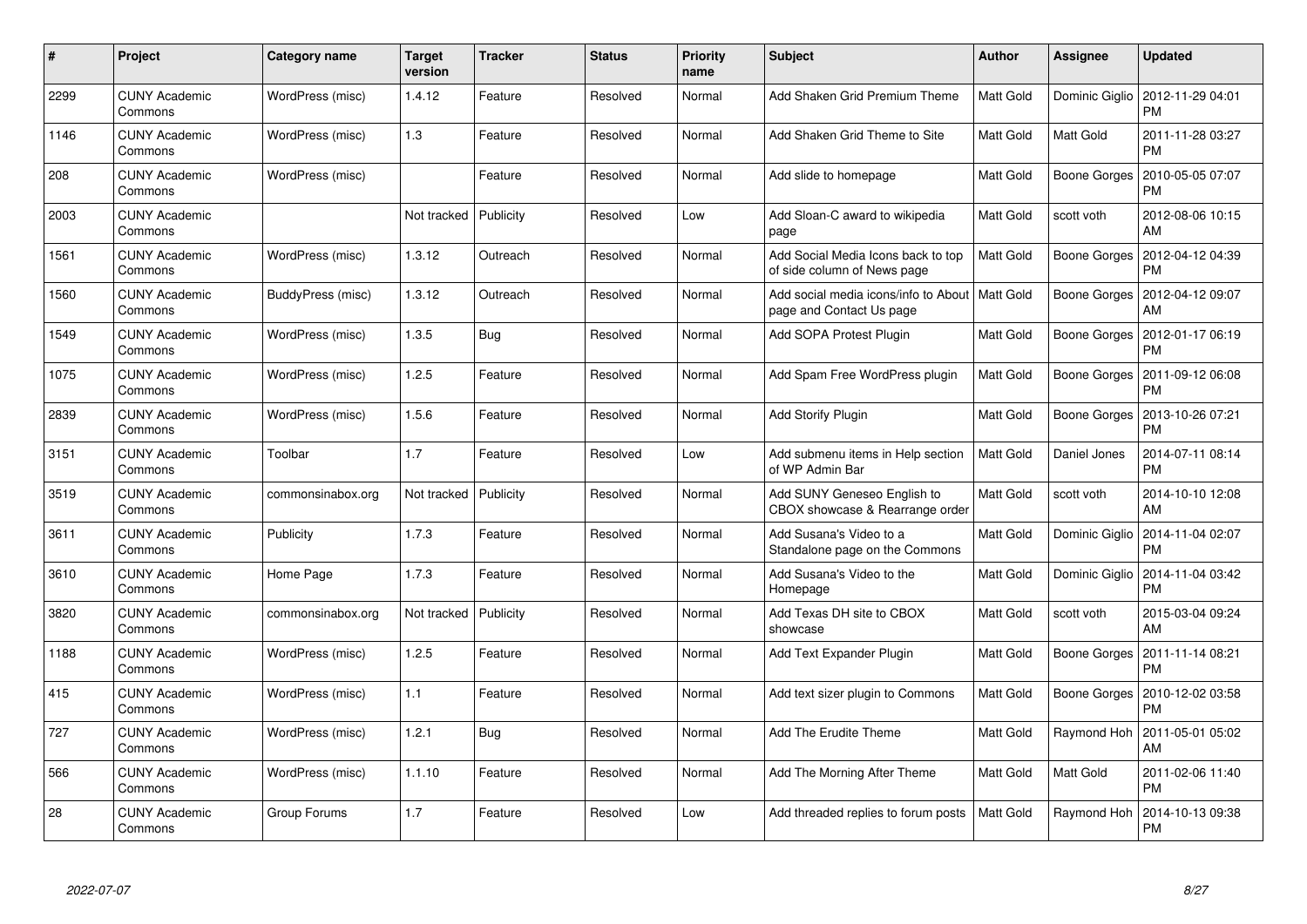| #    | Project                         | <b>Category name</b> | <b>Target</b><br>version | <b>Tracker</b> | <b>Status</b> | <b>Priority</b><br>name | <b>Subject</b>                                                               | <b>Author</b>    | Assignee       | <b>Updated</b>                |
|------|---------------------------------|----------------------|--------------------------|----------------|---------------|-------------------------|------------------------------------------------------------------------------|------------------|----------------|-------------------------------|
| 2299 | <b>CUNY Academic</b><br>Commons | WordPress (misc)     | 1.4.12                   | Feature        | Resolved      | Normal                  | Add Shaken Grid Premium Theme                                                | <b>Matt Gold</b> | Dominic Giglio | 2012-11-29 04:01<br>PM        |
| 1146 | <b>CUNY Academic</b><br>Commons | WordPress (misc)     | 1.3                      | Feature        | Resolved      | Normal                  | Add Shaken Grid Theme to Site                                                | <b>Matt Gold</b> | Matt Gold      | 2011-11-28 03:27<br>PM        |
| 208  | <b>CUNY Academic</b><br>Commons | WordPress (misc)     |                          | Feature        | Resolved      | Normal                  | Add slide to homepage                                                        | Matt Gold        | Boone Gorges   | 2010-05-05 07:07<br>PM        |
| 2003 | <b>CUNY Academic</b><br>Commons |                      | Not tracked              | Publicity      | Resolved      | Low                     | Add Sloan-C award to wikipedia<br>page                                       | Matt Gold        | scott voth     | 2012-08-06 10:15<br>AM        |
| 1561 | <b>CUNY Academic</b><br>Commons | WordPress (misc)     | 1.3.12                   | Outreach       | Resolved      | Normal                  | Add Social Media Icons back to top<br>of side column of News page            | Matt Gold        | Boone Gorges   | 2012-04-12 04:39<br>PM        |
| 1560 | <b>CUNY Academic</b><br>Commons | BuddyPress (misc)    | 1.3.12                   | Outreach       | Resolved      | Normal                  | Add social media icons/info to About   Matt Gold<br>page and Contact Us page |                  | Boone Gorges   | 2012-04-12 09:07<br>AM        |
| 1549 | <b>CUNY Academic</b><br>Commons | WordPress (misc)     | 1.3.5                    | <b>Bug</b>     | Resolved      | Normal                  | Add SOPA Protest Plugin                                                      | Matt Gold        | Boone Gorges   | 2012-01-17 06:19<br>PM        |
| 1075 | <b>CUNY Academic</b><br>Commons | WordPress (misc)     | 1.2.5                    | Feature        | Resolved      | Normal                  | Add Spam Free WordPress plugin                                               | Matt Gold        | Boone Gorges   | 2011-09-12 06:08<br>PM        |
| 2839 | <b>CUNY Academic</b><br>Commons | WordPress (misc)     | 1.5.6                    | Feature        | Resolved      | Normal                  | <b>Add Storify Plugin</b>                                                    | <b>Matt Gold</b> | Boone Gorges   | 2013-10-26 07:21<br>PM        |
| 3151 | <b>CUNY Academic</b><br>Commons | Toolbar              | 1.7                      | Feature        | Resolved      | Low                     | Add submenu items in Help section<br>of WP Admin Bar                         | <b>Matt Gold</b> | Daniel Jones   | 2014-07-11 08:14<br>РM        |
| 3519 | <b>CUNY Academic</b><br>Commons | commonsinabox.org    | Not tracked              | Publicity      | Resolved      | Normal                  | Add SUNY Geneseo English to<br>CBOX showcase & Rearrange order               | Matt Gold        | scott voth     | 2014-10-10 12:08<br>AM        |
| 3611 | <b>CUNY Academic</b><br>Commons | Publicity            | 1.7.3                    | Feature        | Resolved      | Normal                  | Add Susana's Video to a<br>Standalone page on the Commons                    | <b>Matt Gold</b> | Dominic Giglio | 2014-11-04 02:07<br>PM        |
| 3610 | <b>CUNY Academic</b><br>Commons | Home Page            | 1.7.3                    | Feature        | Resolved      | Normal                  | Add Susana's Video to the<br>Homepage                                        | Matt Gold        | Dominic Giglio | 2014-11-04 03:42<br>PM        |
| 3820 | <b>CUNY Academic</b><br>Commons | commonsinabox.org    | Not tracked              | Publicity      | Resolved      | Normal                  | Add Texas DH site to CBOX<br>showcase                                        | Matt Gold        | scott voth     | 2015-03-04 09:24<br>AM        |
| 1188 | <b>CUNY Academic</b><br>Commons | WordPress (misc)     | 1.2.5                    | Feature        | Resolved      | Normal                  | Add Text Expander Plugin                                                     | Matt Gold        | Boone Gorges   | 2011-11-14 08:21<br>PM        |
| 415  | <b>CUNY Academic</b><br>Commons | WordPress (misc)     | 1.1                      | Feature        | Resolved      | Normal                  | Add text sizer plugin to Commons                                             | Matt Gold        | Boone Gorges   | 2010-12-02 03:58<br>PM        |
| 727  | <b>CUNY Academic</b><br>Commons | WordPress (misc)     | 1.2.1                    | Bug            | Resolved      | Normal                  | Add The Erudite Theme                                                        | Matt Gold        | Raymond Hoh    | 2011-05-01 05:02<br>AM        |
| 566  | <b>CUNY Academic</b><br>Commons | WordPress (misc)     | 1.1.10                   | Feature        | Resolved      | Normal                  | Add The Morning After Theme                                                  | Matt Gold        | Matt Gold      | 2011-02-06 11:40<br><b>PM</b> |
| 28   | CUNY Academic<br>Commons        | Group Forums         | 1.7                      | Feature        | Resolved      | Low                     | Add threaded replies to forum posts                                          | Matt Gold        | Raymond Hoh    | 2014-10-13 09:38<br>PM        |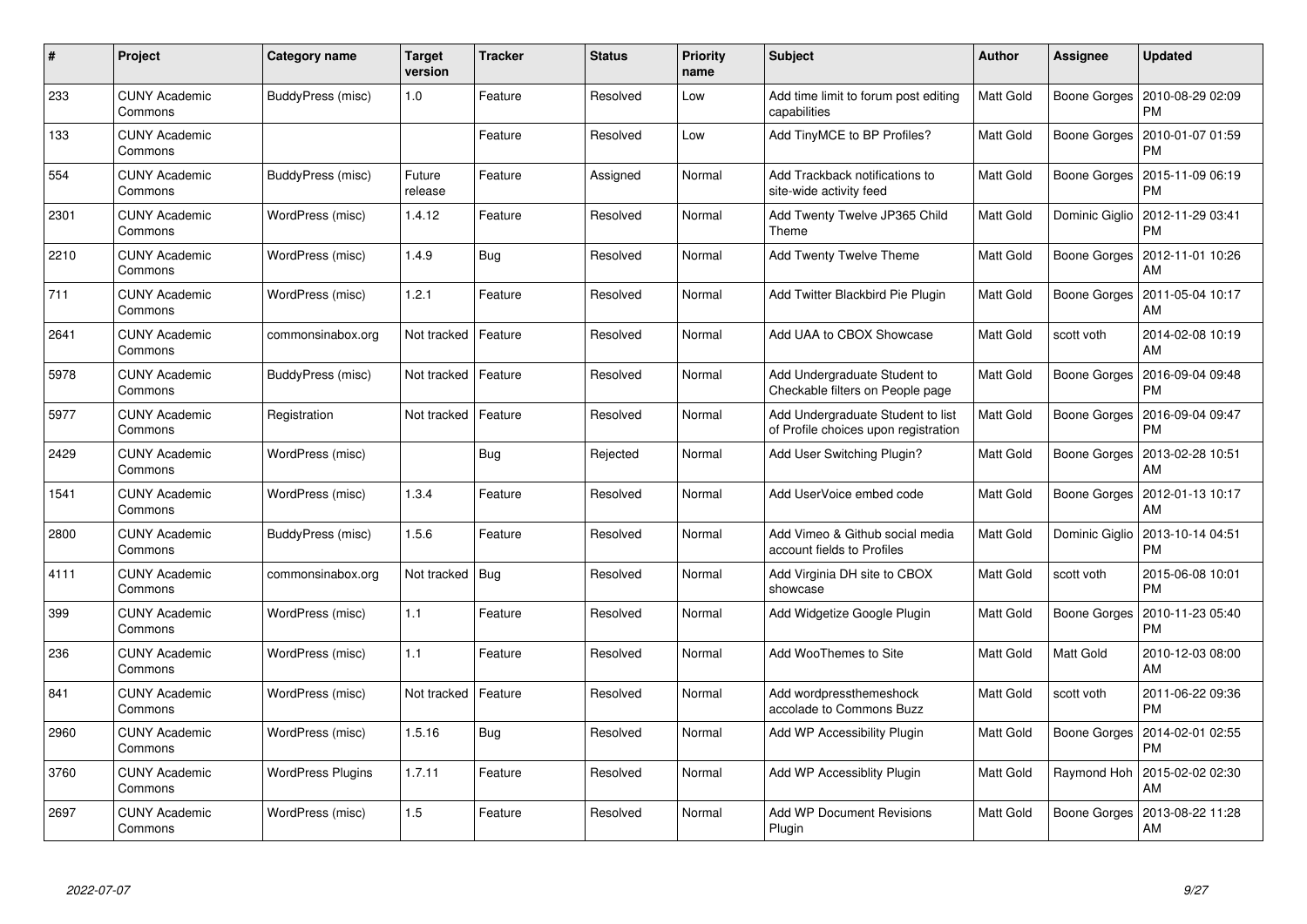| #    | Project                         | <b>Category name</b>     | <b>Target</b><br>version | <b>Tracker</b> | <b>Status</b> | <b>Priority</b><br>name | <b>Subject</b>                                                            | <b>Author</b>    | Assignee       | <b>Updated</b>                |
|------|---------------------------------|--------------------------|--------------------------|----------------|---------------|-------------------------|---------------------------------------------------------------------------|------------------|----------------|-------------------------------|
| 233  | <b>CUNY Academic</b><br>Commons | BuddyPress (misc)        | 1.0                      | Feature        | Resolved      | Low                     | Add time limit to forum post editing<br>capabilities                      | Matt Gold        | Boone Gorges   | 2010-08-29 02:09<br><b>PM</b> |
| 133  | <b>CUNY Academic</b><br>Commons |                          |                          | Feature        | Resolved      | Low                     | Add TinyMCE to BP Profiles?                                               | Matt Gold        | Boone Gorges   | 2010-01-07 01:59<br>PM        |
| 554  | <b>CUNY Academic</b><br>Commons | BuddyPress (misc)        | Future<br>release        | Feature        | Assigned      | Normal                  | Add Trackback notifications to<br>site-wide activity feed                 | Matt Gold        | Boone Gorges   | 2015-11-09 06:19<br>PM        |
| 2301 | <b>CUNY Academic</b><br>Commons | WordPress (misc)         | 1.4.12                   | Feature        | Resolved      | Normal                  | Add Twenty Twelve JP365 Child<br>Theme                                    | Matt Gold        | Dominic Giglio | 2012-11-29 03:41<br>PM        |
| 2210 | <b>CUNY Academic</b><br>Commons | WordPress (misc)         | 1.4.9                    | <b>Bug</b>     | Resolved      | Normal                  | Add Twenty Twelve Theme                                                   | Matt Gold        | Boone Gorges   | 2012-11-01 10:26<br>AM        |
| 711  | <b>CUNY Academic</b><br>Commons | WordPress (misc)         | 1.2.1                    | Feature        | Resolved      | Normal                  | Add Twitter Blackbird Pie Plugin                                          | Matt Gold        | Boone Gorges   | 2011-05-04 10:17<br>AM        |
| 2641 | <b>CUNY Academic</b><br>Commons | commonsinabox.org        | Not tracked              | Feature        | Resolved      | Normal                  | Add UAA to CBOX Showcase                                                  | Matt Gold        | scott voth     | 2014-02-08 10:19<br>AM        |
| 5978 | <b>CUNY Academic</b><br>Commons | BuddyPress (misc)        | Not tracked              | Feature        | Resolved      | Normal                  | Add Undergraduate Student to<br>Checkable filters on People page          | Matt Gold        | Boone Gorges   | 2016-09-04 09:48<br>PM        |
| 5977 | <b>CUNY Academic</b><br>Commons | Registration             | Not tracked              | Feature        | Resolved      | Normal                  | Add Undergraduate Student to list<br>of Profile choices upon registration | Matt Gold        | Boone Gorges   | 2016-09-04 09:47<br>PM        |
| 2429 | <b>CUNY Academic</b><br>Commons | WordPress (misc)         |                          | Bug            | Rejected      | Normal                  | Add User Switching Plugin?                                                | Matt Gold        | Boone Gorges   | 2013-02-28 10:51<br>AM        |
| 1541 | <b>CUNY Academic</b><br>Commons | WordPress (misc)         | 1.3.4                    | Feature        | Resolved      | Normal                  | Add UserVoice embed code                                                  | Matt Gold        | Boone Gorges   | 2012-01-13 10:17<br>AM        |
| 2800 | <b>CUNY Academic</b><br>Commons | BuddyPress (misc)        | 1.5.6                    | Feature        | Resolved      | Normal                  | Add Vimeo & Github social media<br>account fields to Profiles             | <b>Matt Gold</b> | Dominic Giglio | 2013-10-14 04:51<br><b>PM</b> |
| 4111 | <b>CUNY Academic</b><br>Commons | commonsinabox.org        | Not tracked              | Bug            | Resolved      | Normal                  | Add Virginia DH site to CBOX<br>showcase                                  | Matt Gold        | scott voth     | 2015-06-08 10:01<br>PM        |
| 399  | <b>CUNY Academic</b><br>Commons | WordPress (misc)         | 1.1                      | Feature        | Resolved      | Normal                  | Add Widgetize Google Plugin                                               | Matt Gold        | Boone Gorges   | 2010-11-23 05:40<br>PM        |
| 236  | <b>CUNY Academic</b><br>Commons | WordPress (misc)         | 1.1                      | Feature        | Resolved      | Normal                  | Add WooThemes to Site                                                     | <b>Matt Gold</b> | Matt Gold      | 2010-12-03 08:00<br>AM        |
| 841  | <b>CUNY Academic</b><br>Commons | WordPress (misc)         | Not tracked              | Feature        | Resolved      | Normal                  | Add wordpressthemeshock<br>accolade to Commons Buzz                       | Matt Gold        | scott voth     | 2011-06-22 09:36<br>PM        |
| 2960 | <b>CUNY Academic</b><br>Commons | WordPress (misc)         | 1.5.16                   | Bug            | Resolved      | Normal                  | Add WP Accessibility Plugin                                               | Matt Gold        | Boone Gorges   | 2014-02-01 02:55<br>PM        |
| 3760 | <b>CUNY Academic</b><br>Commons | <b>WordPress Plugins</b> | 1.7.11                   | Feature        | Resolved      | Normal                  | Add WP Accessiblity Plugin                                                | Matt Gold        | Raymond Hoh    | 2015-02-02 02:30<br>AM        |
| 2697 | CUNY Academic<br>Commons        | WordPress (misc)         | 1.5                      | Feature        | Resolved      | Normal                  | <b>Add WP Document Revisions</b><br>Plugin                                | Matt Gold        | Boone Gorges   | 2013-08-22 11:28<br>AM        |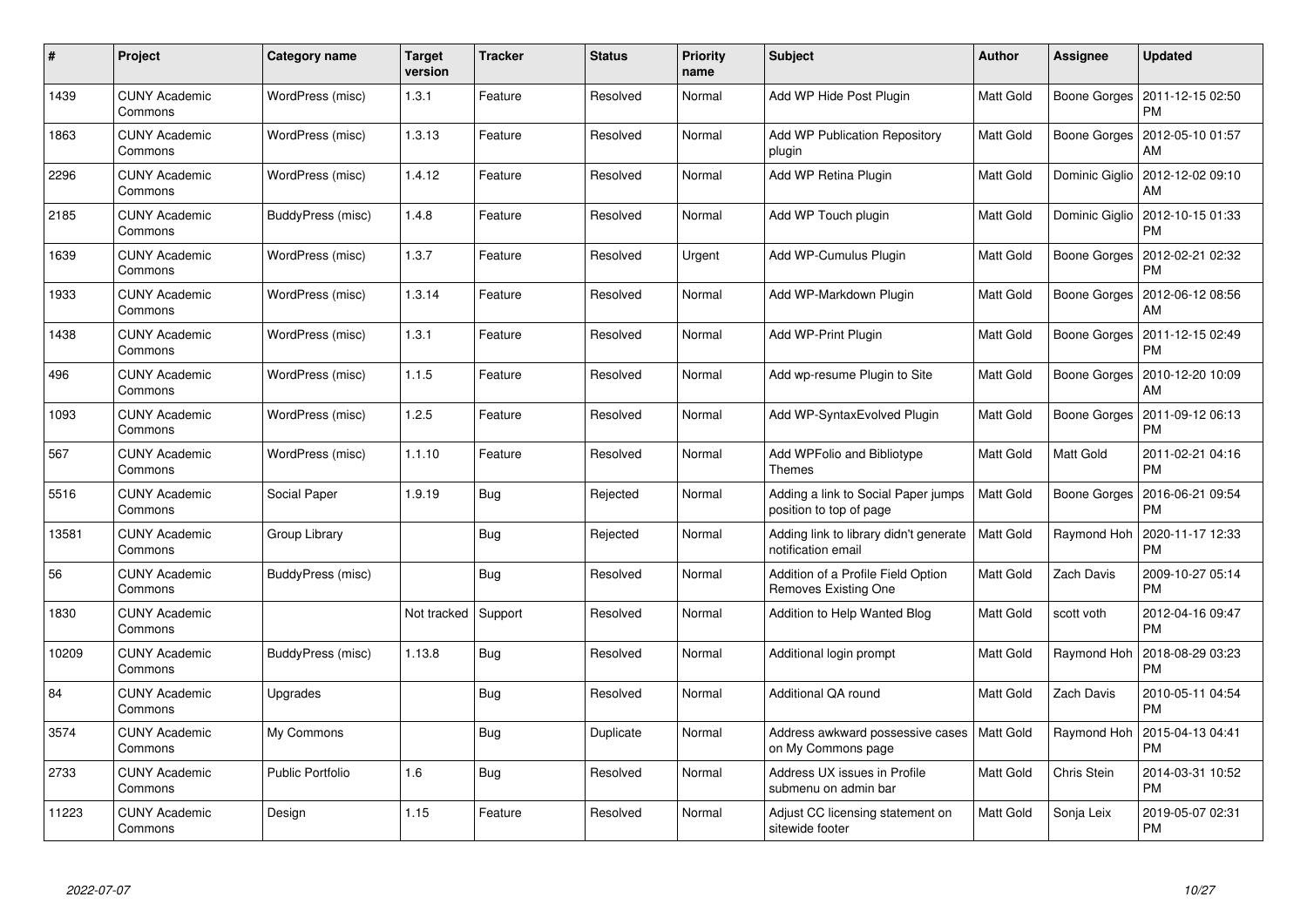| $\#$  | Project                         | <b>Category name</b>    | <b>Target</b><br>version | <b>Tracker</b> | <b>Status</b> | <b>Priority</b><br>name | <b>Subject</b>                                                     | <b>Author</b>    | Assignee       | <b>Updated</b>                |
|-------|---------------------------------|-------------------------|--------------------------|----------------|---------------|-------------------------|--------------------------------------------------------------------|------------------|----------------|-------------------------------|
| 1439  | <b>CUNY Academic</b><br>Commons | WordPress (misc)        | 1.3.1                    | Feature        | Resolved      | Normal                  | Add WP Hide Post Plugin                                            | Matt Gold        | Boone Gorges   | 2011-12-15 02:50<br><b>PM</b> |
| 1863  | <b>CUNY Academic</b><br>Commons | WordPress (misc)        | 1.3.13                   | Feature        | Resolved      | Normal                  | <b>Add WP Publication Repository</b><br>plugin                     | Matt Gold        | Boone Gorges   | 2012-05-10 01:57<br>AM        |
| 2296  | <b>CUNY Academic</b><br>Commons | WordPress (misc)        | 1.4.12                   | Feature        | Resolved      | Normal                  | Add WP Retina Plugin                                               | Matt Gold        | Dominic Giglio | 2012-12-02 09:10<br>AM        |
| 2185  | <b>CUNY Academic</b><br>Commons | BuddyPress (misc)       | 1.4.8                    | Feature        | Resolved      | Normal                  | Add WP Touch plugin                                                | Matt Gold        | Dominic Giglio | 2012-10-15 01:33<br>PM        |
| 1639  | <b>CUNY Academic</b><br>Commons | WordPress (misc)        | 1.3.7                    | Feature        | Resolved      | Urgent                  | Add WP-Cumulus Plugin                                              | Matt Gold        | Boone Gorges   | 2012-02-21 02:32<br>PM        |
| 1933  | <b>CUNY Academic</b><br>Commons | WordPress (misc)        | 1.3.14                   | Feature        | Resolved      | Normal                  | Add WP-Markdown Plugin                                             | Matt Gold        | Boone Gorges   | 2012-06-12 08:56<br>AM        |
| 1438  | <b>CUNY Academic</b><br>Commons | WordPress (misc)        | 1.3.1                    | Feature        | Resolved      | Normal                  | Add WP-Print Plugin                                                | <b>Matt Gold</b> | Boone Gorges   | 2011-12-15 02:49<br><b>PM</b> |
| 496   | <b>CUNY Academic</b><br>Commons | WordPress (misc)        | 1.1.5                    | Feature        | Resolved      | Normal                  | Add wp-resume Plugin to Site                                       | Matt Gold        | Boone Gorges   | 2010-12-20 10:09<br>AM        |
| 1093  | <b>CUNY Academic</b><br>Commons | WordPress (misc)        | 1.2.5                    | Feature        | Resolved      | Normal                  | Add WP-SyntaxEvolved Plugin                                        | Matt Gold        | Boone Gorges   | 2011-09-12 06:13<br><b>PM</b> |
| 567   | <b>CUNY Academic</b><br>Commons | WordPress (misc)        | 1.1.10                   | Feature        | Resolved      | Normal                  | Add WPFolio and Bibliotype<br><b>Themes</b>                        | Matt Gold        | Matt Gold      | 2011-02-21 04:16<br><b>PM</b> |
| 5516  | <b>CUNY Academic</b><br>Commons | Social Paper            | 1.9.19                   | <b>Bug</b>     | Rejected      | Normal                  | Adding a link to Social Paper jumps<br>position to top of page     | Matt Gold        | Boone Gorges   | 2016-06-21 09:54<br><b>PM</b> |
| 13581 | <b>CUNY Academic</b><br>Commons | Group Library           |                          | <b>Bug</b>     | Rejected      | Normal                  | Adding link to library didn't generate<br>notification email       | Matt Gold        | Raymond Hoh    | 2020-11-17 12:33<br><b>PM</b> |
| 56    | <b>CUNY Academic</b><br>Commons | BuddyPress (misc)       |                          | <b>Bug</b>     | Resolved      | Normal                  | Addition of a Profile Field Option<br>Removes Existing One         | Matt Gold        | Zach Davis     | 2009-10-27 05:14<br><b>PM</b> |
| 1830  | <b>CUNY Academic</b><br>Commons |                         | Not tracked              | Support        | Resolved      | Normal                  | Addition to Help Wanted Blog                                       | Matt Gold        | scott voth     | 2012-04-16 09:47<br><b>PM</b> |
| 10209 | <b>CUNY Academic</b><br>Commons | BuddyPress (misc)       | 1.13.8                   | Bug            | Resolved      | Normal                  | Additional login prompt                                            | Matt Gold        | Raymond Hoh    | 2018-08-29 03:23<br><b>PM</b> |
| 84    | <b>CUNY Academic</b><br>Commons | Upgrades                |                          | <b>Bug</b>     | Resolved      | Normal                  | Additional QA round                                                | Matt Gold        | Zach Davis     | 2010-05-11 04:54<br><b>PM</b> |
| 3574  | <b>CUNY Academic</b><br>Commons | My Commons              |                          | <b>Bug</b>     | Duplicate     | Normal                  | Address awkward possessive cases   Matt Gold<br>on My Commons page |                  | Raymond Hoh    | 2015-04-13 04:41<br><b>PM</b> |
| 2733  | <b>CUNY Academic</b><br>Commons | <b>Public Portfolio</b> | 1.6                      | <b>Bug</b>     | Resolved      | Normal                  | Address UX issues in Profile<br>submenu on admin bar               | Matt Gold        | Chris Stein    | 2014-03-31 10:52<br><b>PM</b> |
| 11223 | <b>CUNY Academic</b><br>Commons | Design                  | 1.15                     | Feature        | Resolved      | Normal                  | Adjust CC licensing statement on<br>sitewide footer                | Matt Gold        | Sonja Leix     | 2019-05-07 02:31<br><b>PM</b> |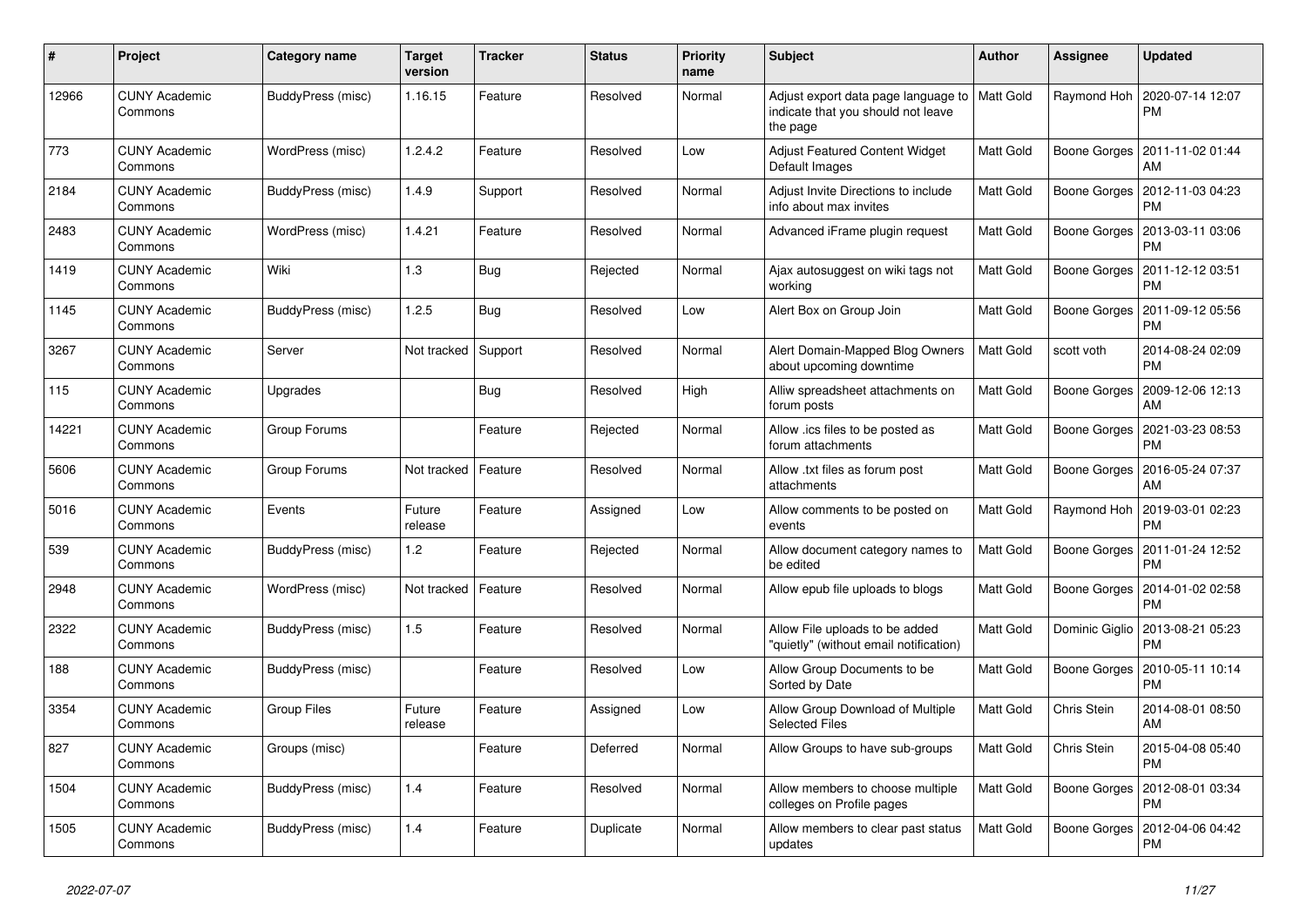| $\pmb{\#}$ | Project                         | Category name      | <b>Target</b><br>version | <b>Tracker</b> | <b>Status</b> | Priority<br>name | <b>Subject</b>                                                                        | <b>Author</b> | Assignee       | <b>Updated</b>                               |
|------------|---------------------------------|--------------------|--------------------------|----------------|---------------|------------------|---------------------------------------------------------------------------------------|---------------|----------------|----------------------------------------------|
| 12966      | <b>CUNY Academic</b><br>Commons | BuddyPress (misc)  | 1.16.15                  | Feature        | Resolved      | Normal           | Adjust export data page language to<br>indicate that you should not leave<br>the page | Matt Gold     | Raymond Hoh    | 2020-07-14 12:07<br><b>PM</b>                |
| 773        | <b>CUNY Academic</b><br>Commons | WordPress (misc)   | 1.2.4.2                  | Feature        | Resolved      | Low              | Adjust Featured Content Widget<br>Default Images                                      | Matt Gold     |                | Boone Gorges   2011-11-02 01:44<br>AM        |
| 2184       | <b>CUNY Academic</b><br>Commons | BuddyPress (misc)  | 1.4.9                    | Support        | Resolved      | Normal           | Adjust Invite Directions to include<br>info about max invites                         | Matt Gold     | Boone Gorges   | 2012-11-03 04:23<br><b>PM</b>                |
| 2483       | <b>CUNY Academic</b><br>Commons | WordPress (misc)   | 1.4.21                   | Feature        | Resolved      | Normal           | Advanced iFrame plugin request                                                        | Matt Gold     | Boone Gorges   | 2013-03-11 03:06<br><b>PM</b>                |
| 1419       | <b>CUNY Academic</b><br>Commons | Wiki               | 1.3                      | <b>Bug</b>     | Rejected      | Normal           | Ajax autosuggest on wiki tags not<br>working                                          | Matt Gold     | Boone Gorges   | 2011-12-12 03:51<br><b>PM</b>                |
| 1145       | <b>CUNY Academic</b><br>Commons | BuddyPress (misc)  | 1.2.5                    | Bug            | Resolved      | Low              | Alert Box on Group Join                                                               | Matt Gold     | Boone Gorges   | 2011-09-12 05:56<br><b>PM</b>                |
| 3267       | <b>CUNY Academic</b><br>Commons | Server             | Not tracked              | Support        | Resolved      | Normal           | Alert Domain-Mapped Blog Owners<br>about upcoming downtime                            | Matt Gold     | scott voth     | 2014-08-24 02:09<br><b>PM</b>                |
| 115        | <b>CUNY Academic</b><br>Commons | Upgrades           |                          | Bug            | Resolved      | High             | Alliw spreadsheet attachments on<br>forum posts                                       | Matt Gold     | Boone Gorges   | 2009-12-06 12:13<br>AM                       |
| 14221      | <b>CUNY Academic</b><br>Commons | Group Forums       |                          | Feature        | Rejected      | Normal           | Allow .ics files to be posted as<br>forum attachments                                 | Matt Gold     |                | Boone Gorges   2021-03-23 08:53<br><b>PM</b> |
| 5606       | <b>CUNY Academic</b><br>Commons | Group Forums       | Not tracked              | Feature        | Resolved      | Normal           | Allow .txt files as forum post<br>attachments                                         | Matt Gold     | Boone Gorges   | 2016-05-24 07:37<br>AM                       |
| 5016       | <b>CUNY Academic</b><br>Commons | Events             | Future<br>release        | Feature        | Assigned      | Low              | Allow comments to be posted on<br>events                                              | Matt Gold     | Raymond Hoh    | 2019-03-01 02:23<br><b>PM</b>                |
| 539        | <b>CUNY Academic</b><br>Commons | BuddyPress (misc)  | 1.2                      | Feature        | Rejected      | Normal           | Allow document category names to<br>be edited                                         | Matt Gold     | Boone Gorges   | 2011-01-24 12:52<br><b>PM</b>                |
| 2948       | <b>CUNY Academic</b><br>Commons | WordPress (misc)   | Not tracked              | Feature        | Resolved      | Normal           | Allow epub file uploads to blogs                                                      | Matt Gold     | Boone Gorges   | 2014-01-02 02:58<br><b>PM</b>                |
| 2322       | <b>CUNY Academic</b><br>Commons | BuddyPress (misc)  | 1.5                      | Feature        | Resolved      | Normal           | Allow File uploads to be added<br>'quietly" (without email notification)              | Matt Gold     | Dominic Giglio | 2013-08-21 05:23<br><b>PM</b>                |
| 188        | <b>CUNY Academic</b><br>Commons | BuddyPress (misc)  |                          | Feature        | Resolved      | Low              | Allow Group Documents to be<br>Sorted by Date                                         | Matt Gold     | Boone Gorges   | 2010-05-11 10:14<br><b>PM</b>                |
| 3354       | <b>CUNY Academic</b><br>Commons | <b>Group Files</b> | Future<br>release        | Feature        | Assigned      | Low              | Allow Group Download of Multiple<br><b>Selected Files</b>                             | Matt Gold     | Chris Stein    | 2014-08-01 08:50<br>AM                       |
| 827        | <b>CUNY Academic</b><br>Commons | Groups (misc)      |                          | Feature        | Deferred      | Normal           | Allow Groups to have sub-groups                                                       | Matt Gold     | Chris Stein    | 2015-04-08 05:40<br><b>PM</b>                |
| 1504       | <b>CUNY Academic</b><br>Commons | BuddyPress (misc)  | 1.4                      | Feature        | Resolved      | Normal           | Allow members to choose multiple<br>colleges on Profile pages                         | Matt Gold     | Boone Gorges   | 2012-08-01 03:34<br>PM                       |
| 1505       | <b>CUNY Academic</b><br>Commons | BuddyPress (misc)  | 1.4                      | Feature        | Duplicate     | Normal           | Allow members to clear past status<br>updates                                         | Matt Gold     | Boone Gorges   | 2012-04-06 04:42<br>PM                       |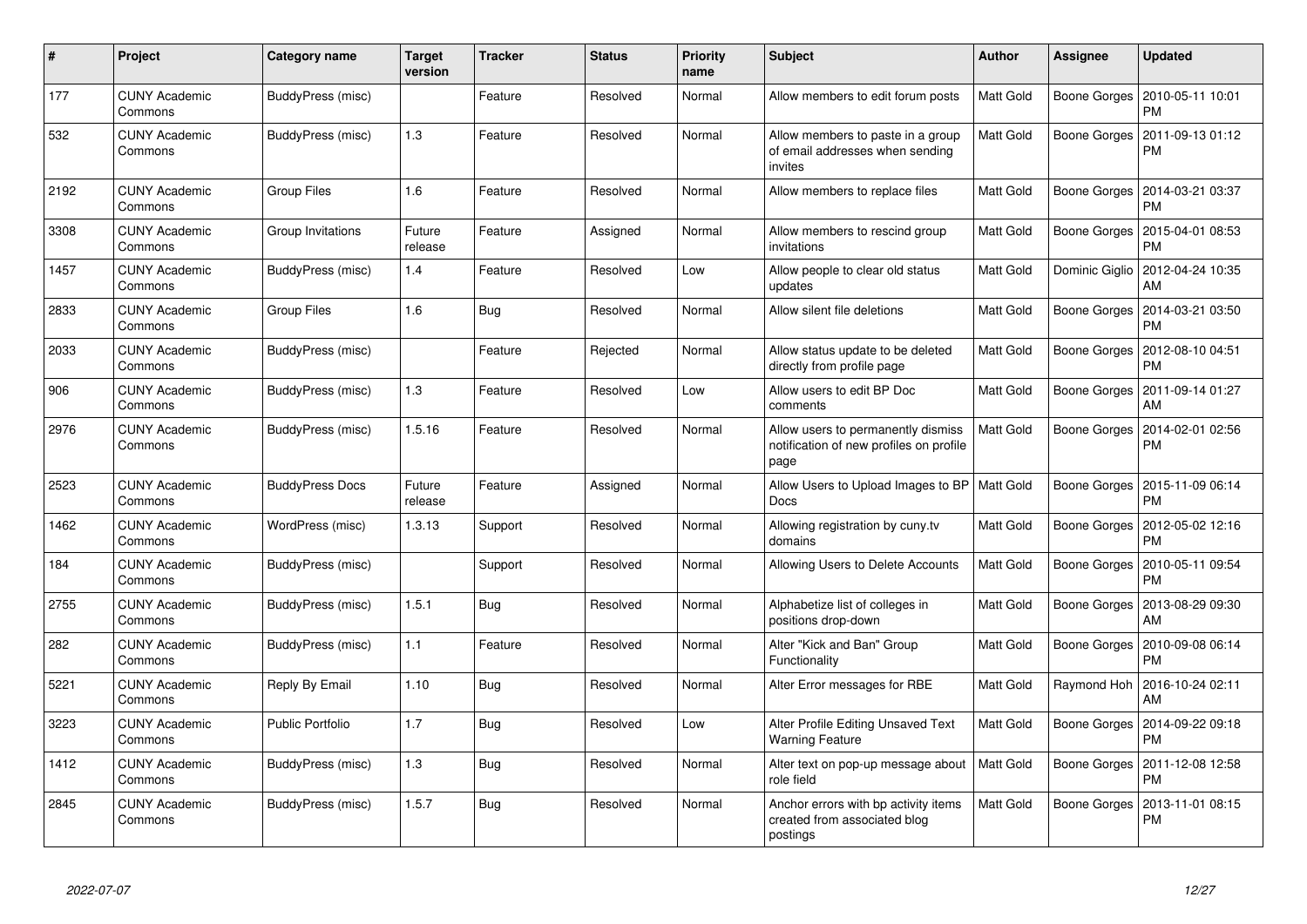| #    | Project                         | <b>Category name</b>    | <b>Target</b><br>version | <b>Tracker</b> | <b>Status</b> | <b>Priority</b><br>name | <b>Subject</b>                                                                        | <b>Author</b>    | Assignee       | <b>Updated</b>                        |
|------|---------------------------------|-------------------------|--------------------------|----------------|---------------|-------------------------|---------------------------------------------------------------------------------------|------------------|----------------|---------------------------------------|
| 177  | <b>CUNY Academic</b><br>Commons | BuddyPress (misc)       |                          | Feature        | Resolved      | Normal                  | Allow members to edit forum posts                                                     | Matt Gold        | Boone Gorges   | 2010-05-11 10:01<br>PM                |
| 532  | <b>CUNY Academic</b><br>Commons | BuddyPress (misc)       | 1.3                      | Feature        | Resolved      | Normal                  | Allow members to paste in a group<br>of email addresses when sending<br>invites       | Matt Gold        | Boone Gorges   | 2011-09-13 01:12<br>PM                |
| 2192 | <b>CUNY Academic</b><br>Commons | <b>Group Files</b>      | 1.6                      | Feature        | Resolved      | Normal                  | Allow members to replace files                                                        | Matt Gold        | Boone Gorges   | 2014-03-21 03:37<br>PM                |
| 3308 | <b>CUNY Academic</b><br>Commons | Group Invitations       | Future<br>release        | Feature        | Assigned      | Normal                  | Allow members to rescind group<br>invitations                                         | Matt Gold        | Boone Gorges   | 2015-04-01 08:53<br>РM                |
| 1457 | <b>CUNY Academic</b><br>Commons | BuddyPress (misc)       | 1.4                      | Feature        | Resolved      | Low                     | Allow people to clear old status<br>updates                                           | Matt Gold        | Dominic Giglio | 2012-04-24 10:35<br>AM                |
| 2833 | <b>CUNY Academic</b><br>Commons | <b>Group Files</b>      | 1.6                      | Bug            | Resolved      | Normal                  | Allow silent file deletions                                                           | <b>Matt Gold</b> |                | Boone Gorges   2014-03-21 03:50<br>PM |
| 2033 | <b>CUNY Academic</b><br>Commons | BuddyPress (misc)       |                          | Feature        | Rejected      | Normal                  | Allow status update to be deleted<br>directly from profile page                       | <b>Matt Gold</b> | Boone Gorges   | 2012-08-10 04:51<br><b>PM</b>         |
| 906  | <b>CUNY Academic</b><br>Commons | BuddyPress (misc)       | 1.3                      | Feature        | Resolved      | Low                     | Allow users to edit BP Doc<br>comments                                                | Matt Gold        | Boone Gorges   | 2011-09-14 01:27<br>AM                |
| 2976 | <b>CUNY Academic</b><br>Commons | BuddyPress (misc)       | 1.5.16                   | Feature        | Resolved      | Normal                  | Allow users to permanently dismiss<br>notification of new profiles on profile<br>page | Matt Gold        | Boone Gorges   | 2014-02-01 02:56<br>PM                |
| 2523 | <b>CUNY Academic</b><br>Commons | <b>BuddyPress Docs</b>  | Future<br>release        | Feature        | Assigned      | Normal                  | Allow Users to Upload Images to BP<br>Docs                                            | <b>Matt Gold</b> | Boone Gorges   | 2015-11-09 06:14<br>PM                |
| 1462 | <b>CUNY Academic</b><br>Commons | WordPress (misc)        | 1.3.13                   | Support        | Resolved      | Normal                  | Allowing registration by cuny.tv<br>domains                                           | Matt Gold        | Boone Gorges   | 2012-05-02 12:16<br><b>PM</b>         |
| 184  | <b>CUNY Academic</b><br>Commons | BuddyPress (misc)       |                          | Support        | Resolved      | Normal                  | Allowing Users to Delete Accounts                                                     | Matt Gold        | Boone Gorges   | 2010-05-11 09:54<br><b>PM</b>         |
| 2755 | <b>CUNY Academic</b><br>Commons | BuddyPress (misc)       | 1.5.1                    | <b>Bug</b>     | Resolved      | Normal                  | Alphabetize list of colleges in<br>positions drop-down                                | Matt Gold        | Boone Gorges   | 2013-08-29 09:30<br>AM                |
| 282  | <b>CUNY Academic</b><br>Commons | BuddyPress (misc)       | 1.1                      | Feature        | Resolved      | Normal                  | Alter "Kick and Ban" Group<br>Functionality                                           | Matt Gold        | Boone Gorges   | 2010-09-08 06:14<br>РM                |
| 5221 | <b>CUNY Academic</b><br>Commons | Reply By Email          | 1.10                     | <b>Bug</b>     | Resolved      | Normal                  | Alter Error messages for RBE                                                          | Matt Gold        | Raymond Hoh    | 2016-10-24 02:11<br>AM                |
| 3223 | <b>CUNY Academic</b><br>Commons | <b>Public Portfolio</b> | 1.7                      | <b>Bug</b>     | Resolved      | Low                     | Alter Profile Editing Unsaved Text<br><b>Warning Feature</b>                          | Matt Gold        | Boone Gorges   | 2014-09-22 09:18<br>PM                |
| 1412 | <b>CUNY Academic</b><br>Commons | BuddyPress (misc)       | 1.3                      | Bug            | Resolved      | Normal                  | Alter text on pop-up message about<br>role field                                      | Matt Gold        | Boone Gorges   | 2011-12-08 12:58<br>PM                |
| 2845 | <b>CUNY Academic</b><br>Commons | BuddyPress (misc)       | 1.5.7                    | Bug            | Resolved      | Normal                  | Anchor errors with bp activity items<br>created from associated blog<br>postings      | Matt Gold        | Boone Gorges   | 2013-11-01 08:15<br>PM                |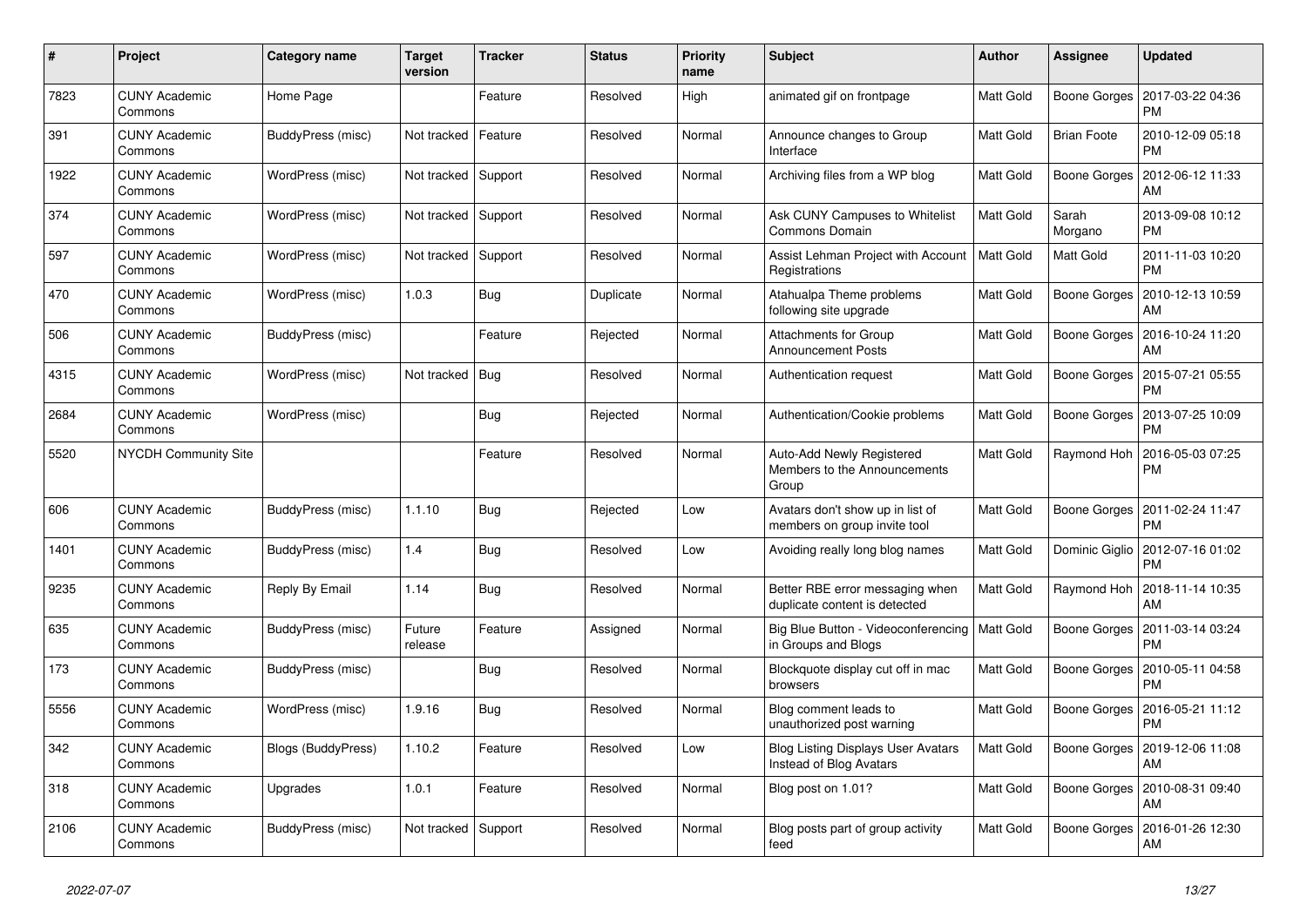| #    | Project                         | Category name      | <b>Target</b><br>version | <b>Tracker</b> | <b>Status</b> | <b>Priority</b><br>name | <b>Subject</b>                                                       | <b>Author</b> | Assignee           | <b>Updated</b>                |
|------|---------------------------------|--------------------|--------------------------|----------------|---------------|-------------------------|----------------------------------------------------------------------|---------------|--------------------|-------------------------------|
| 7823 | <b>CUNY Academic</b><br>Commons | Home Page          |                          | Feature        | Resolved      | High                    | animated gif on frontpage                                            | Matt Gold     | Boone Gorges       | 2017-03-22 04:36<br><b>PM</b> |
| 391  | <b>CUNY Academic</b><br>Commons | BuddyPress (misc)  | Not tracked              | Feature        | Resolved      | Normal                  | Announce changes to Group<br>Interface                               | Matt Gold     | <b>Brian Foote</b> | 2010-12-09 05:18<br><b>PM</b> |
| 1922 | <b>CUNY Academic</b><br>Commons | WordPress (misc)   | Not tracked              | Support        | Resolved      | Normal                  | Archiving files from a WP blog                                       | Matt Gold     | Boone Gorges       | 2012-06-12 11:33<br>AM        |
| 374  | <b>CUNY Academic</b><br>Commons | WordPress (misc)   | Not tracked              | Support        | Resolved      | Normal                  | Ask CUNY Campuses to Whitelist<br><b>Commons Domain</b>              | Matt Gold     | Sarah<br>Morgano   | 2013-09-08 10:12<br><b>PM</b> |
| 597  | <b>CUNY Academic</b><br>Commons | WordPress (misc)   | Not tracked              | Support        | Resolved      | Normal                  | Assist Lehman Project with Account<br>Registrations                  | Matt Gold     | <b>Matt Gold</b>   | 2011-11-03 10:20<br><b>PM</b> |
| 470  | <b>CUNY Academic</b><br>Commons | WordPress (misc)   | 1.0.3                    | Bug            | Duplicate     | Normal                  | Atahualpa Theme problems<br>following site upgrade                   | Matt Gold     | Boone Gorges       | 2010-12-13 10:59<br>AM        |
| 506  | <b>CUNY Academic</b><br>Commons | BuddyPress (misc)  |                          | Feature        | Rejected      | Normal                  | <b>Attachments for Group</b><br><b>Announcement Posts</b>            | Matt Gold     | Boone Gorges       | 2016-10-24 11:20<br>AM        |
| 4315 | <b>CUNY Academic</b><br>Commons | WordPress (misc)   | Not tracked              | Bug            | Resolved      | Normal                  | Authentication request                                               | Matt Gold     | Boone Gorges       | 2015-07-21 05:55<br><b>PM</b> |
| 2684 | <b>CUNY Academic</b><br>Commons | WordPress (misc)   |                          | Bug            | Rejected      | Normal                  | Authentication/Cookie problems                                       | Matt Gold     | Boone Gorges       | 2013-07-25 10:09<br>PM        |
| 5520 | <b>NYCDH Community Site</b>     |                    |                          | Feature        | Resolved      | Normal                  | Auto-Add Newly Registered<br>Members to the Announcements<br>Group   | Matt Gold     | Raymond Hoh        | 2016-05-03 07:25<br><b>PM</b> |
| 606  | <b>CUNY Academic</b><br>Commons | BuddyPress (misc)  | 1.1.10                   | <b>Bug</b>     | Rejected      | Low                     | Avatars don't show up in list of<br>members on group invite tool     | Matt Gold     | Boone Gorges       | 2011-02-24 11:47<br><b>PM</b> |
| 1401 | <b>CUNY Academic</b><br>Commons | BuddyPress (misc)  | 1.4                      | Bug            | Resolved      | Low                     | Avoiding really long blog names                                      | Matt Gold     | Dominic Giglio     | 2012-07-16 01:02<br><b>PM</b> |
| 9235 | <b>CUNY Academic</b><br>Commons | Reply By Email     | 1.14                     | Bug            | Resolved      | Normal                  | Better RBE error messaging when<br>duplicate content is detected     | Matt Gold     | Raymond Hoh        | 2018-11-14 10:35<br>AM        |
| 635  | <b>CUNY Academic</b><br>Commons | BuddyPress (misc)  | Future<br>release        | Feature        | Assigned      | Normal                  | Big Blue Button - Videoconferencing<br>in Groups and Blogs           | Matt Gold     | Boone Gorges       | 2011-03-14 03:24<br><b>PM</b> |
| 173  | <b>CUNY Academic</b><br>Commons | BuddyPress (misc)  |                          | Bug            | Resolved      | Normal                  | Blockquote display cut off in mac<br>browsers                        | Matt Gold     | Boone Gorges       | 2010-05-11 04:58<br><b>PM</b> |
| 5556 | <b>CUNY Academic</b><br>Commons | WordPress (misc)   | 1.9.16                   | Bug            | Resolved      | Normal                  | Blog comment leads to<br>unauthorized post warning                   | Matt Gold     | Boone Gorges       | 2016-05-21 11:12<br><b>PM</b> |
| 342  | <b>CUNY Academic</b><br>Commons | Blogs (BuddyPress) | 1.10.2                   | Feature        | Resolved      | Low                     | <b>Blog Listing Displays User Avatars</b><br>Instead of Blog Avatars | Matt Gold     | Boone Gorges       | 2019-12-06 11:08<br>AM        |
| 318  | <b>CUNY Academic</b><br>Commons | Upgrades           | 1.0.1                    | Feature        | Resolved      | Normal                  | Blog post on 1.01?                                                   | Matt Gold     | Boone Gorges       | 2010-08-31 09:40<br>AM        |
| 2106 | <b>CUNY Academic</b><br>Commons | BuddyPress (misc)  | Not tracked              | Support        | Resolved      | Normal                  | Blog posts part of group activity<br>feed                            | Matt Gold     | Boone Gorges       | 2016-01-26 12:30<br>AM        |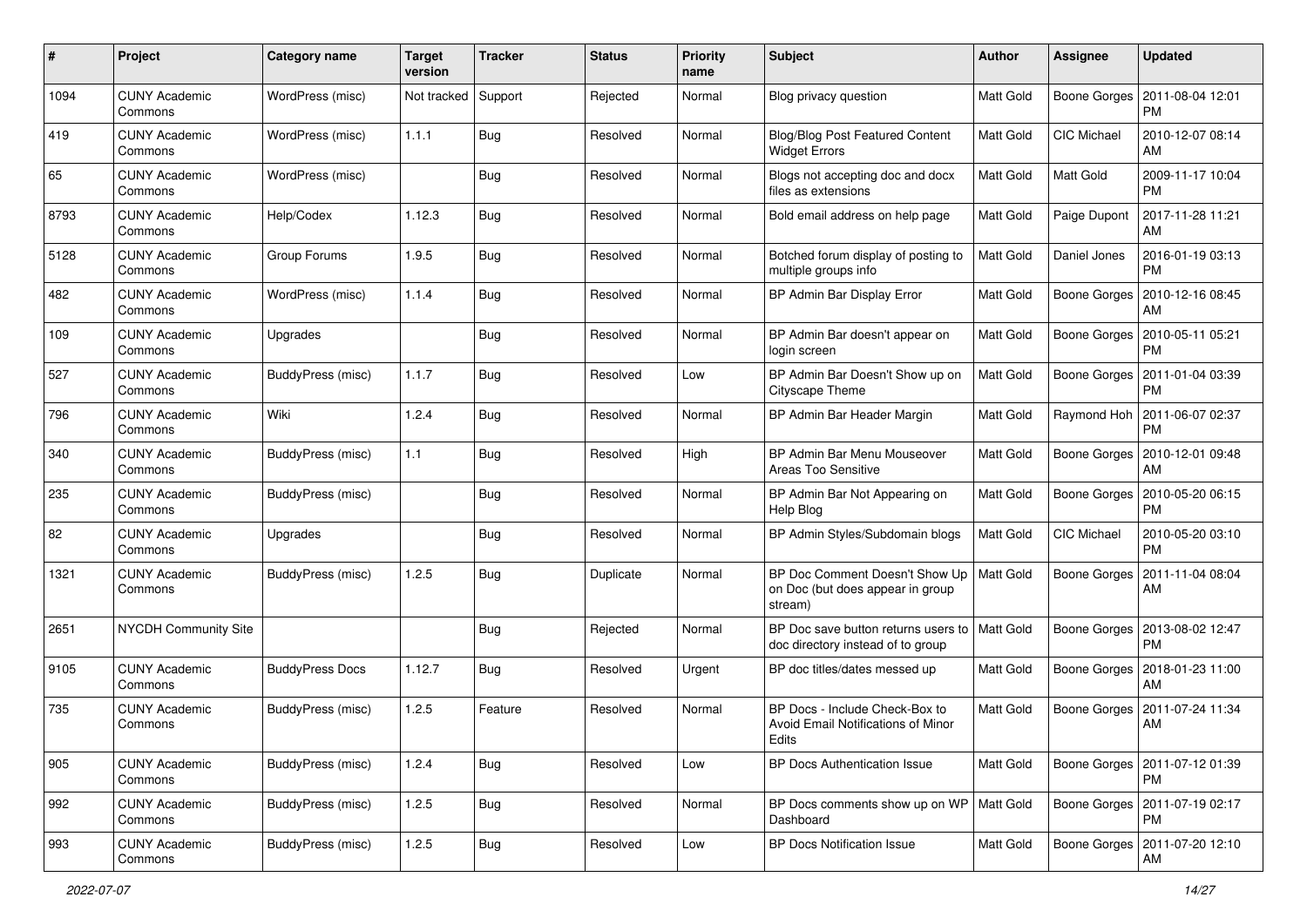| #    | Project                         | Category name            | <b>Target</b><br>version | <b>Tracker</b> | <b>Status</b> | <b>Priority</b><br>name | Subject                                                                       | Author           | <b>Assignee</b>    | <b>Updated</b>                               |
|------|---------------------------------|--------------------------|--------------------------|----------------|---------------|-------------------------|-------------------------------------------------------------------------------|------------------|--------------------|----------------------------------------------|
| 1094 | <b>CUNY Academic</b><br>Commons | WordPress (misc)         | Not tracked              | Support        | Rejected      | Normal                  | Blog privacy question                                                         | Matt Gold        | Boone Gorges       | 2011-08-04 12:01<br>PM                       |
| 419  | <b>CUNY Academic</b><br>Commons | WordPress (misc)         | 1.1.1                    | Bug            | Resolved      | Normal                  | <b>Blog/Blog Post Featured Content</b><br><b>Widget Errors</b>                | Matt Gold        | CIC Michael        | 2010-12-07 08:14<br>AM                       |
| 65   | CUNY Academic<br>Commons        | WordPress (misc)         |                          | <b>Bug</b>     | Resolved      | Normal                  | Blogs not accepting doc and docx<br>files as extensions                       | Matt Gold        | Matt Gold          | 2009-11-17 10:04<br><b>PM</b>                |
| 8793 | <b>CUNY Academic</b><br>Commons | Help/Codex               | 1.12.3                   | Bug            | Resolved      | Normal                  | Bold email address on help page                                               | Matt Gold        | Paige Dupont       | 2017-11-28 11:21<br>AM                       |
| 5128 | <b>CUNY Academic</b><br>Commons | Group Forums             | 1.9.5                    | Bug            | Resolved      | Normal                  | Botched forum display of posting to<br>multiple groups info                   | <b>Matt Gold</b> | Daniel Jones       | 2016-01-19 03:13<br><b>PM</b>                |
| 482  | <b>CUNY Academic</b><br>Commons | WordPress (misc)         | 1.1.4                    | Bug            | Resolved      | Normal                  | BP Admin Bar Display Error                                                    | Matt Gold        | Boone Gorges       | 2010-12-16 08:45<br>AM                       |
| 109  | <b>CUNY Academic</b><br>Commons | Upgrades                 |                          | Bug            | Resolved      | Normal                  | BP Admin Bar doesn't appear on<br>login screen                                | Matt Gold        | Boone Gorges       | 2010-05-11 05:21<br>PM                       |
| 527  | <b>CUNY Academic</b><br>Commons | <b>BuddyPress (misc)</b> | 1.1.7                    | <b>Bug</b>     | Resolved      | Low                     | BP Admin Bar Doesn't Show up on<br>Cityscape Theme                            | Matt Gold        | Boone Gorges       | 2011-01-04 03:39<br>PM                       |
| 796  | <b>CUNY Academic</b><br>Commons | Wiki                     | 1.2.4                    | Bug            | Resolved      | Normal                  | BP Admin Bar Header Margin                                                    | Matt Gold        |                    | Raymond Hoh   2011-06-07 02:37<br><b>PM</b>  |
| 340  | <b>CUNY Academic</b><br>Commons | BuddyPress (misc)        | 1.1                      | <b>Bug</b>     | Resolved      | High                    | BP Admin Bar Menu Mouseover<br>Areas Too Sensitive                            | <b>Matt Gold</b> | Boone Gorges       | 2010-12-01 09:48<br>AM                       |
| 235  | <b>CUNY Academic</b><br>Commons | BuddyPress (misc)        |                          | Bug            | Resolved      | Normal                  | BP Admin Bar Not Appearing on<br>Help Blog                                    | Matt Gold        | Boone Gorges       | 2010-05-20 06:15<br><b>PM</b>                |
| 82   | <b>CUNY Academic</b><br>Commons | Upgrades                 |                          | <b>Bug</b>     | Resolved      | Normal                  | BP Admin Styles/Subdomain blogs                                               | <b>Matt Gold</b> | <b>CIC Michael</b> | 2010-05-20 03:10<br><b>PM</b>                |
| 1321 | <b>CUNY Academic</b><br>Commons | BuddyPress (misc)        | 1.2.5                    | Bug            | Duplicate     | Normal                  | BP Doc Comment Doesn't Show Up<br>on Doc (but does appear in group<br>stream) | Matt Gold        | Boone Gorges       | 2011-11-04 08:04<br>AM                       |
| 2651 | NYCDH Community Site            |                          |                          | Bug            | Rejected      | Normal                  | BP Doc save button returns users to<br>doc directory instead of to group      | <b>Matt Gold</b> | Boone Gorges       | 2013-08-02 12:47<br><b>PM</b>                |
| 9105 | <b>CUNY Academic</b><br>Commons | <b>BuddyPress Docs</b>   | 1.12.7                   | Bug            | Resolved      | Urgent                  | BP doc titles/dates messed up                                                 | <b>Matt Gold</b> | Boone Gorges       | 2018-01-23 11:00<br>AM                       |
| 735  | <b>CUNY Academic</b><br>Commons | BuddyPress (misc)        | 1.2.5                    | Feature        | Resolved      | Normal                  | BP Docs - Include Check-Box to<br>Avoid Email Notifications of Minor<br>Edits | <b>Matt Gold</b> | Boone Gorges       | 2011-07-24 11:34<br>AM                       |
| 905  | <b>CUNY Academic</b><br>Commons | BuddyPress (misc)        | 1.2.4                    | <b>Bug</b>     | Resolved      | Low                     | BP Docs Authentication Issue                                                  | Matt Gold        |                    | Boone Gorges   2011-07-12 01:39<br>PM        |
| 992  | <b>CUNY Academic</b><br>Commons | BuddyPress (misc)        | 1.2.5                    | Bug            | Resolved      | Normal                  | BP Docs comments show up on WP   Matt Gold<br>Dashboard                       |                  |                    | Boone Gorges   2011-07-19 02:17<br><b>PM</b> |
| 993  | <b>CUNY Academic</b><br>Commons | BuddyPress (misc)        | 1.2.5                    | <b>Bug</b>     | Resolved      | Low                     | <b>BP Docs Notification Issue</b>                                             | Matt Gold        |                    | Boone Gorges   2011-07-20 12:10<br>AM        |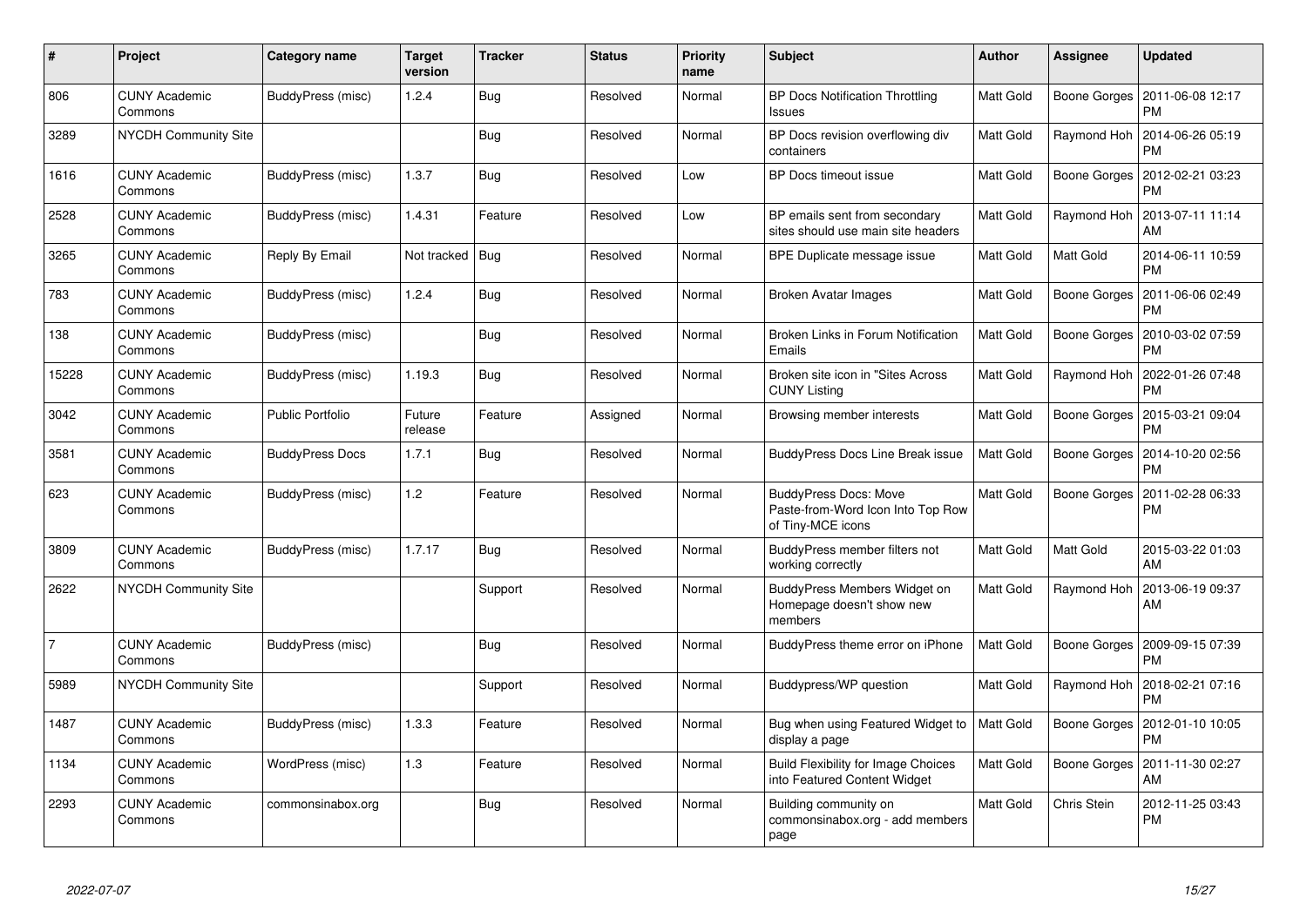| $\#$           | Project                         | Category name           | <b>Target</b><br>version | <b>Tracker</b> | <b>Status</b> | <b>Priority</b><br>name | <b>Subject</b>                                                                         | Author    | Assignee     | <b>Updated</b>                        |
|----------------|---------------------------------|-------------------------|--------------------------|----------------|---------------|-------------------------|----------------------------------------------------------------------------------------|-----------|--------------|---------------------------------------|
| 806            | <b>CUNY Academic</b><br>Commons | BuddyPress (misc)       | 1.2.4                    | Bug            | Resolved      | Normal                  | <b>BP Docs Notification Throttling</b><br>Issues                                       | Matt Gold | Boone Gorges | 2011-06-08 12:17<br><b>PM</b>         |
| 3289           | <b>NYCDH Community Site</b>     |                         |                          | Bug            | Resolved      | Normal                  | BP Docs revision overflowing div<br>containers                                         | Matt Gold | Raymond Hoh  | 2014-06-26 05:19<br><b>PM</b>         |
| 1616           | CUNY Academic<br>Commons        | BuddyPress (misc)       | 1.3.7                    | <b>Bug</b>     | Resolved      | Low                     | <b>BP Docs timeout issue</b>                                                           | Matt Gold | Boone Gorges | 2012-02-21 03:23<br><b>PM</b>         |
| 2528           | <b>CUNY Academic</b><br>Commons | BuddyPress (misc)       | 1.4.31                   | Feature        | Resolved      | Low                     | BP emails sent from secondary<br>sites should use main site headers                    | Matt Gold | Raymond Hoh  | 2013-07-11 11:14<br>AM                |
| 3265           | <b>CUNY Academic</b><br>Commons | Reply By Email          | Not tracked              | <b>Bug</b>     | Resolved      | Normal                  | BPE Duplicate message issue                                                            | Matt Gold | Matt Gold    | 2014-06-11 10:59<br><b>PM</b>         |
| 783            | <b>CUNY Academic</b><br>Commons | BuddyPress (misc)       | 1.2.4                    | Bug            | Resolved      | Normal                  | <b>Broken Avatar Images</b>                                                            | Matt Gold | Boone Gorges | 2011-06-06 02:49<br><b>PM</b>         |
| 138            | <b>CUNY Academic</b><br>Commons | BuddyPress (misc)       |                          | Bug            | Resolved      | Normal                  | Broken Links in Forum Notification<br>Emails                                           | Matt Gold | Boone Gorges | 2010-03-02 07:59<br><b>PM</b>         |
| 15228          | <b>CUNY Academic</b><br>Commons | BuddyPress (misc)       | 1.19.3                   | Bug            | Resolved      | Normal                  | Broken site icon in "Sites Across<br><b>CUNY Listing</b>                               | Matt Gold | Raymond Hoh  | 2022-01-26 07:48<br><b>PM</b>         |
| 3042           | <b>CUNY Academic</b><br>Commons | <b>Public Portfolio</b> | Future<br>release        | Feature        | Assigned      | Normal                  | Browsing member interests                                                              | Matt Gold | Boone Gorges | 2015-03-21 09:04<br><b>PM</b>         |
| 3581           | <b>CUNY Academic</b><br>Commons | <b>BuddyPress Docs</b>  | 1.7.1                    | Bug            | Resolved      | Normal                  | <b>BuddyPress Docs Line Break issue</b>                                                | Matt Gold | Boone Gorges | 2014-10-20 02:56<br><b>PM</b>         |
| 623            | <b>CUNY Academic</b><br>Commons | BuddyPress (misc)       | 1.2                      | Feature        | Resolved      | Normal                  | <b>BuddyPress Docs: Move</b><br>Paste-from-Word Icon Into Top Row<br>of Tiny-MCE icons | Matt Gold | Boone Gorges | 2011-02-28 06:33<br>PM                |
| 3809           | <b>CUNY Academic</b><br>Commons | BuddyPress (misc)       | 1.7.17                   | Bug            | Resolved      | Normal                  | BuddyPress member filters not<br>working correctly                                     | Matt Gold | Matt Gold    | 2015-03-22 01:03<br>AM                |
| 2622           | NYCDH Community Site            |                         |                          | Support        | Resolved      | Normal                  | BuddyPress Members Widget on<br>Homepage doesn't show new<br>members                   | Matt Gold | Raymond Hoh  | 2013-06-19 09:37<br>AM                |
| $\overline{7}$ | <b>CUNY Academic</b><br>Commons | BuddyPress (misc)       |                          | <b>Bug</b>     | Resolved      | Normal                  | BuddyPress theme error on iPhone                                                       | Matt Gold | Boone Gorges | 2009-09-15 07:39<br><b>PM</b>         |
| 5989           | NYCDH Community Site            |                         |                          | Support        | Resolved      | Normal                  | Buddypress/WP question                                                                 | Matt Gold | Raymond Hoh  | 2018-02-21 07:16<br><b>PM</b>         |
| 1487           | <b>CUNY Academic</b><br>Commons | BuddyPress (misc)       | 1.3.3                    | Feature        | Resolved      | Normal                  | Bug when using Featured Widget to<br>display a page                                    | Matt Gold | Boone Gorges | 2012-01-10 10:05<br><b>PM</b>         |
| 1134           | <b>CUNY Academic</b><br>Commons | WordPress (misc)        | 1.3                      | Feature        | Resolved      | Normal                  | <b>Build Flexibility for Image Choices</b><br>into Featured Content Widget             | Matt Gold |              | Boone Gorges   2011-11-30 02:27<br>AM |
| 2293           | <b>CUNY Academic</b><br>Commons | commonsinabox.org       |                          | Bug            | Resolved      | Normal                  | Building community on<br>commonsinabox.org - add members<br>page                       | Matt Gold | Chris Stein  | 2012-11-25 03:43<br><b>PM</b>         |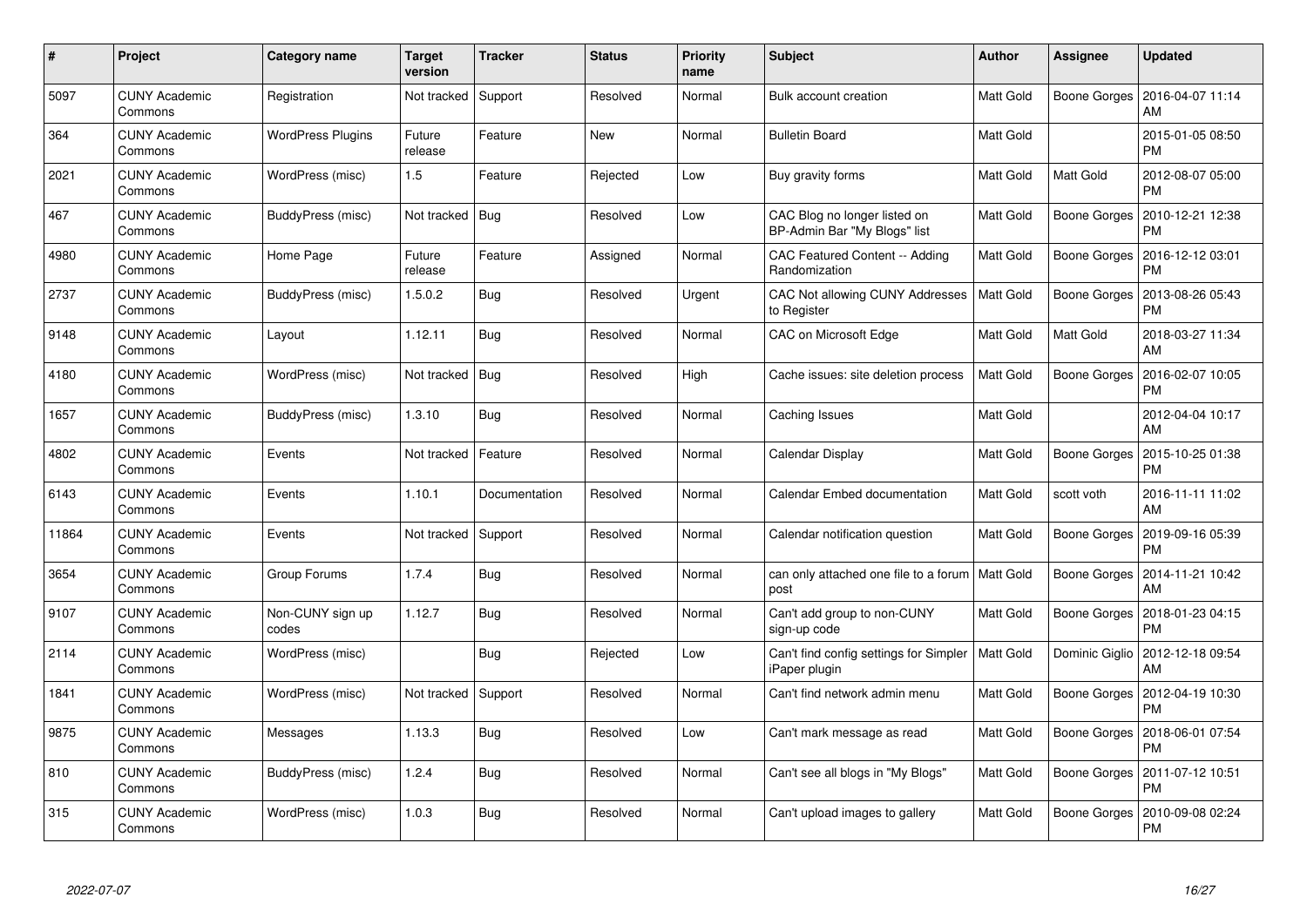| #     | Project                         | <b>Category name</b>      | <b>Target</b><br>version | <b>Tracker</b> | <b>Status</b> | <b>Priority</b><br>name | <b>Subject</b>                                                      | <b>Author</b>    | Assignee     | <b>Updated</b>                          |
|-------|---------------------------------|---------------------------|--------------------------|----------------|---------------|-------------------------|---------------------------------------------------------------------|------------------|--------------|-----------------------------------------|
| 5097  | <b>CUNY Academic</b><br>Commons | Registration              | Not tracked              | Support        | Resolved      | Normal                  | Bulk account creation                                               | Matt Gold        | Boone Gorges | 2016-04-07 11:14<br>AM                  |
| 364   | <b>CUNY Academic</b><br>Commons | <b>WordPress Plugins</b>  | Future<br>release        | Feature        | New           | Normal                  | <b>Bulletin Board</b>                                               | <b>Matt Gold</b> |              | 2015-01-05 08:50<br>PM                  |
| 2021  | <b>CUNY Academic</b><br>Commons | WordPress (misc)          | 1.5                      | Feature        | Rejected      | Low                     | Buy gravity forms                                                   | <b>Matt Gold</b> | Matt Gold    | 2012-08-07 05:00<br>PM                  |
| 467   | <b>CUNY Academic</b><br>Commons | BuddyPress (misc)         | Not tracked              | Bug            | Resolved      | Low                     | CAC Blog no longer listed on<br>BP-Admin Bar "My Blogs" list        | Matt Gold        | Boone Gorges | 2010-12-21 12:38<br>PM                  |
| 4980  | <b>CUNY Academic</b><br>Commons | Home Page                 | Future<br>release        | Feature        | Assigned      | Normal                  | CAC Featured Content -- Adding<br>Randomization                     | Matt Gold        | Boone Gorges | 2016-12-12 03:01<br>PM                  |
| 2737  | <b>CUNY Academic</b><br>Commons | BuddyPress (misc)         | 1.5.0.2                  | Bug            | Resolved      | Urgent                  | CAC Not allowing CUNY Addresses<br>to Register                      | <b>Matt Gold</b> | Boone Gorges | 2013-08-26 05:43<br>PM                  |
| 9148  | <b>CUNY Academic</b><br>Commons | Layout                    | 1.12.11                  | Bug            | Resolved      | Normal                  | CAC on Microsoft Edge                                               | <b>Matt Gold</b> | Matt Gold    | 2018-03-27 11:34<br>AM                  |
| 4180  | <b>CUNY Academic</b><br>Commons | WordPress (misc)          | Not tracked              | Bug            | Resolved      | High                    | Cache issues: site deletion process                                 | Matt Gold        | Boone Gorges | 2016-02-07 10:05<br>PM                  |
| 1657  | <b>CUNY Academic</b><br>Commons | BuddyPress (misc)         | 1.3.10                   | Bug            | Resolved      | Normal                  | Caching Issues                                                      | <b>Matt Gold</b> |              | 2012-04-04 10:17<br>AM                  |
| 4802  | <b>CUNY Academic</b><br>Commons | Events                    | Not tracked              | Feature        | Resolved      | Normal                  | Calendar Display                                                    | Matt Gold        | Boone Gorges | 2015-10-25 01:38<br>PM                  |
| 6143  | <b>CUNY Academic</b><br>Commons | Events                    | 1.10.1                   | Documentation  | Resolved      | Normal                  | Calendar Embed documentation                                        | Matt Gold        | scott voth   | 2016-11-11 11:02<br>AM                  |
| 11864 | <b>CUNY Academic</b><br>Commons | Events                    | Not tracked              | Support        | Resolved      | Normal                  | Calendar notification question                                      | Matt Gold        | Boone Gorges | 2019-09-16 05:39<br>PM                  |
| 3654  | <b>CUNY Academic</b><br>Commons | Group Forums              | 1.7.4                    | Bug            | Resolved      | Normal                  | can only attached one file to a forum   Matt Gold<br>post           |                  | Boone Gorges | 2014-11-21 10:42<br>AM                  |
| 9107  | <b>CUNY Academic</b><br>Commons | Non-CUNY sign up<br>codes | 1.12.7                   | Bug            | Resolved      | Normal                  | Can't add group to non-CUNY<br>sign-up code                         | Matt Gold        | Boone Gorges | 2018-01-23 04:15<br>PM                  |
| 2114  | <b>CUNY Academic</b><br>Commons | WordPress (misc)          |                          | Bug            | Rejected      | Low                     | Can't find config settings for Simpler   Matt Gold<br>iPaper plugin |                  |              | Dominic Giglio   2012-12-18 09:54<br>AM |
| 1841  | <b>CUNY Academic</b><br>Commons | WordPress (misc)          | Not tracked              | Support        | Resolved      | Normal                  | Can't find network admin menu                                       | Matt Gold        | Boone Gorges | 2012-04-19 10:30<br><b>PM</b>           |
| 9875  | <b>CUNY Academic</b><br>Commons | Messages                  | 1.13.3                   | Bug            | Resolved      | Low                     | Can't mark message as read                                          | Matt Gold        | Boone Gorges | 2018-06-01 07:54<br><b>PM</b>           |
| 810   | <b>CUNY Academic</b><br>Commons | BuddyPress (misc)         | 1.2.4                    | Bug            | Resolved      | Normal                  | Can't see all blogs in "My Blogs"                                   | Matt Gold        | Boone Gorges | 2011-07-12 10:51<br>PM                  |
| 315   | CUNY Academic<br>Commons        | WordPress (misc)          | 1.0.3                    | Bug            | Resolved      | Normal                  | Can't upload images to gallery                                      | Matt Gold        | Boone Gorges | 2010-09-08 02:24<br>PM                  |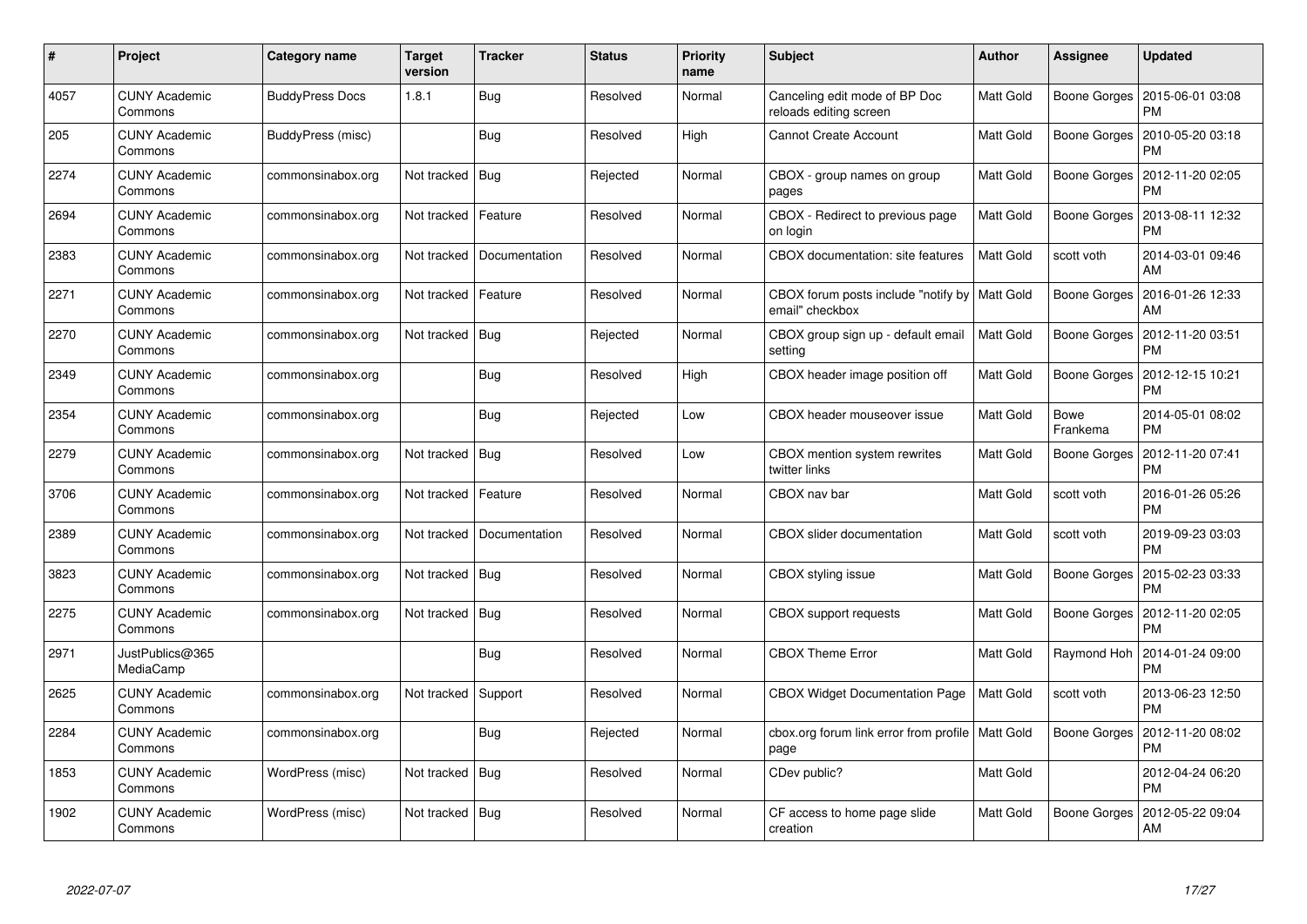| #    | Project                         | <b>Category name</b>   | <b>Target</b><br>version | <b>Tracker</b> | <b>Status</b> | <b>Priority</b><br>name | <b>Subject</b>                                                     | <b>Author</b>    | Assignee                | <b>Updated</b>                |
|------|---------------------------------|------------------------|--------------------------|----------------|---------------|-------------------------|--------------------------------------------------------------------|------------------|-------------------------|-------------------------------|
| 4057 | <b>CUNY Academic</b><br>Commons | <b>BuddyPress Docs</b> | 1.8.1                    | Bug            | Resolved      | Normal                  | Canceling edit mode of BP Doc<br>reloads editing screen            | Matt Gold        | Boone Gorges            | 2015-06-01 03:08<br>PM        |
| 205  | <b>CUNY Academic</b><br>Commons | BuddyPress (misc)      |                          | <b>Bug</b>     | Resolved      | High                    | <b>Cannot Create Account</b>                                       | Matt Gold        | Boone Gorges            | 2010-05-20 03:18<br>PM        |
| 2274 | <b>CUNY Academic</b><br>Commons | commonsinabox.org      | Not tracked              | Bug            | Rejected      | Normal                  | CBOX - group names on group<br>pages                               | Matt Gold        | Boone Gorges            | 2012-11-20 02:05<br>PM        |
| 2694 | <b>CUNY Academic</b><br>Commons | commonsinabox.org      | Not tracked              | Feature        | Resolved      | Normal                  | CBOX - Redirect to previous page<br>on login                       | Matt Gold        | Boone Gorges            | 2013-08-11 12:32<br>PM        |
| 2383 | <b>CUNY Academic</b><br>Commons | commonsinabox.org      | Not tracked              | Documentation  | Resolved      | Normal                  | CBOX documentation: site features                                  | Matt Gold        | scott voth              | 2014-03-01 09:46<br>AM        |
| 2271 | <b>CUNY Academic</b><br>Commons | commonsinabox.org      | Not tracked              | Feature        | Resolved      | Normal                  | CBOX forum posts include "notify by   Matt Gold<br>email" checkbox |                  | Boone Gorges            | 2016-01-26 12:33<br>AM        |
| 2270 | <b>CUNY Academic</b><br>Commons | commonsinabox.org      | Not tracked              | Bug            | Rejected      | Normal                  | CBOX group sign up - default email<br>setting                      | Matt Gold        | Boone Gorges            | 2012-11-20 03:51<br>PM        |
| 2349 | <b>CUNY Academic</b><br>Commons | commonsinabox.org      |                          | <b>Bug</b>     | Resolved      | High                    | CBOX header image position off                                     | Matt Gold        | Boone Gorges            | 2012-12-15 10:21<br>PM        |
| 2354 | <b>CUNY Academic</b><br>Commons | commonsinabox.org      |                          | Bug            | Rejected      | Low                     | CBOX header mouseover issue                                        | Matt Gold        | <b>Bowe</b><br>Frankema | 2014-05-01 08:02<br>PM        |
| 2279 | <b>CUNY Academic</b><br>Commons | commonsinabox.org      | Not tracked              | Bug            | Resolved      | Low                     | CBOX mention system rewrites<br>twitter links                      | Matt Gold        | Boone Gorges            | 2012-11-20 07:41<br>РM        |
| 3706 | <b>CUNY Academic</b><br>Commons | commonsinabox.org      | Not tracked              | Feature        | Resolved      | Normal                  | CBOX nav bar                                                       | Matt Gold        | scott voth              | 2016-01-26 05:26<br>PM        |
| 2389 | <b>CUNY Academic</b><br>Commons | commonsinabox.org      | Not tracked              | Documentation  | Resolved      | Normal                  | CBOX slider documentation                                          | Matt Gold        | scott voth              | 2019-09-23 03:03<br><b>PM</b> |
| 3823 | <b>CUNY Academic</b><br>Commons | commonsinabox.org      | Not tracked              | Bug            | Resolved      | Normal                  | CBOX styling issue                                                 | Matt Gold        | Boone Gorges            | 2015-02-23 03:33<br><b>PM</b> |
| 2275 | <b>CUNY Academic</b><br>Commons | commonsinabox.org      | Not tracked              | Bug            | Resolved      | Normal                  | <b>CBOX</b> support requests                                       | Matt Gold        | Boone Gorges            | 2012-11-20 02:05<br>РM        |
| 2971 | JustPublics@365<br>MediaCamp    |                        |                          | <b>Bug</b>     | Resolved      | Normal                  | <b>CBOX Theme Error</b>                                            | Matt Gold        | Raymond Hoh             | 2014-01-24 09:00<br>PM        |
| 2625 | <b>CUNY Academic</b><br>Commons | commonsinabox.org      | Not tracked              | Support        | Resolved      | Normal                  | <b>CBOX Widget Documentation Page</b>                              | <b>Matt Gold</b> | scott voth              | 2013-06-23 12:50<br>PM        |
| 2284 | <b>CUNY Academic</b><br>Commons | commonsinabox.org      |                          | Bug            | Rejected      | Normal                  | cbox.org forum link error from profile   Matt Gold<br>page         |                  | Boone Gorges            | 2012-11-20 08:02<br>РM        |
| 1853 | <b>CUNY Academic</b><br>Commons | WordPress (misc)       | Not tracked              | Bug            | Resolved      | Normal                  | CDev public?                                                       | Matt Gold        |                         | 2012-04-24 06:20<br><b>PM</b> |
| 1902 | CUNY Academic<br>Commons        | WordPress (misc)       | Not tracked   Bug        |                | Resolved      | Normal                  | CF access to home page slide<br>creation                           | Matt Gold        | Boone Gorges            | 2012-05-22 09:04<br>AM        |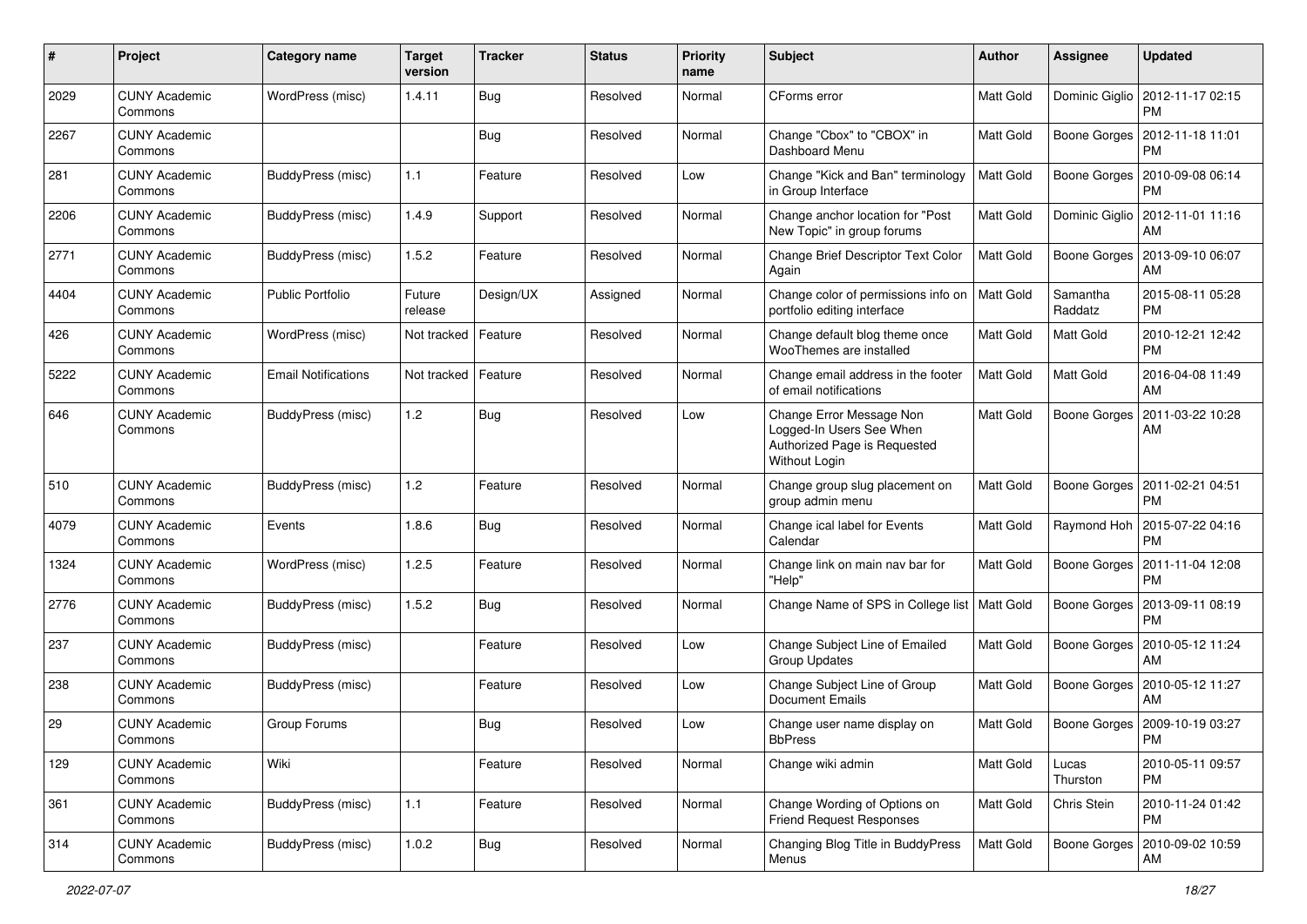| #    | Project                         | <b>Category name</b>       | <b>Target</b><br>version | <b>Tracker</b> | <b>Status</b> | <b>Priority</b><br>name | <b>Subject</b>                                                                                        | Author           | <b>Assignee</b>     | <b>Updated</b>                              |
|------|---------------------------------|----------------------------|--------------------------|----------------|---------------|-------------------------|-------------------------------------------------------------------------------------------------------|------------------|---------------------|---------------------------------------------|
| 2029 | <b>CUNY Academic</b><br>Commons | WordPress (misc)           | 1.4.11                   | Bug            | Resolved      | Normal                  | CForms error                                                                                          | Matt Gold        | Dominic Giglio      | 2012-11-17 02:15<br>PM                      |
| 2267 | <b>CUNY Academic</b><br>Commons |                            |                          | Bug            | Resolved      | Normal                  | Change "Cbox" to "CBOX" in<br>Dashboard Menu                                                          | Matt Gold        | Boone Gorges        | 2012-11-18 11:01<br><b>PM</b>               |
| 281  | <b>CUNY Academic</b><br>Commons | BuddyPress (misc)          | $1.1$                    | Feature        | Resolved      | Low                     | Change "Kick and Ban" terminology<br>in Group Interface                                               | Matt Gold        | Boone Gorges        | 2010-09-08 06:14<br><b>PM</b>               |
| 2206 | <b>CUNY Academic</b><br>Commons | BuddyPress (misc)          | 1.4.9                    | Support        | Resolved      | Normal                  | Change anchor location for "Post<br>New Topic" in group forums                                        | Matt Gold        | Dominic Giglio      | 2012-11-01 11:16<br>AM                      |
| 2771 | <b>CUNY Academic</b><br>Commons | BuddyPress (misc)          | 1.5.2                    | Feature        | Resolved      | Normal                  | Change Brief Descriptor Text Color<br>Again                                                           | <b>Matt Gold</b> | Boone Gorges        | 2013-09-10 06:07<br>AM                      |
| 4404 | <b>CUNY Academic</b><br>Commons | <b>Public Portfolio</b>    | Future<br>release        | Design/UX      | Assigned      | Normal                  | Change color of permissions info on<br>portfolio editing interface                                    | <b>Matt Gold</b> | Samantha<br>Raddatz | 2015-08-11 05:28<br>PM                      |
| 426  | <b>CUNY Academic</b><br>Commons | WordPress (misc)           | Not tracked              | Feature        | Resolved      | Normal                  | Change default blog theme once<br>WooThemes are installed                                             | Matt Gold        | Matt Gold           | 2010-12-21 12:42<br><b>PM</b>               |
| 5222 | <b>CUNY Academic</b><br>Commons | <b>Email Notifications</b> | Not tracked              | Feature        | Resolved      | Normal                  | Change email address in the footer<br>of email notifications                                          | Matt Gold        | Matt Gold           | 2016-04-08 11:49<br>AM                      |
| 646  | <b>CUNY Academic</b><br>Commons | BuddyPress (misc)          | 1.2                      | Bug            | Resolved      | Low                     | Change Error Message Non<br>Logged-In Users See When<br>Authorized Page is Requested<br>Without Login | Matt Gold        | Boone Gorges        | 2011-03-22 10:28<br>AM                      |
| 510  | <b>CUNY Academic</b><br>Commons | BuddyPress (misc)          | 1.2                      | Feature        | Resolved      | Normal                  | Change group slug placement on<br>group admin menu                                                    | Matt Gold        | Boone Gorges        | 2011-02-21 04:51<br><b>PM</b>               |
| 4079 | <b>CUNY Academic</b><br>Commons | Events                     | 1.8.6                    | Bug            | Resolved      | Normal                  | Change ical label for Events<br>Calendar                                                              | Matt Gold        |                     | Raymond Hoh   2015-07-22 04:16<br><b>PM</b> |
| 1324 | <b>CUNY Academic</b><br>Commons | WordPress (misc)           | 1.2.5                    | Feature        | Resolved      | Normal                  | Change link on main nav bar for<br>"Help"                                                             | Matt Gold        | Boone Gorges        | 2011-11-04 12:08<br><b>PM</b>               |
| 2776 | <b>CUNY Academic</b><br>Commons | BuddyPress (misc)          | 1.5.2                    | Bug            | Resolved      | Normal                  | Change Name of SPS in College list   Matt Gold                                                        |                  | Boone Gorges        | 2013-09-11 08:19<br><b>PM</b>               |
| 237  | <b>CUNY Academic</b><br>Commons | BuddyPress (misc)          |                          | Feature        | Resolved      | Low                     | Change Subject Line of Emailed<br><b>Group Updates</b>                                                | Matt Gold        | Boone Gorges        | 2010-05-12 11:24<br>AM                      |
| 238  | <b>CUNY Academic</b><br>Commons | BuddyPress (misc)          |                          | Feature        | Resolved      | Low                     | Change Subject Line of Group<br>Document Emails                                                       | Matt Gold        | Boone Gorges        | 2010-05-12 11:27<br>AM                      |
| 29   | <b>CUNY Academic</b><br>Commons | Group Forums               |                          | Bug            | Resolved      | Low                     | Change user name display on<br><b>BbPress</b>                                                         | Matt Gold        | Boone Gorges        | 2009-10-19 03:27<br>PM                      |
| 129  | <b>CUNY Academic</b><br>Commons | Wiki                       |                          | Feature        | Resolved      | Normal                  | Change wiki admin                                                                                     | Matt Gold        | Lucas<br>Thurston   | 2010-05-11 09:57<br><b>PM</b>               |
| 361  | <b>CUNY Academic</b><br>Commons | BuddyPress (misc)          | 1.1                      | Feature        | Resolved      | Normal                  | Change Wording of Options on<br><b>Friend Request Responses</b>                                       | Matt Gold        | Chris Stein         | 2010-11-24 01:42<br><b>PM</b>               |
| 314  | <b>CUNY Academic</b><br>Commons | BuddyPress (misc)          | 1.0.2                    | <b>Bug</b>     | Resolved      | Normal                  | Changing Blog Title in BuddyPress<br>Menus                                                            | Matt Gold        | Boone Gorges        | 2010-09-02 10:59<br>AM                      |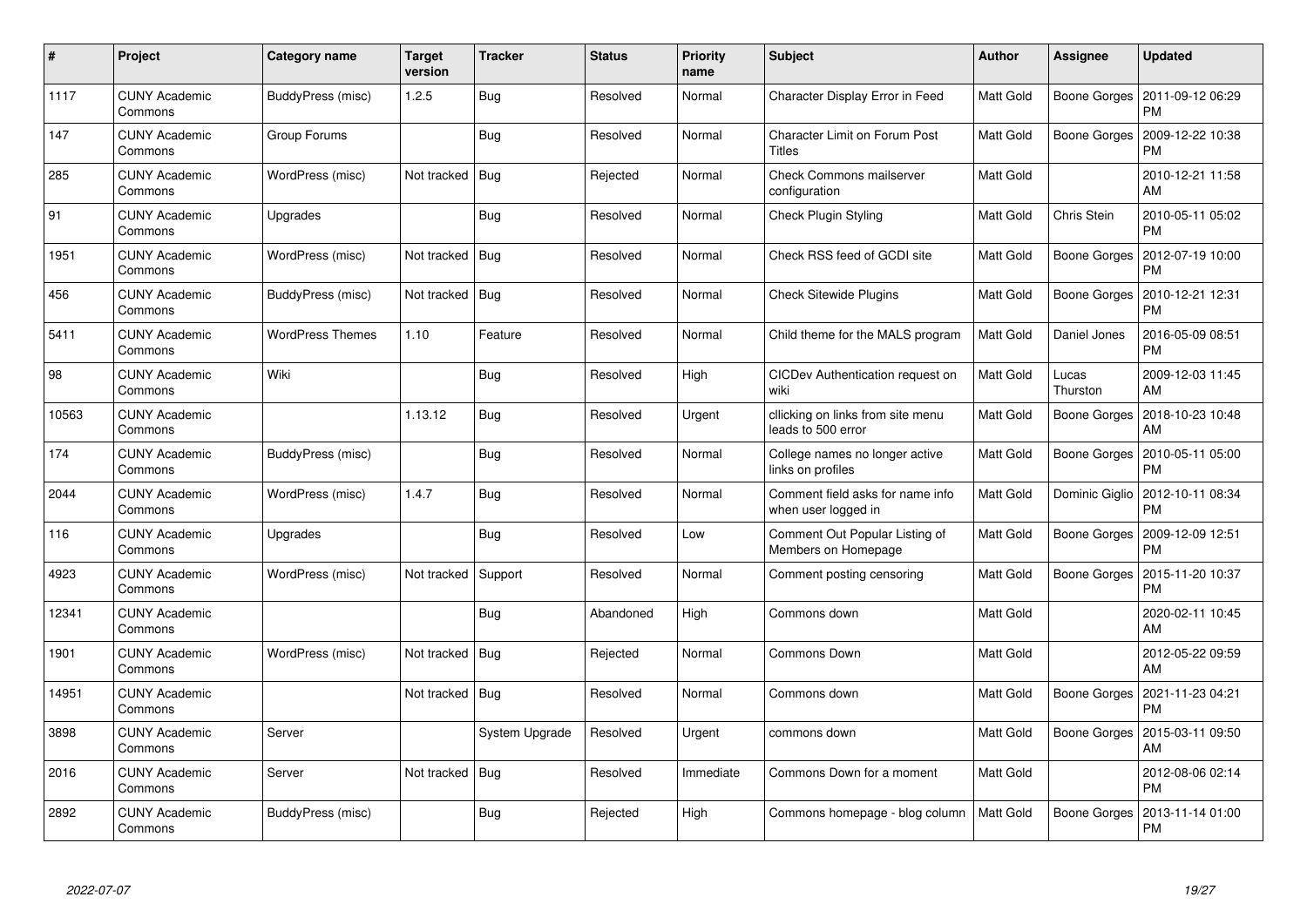| #     | Project                         | Category name           | <b>Target</b><br>version | Tracker        | <b>Status</b> | <b>Priority</b><br>name | <b>Subject</b>                                          | <b>Author</b> | Assignee          | <b>Updated</b>                |
|-------|---------------------------------|-------------------------|--------------------------|----------------|---------------|-------------------------|---------------------------------------------------------|---------------|-------------------|-------------------------------|
| 1117  | <b>CUNY Academic</b><br>Commons | BuddyPress (misc)       | 1.2.5                    | Bug            | Resolved      | Normal                  | Character Display Error in Feed                         | Matt Gold     | Boone Gorges      | 2011-09-12 06:29<br><b>PM</b> |
| 147   | <b>CUNY Academic</b><br>Commons | Group Forums            |                          | Bug            | Resolved      | Normal                  | <b>Character Limit on Forum Post</b><br>Titles          | Matt Gold     | Boone Gorges      | 2009-12-22 10:38<br><b>PM</b> |
| 285   | <b>CUNY Academic</b><br>Commons | WordPress (misc)        | Not tracked              | Bug            | Rejected      | Normal                  | Check Commons mailserver<br>configuration               | Matt Gold     |                   | 2010-12-21 11:58<br>AM        |
| 91    | <b>CUNY Academic</b><br>Commons | Upgrades                |                          | Bug            | Resolved      | Normal                  | Check Plugin Styling                                    | Matt Gold     | Chris Stein       | 2010-05-11 05:02<br><b>PM</b> |
| 1951  | <b>CUNY Academic</b><br>Commons | WordPress (misc)        | Not tracked   Bug        |                | Resolved      | Normal                  | Check RSS feed of GCDI site                             | Matt Gold     | Boone Gorges      | 2012-07-19 10:00<br><b>PM</b> |
| 456   | <b>CUNY Academic</b><br>Commons | BuddyPress (misc)       | Not tracked              | Bug            | Resolved      | Normal                  | <b>Check Sitewide Plugins</b>                           | Matt Gold     | Boone Gorges      | 2010-12-21 12:31<br><b>PM</b> |
| 5411  | <b>CUNY Academic</b><br>Commons | <b>WordPress Themes</b> | 1.10                     | Feature        | Resolved      | Normal                  | Child theme for the MALS program                        | Matt Gold     | Daniel Jones      | 2016-05-09 08:51<br><b>PM</b> |
| 98    | <b>CUNY Academic</b><br>Commons | Wiki                    |                          | Bug            | Resolved      | High                    | CICDev Authentication request on<br>wiki                | Matt Gold     | Lucas<br>Thurston | 2009-12-03 11:45<br>AM        |
| 10563 | <b>CUNY Academic</b><br>Commons |                         | 1.13.12                  | Bug            | Resolved      | Urgent                  | cllicking on links from site menu<br>leads to 500 error | Matt Gold     | Boone Gorges      | 2018-10-23 10:48<br>AM        |
| 174   | <b>CUNY Academic</b><br>Commons | BuddyPress (misc)       |                          | Bug            | Resolved      | Normal                  | College names no longer active<br>links on profiles     | Matt Gold     | Boone Gorges      | 2010-05-11 05:00<br>PM        |
| 2044  | <b>CUNY Academic</b><br>Commons | WordPress (misc)        | 1.4.7                    | Bug            | Resolved      | Normal                  | Comment field asks for name info<br>when user logged in | Matt Gold     | Dominic Giglio    | 2012-10-11 08:34<br><b>PM</b> |
| 116   | <b>CUNY Academic</b><br>Commons | Upgrades                |                          | Bug            | Resolved      | Low                     | Comment Out Popular Listing of<br>Members on Homepage   | Matt Gold     | Boone Gorges      | 2009-12-09 12:51<br>PM        |
| 4923  | <b>CUNY Academic</b><br>Commons | WordPress (misc)        | Not tracked              | Support        | Resolved      | Normal                  | Comment posting censoring                               | Matt Gold     | Boone Gorges      | 2015-11-20 10:37<br><b>PM</b> |
| 12341 | <b>CUNY Academic</b><br>Commons |                         |                          | <b>Bug</b>     | Abandoned     | High                    | Commons down                                            | Matt Gold     |                   | 2020-02-11 10:45<br>AM        |
| 1901  | <b>CUNY Academic</b><br>Commons | WordPress (misc)        | Not tracked              | Bug            | Rejected      | Normal                  | <b>Commons Down</b>                                     | Matt Gold     |                   | 2012-05-22 09:59<br>AM        |
| 14951 | <b>CUNY Academic</b><br>Commons |                         | Not tracked   Bug        |                | Resolved      | Normal                  | Commons down                                            | Matt Gold     | Boone Gorges      | 2021-11-23 04:21<br><b>PM</b> |
| 3898  | <b>CUNY Academic</b><br>Commons | Server                  |                          | System Upgrade | Resolved      | Urgent                  | commons down                                            | Matt Gold     | Boone Gorges      | 2015-03-11 09:50<br>AM        |
| 2016  | <b>CUNY Academic</b><br>Commons | Server                  | Not tracked              | <b>Bug</b>     | Resolved      | Immediate               | Commons Down for a moment                               | Matt Gold     |                   | 2012-08-06 02:14<br><b>PM</b> |
| 2892  | CUNY Academic<br>Commons        | BuddyPress (misc)       |                          | Bug            | Rejected      | High                    | Commons homepage - blog column                          | Matt Gold     | Boone Gorges      | 2013-11-14 01:00<br><b>PM</b> |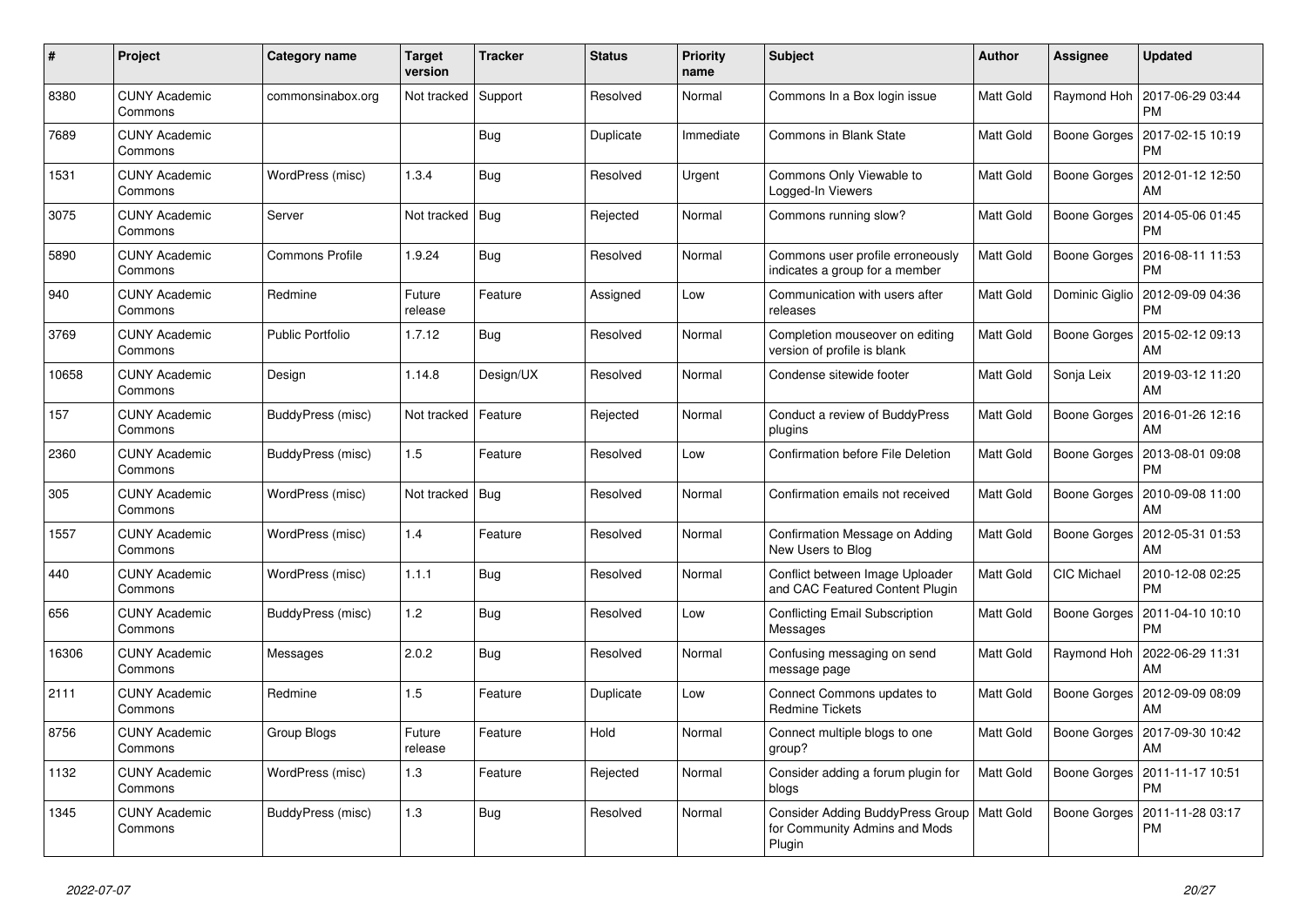| #     | Project                         | Category name           | <b>Target</b><br>version | <b>Tracker</b> | <b>Status</b> | <b>Priority</b><br>name | <b>Subject</b>                                                                          | <b>Author</b> | Assignee           | <b>Updated</b>                |
|-------|---------------------------------|-------------------------|--------------------------|----------------|---------------|-------------------------|-----------------------------------------------------------------------------------------|---------------|--------------------|-------------------------------|
| 8380  | <b>CUNY Academic</b><br>Commons | commonsinabox.org       | Not tracked              | Support        | Resolved      | Normal                  | Commons In a Box login issue                                                            | Matt Gold     | Raymond Hoh        | 2017-06-29 03:44<br><b>PM</b> |
| 7689  | <b>CUNY Academic</b><br>Commons |                         |                          | Bug            | Duplicate     | Immediate               | Commons in Blank State                                                                  | Matt Gold     | Boone Gorges       | 2017-02-15 10:19<br>PM        |
| 1531  | <b>CUNY Academic</b><br>Commons | WordPress (misc)        | 1.3.4                    | Bug            | Resolved      | Urgent                  | Commons Only Viewable to<br>Logged-In Viewers                                           | Matt Gold     | Boone Gorges       | 2012-01-12 12:50<br>AM        |
| 3075  | <b>CUNY Academic</b><br>Commons | Server                  | Not tracked              | Bug            | Rejected      | Normal                  | Commons running slow?                                                                   | Matt Gold     | Boone Gorges       | 2014-05-06 01:45<br><b>PM</b> |
| 5890  | <b>CUNY Academic</b><br>Commons | <b>Commons Profile</b>  | 1.9.24                   | Bug            | Resolved      | Normal                  | Commons user profile erroneously<br>indicates a group for a member                      | Matt Gold     | Boone Gorges       | 2016-08-11 11:53<br>PM        |
| 940   | <b>CUNY Academic</b><br>Commons | Redmine                 | Future<br>release        | Feature        | Assigned      | Low                     | Communication with users after<br>releases                                              | Matt Gold     | Dominic Giglio     | 2012-09-09 04:36<br><b>PM</b> |
| 3769  | <b>CUNY Academic</b><br>Commons | <b>Public Portfolio</b> | 1.7.12                   | Bug            | Resolved      | Normal                  | Completion mouseover on editing<br>version of profile is blank                          | Matt Gold     | Boone Gorges       | 2015-02-12 09:13<br>AM        |
| 10658 | <b>CUNY Academic</b><br>Commons | Design                  | 1.14.8                   | Design/UX      | Resolved      | Normal                  | Condense sitewide footer                                                                | Matt Gold     | Sonja Leix         | 2019-03-12 11:20<br>AM        |
| 157   | <b>CUNY Academic</b><br>Commons | BuddyPress (misc)       | Not tracked              | Feature        | Rejected      | Normal                  | Conduct a review of BuddyPress<br>plugins                                               | Matt Gold     | Boone Gorges       | 2016-01-26 12:16<br>AM        |
| 2360  | <b>CUNY Academic</b><br>Commons | BuddyPress (misc)       | 1.5                      | Feature        | Resolved      | Low                     | <b>Confirmation before File Deletion</b>                                                | Matt Gold     | Boone Gorges       | 2013-08-01 09:08<br>PM        |
| 305   | <b>CUNY Academic</b><br>Commons | WordPress (misc)        | Not tracked              | <b>Bug</b>     | Resolved      | Normal                  | Confirmation emails not received                                                        | Matt Gold     | Boone Gorges       | 2010-09-08 11:00<br>AM        |
| 1557  | <b>CUNY Academic</b><br>Commons | WordPress (misc)        | 1.4                      | Feature        | Resolved      | Normal                  | Confirmation Message on Adding<br>New Users to Blog                                     | Matt Gold     | Boone Gorges       | 2012-05-31 01:53<br>AM        |
| 440   | <b>CUNY Academic</b><br>Commons | WordPress (misc)        | 1.1.1                    | Bug            | Resolved      | Normal                  | Conflict between Image Uploader<br>and CAC Featured Content Plugin                      | Matt Gold     | <b>CIC Michael</b> | 2010-12-08 02:25<br><b>PM</b> |
| 656   | <b>CUNY Academic</b><br>Commons | BuddyPress (misc)       | 1.2                      | Bug            | Resolved      | Low                     | <b>Conflicting Email Subscription</b><br>Messages                                       | Matt Gold     | Boone Gorges       | 2011-04-10 10:10<br><b>PM</b> |
| 16306 | <b>CUNY Academic</b><br>Commons | Messages                | 2.0.2                    | Bug            | Resolved      | Normal                  | Confusing messaging on send<br>message page                                             | Matt Gold     | Raymond Hoh        | 2022-06-29 11:31<br>AM        |
| 2111  | <b>CUNY Academic</b><br>Commons | Redmine                 | 1.5                      | Feature        | Duplicate     | Low                     | Connect Commons updates to<br><b>Redmine Tickets</b>                                    | Matt Gold     | Boone Gorges       | 2012-09-09 08:09<br>AM        |
| 8756  | <b>CUNY Academic</b><br>Commons | Group Blogs             | Future<br>release        | Feature        | Hold          | Normal                  | Connect multiple blogs to one<br>group?                                                 | Matt Gold     | Boone Gorges       | 2017-09-30 10:42<br>AM        |
| 1132  | <b>CUNY Academic</b><br>Commons | WordPress (misc)        | 1.3                      | Feature        | Rejected      | Normal                  | Consider adding a forum plugin for<br>blogs                                             | Matt Gold     | Boone Gorges       | 2011-11-17 10:51<br><b>PM</b> |
| 1345  | <b>CUNY Academic</b><br>Commons | BuddyPress (misc)       | 1.3                      | Bug            | Resolved      | Normal                  | Consider Adding BuddyPress Group   Matt Gold<br>for Community Admins and Mods<br>Plugin |               | Boone Gorges       | 2011-11-28 03:17<br><b>PM</b> |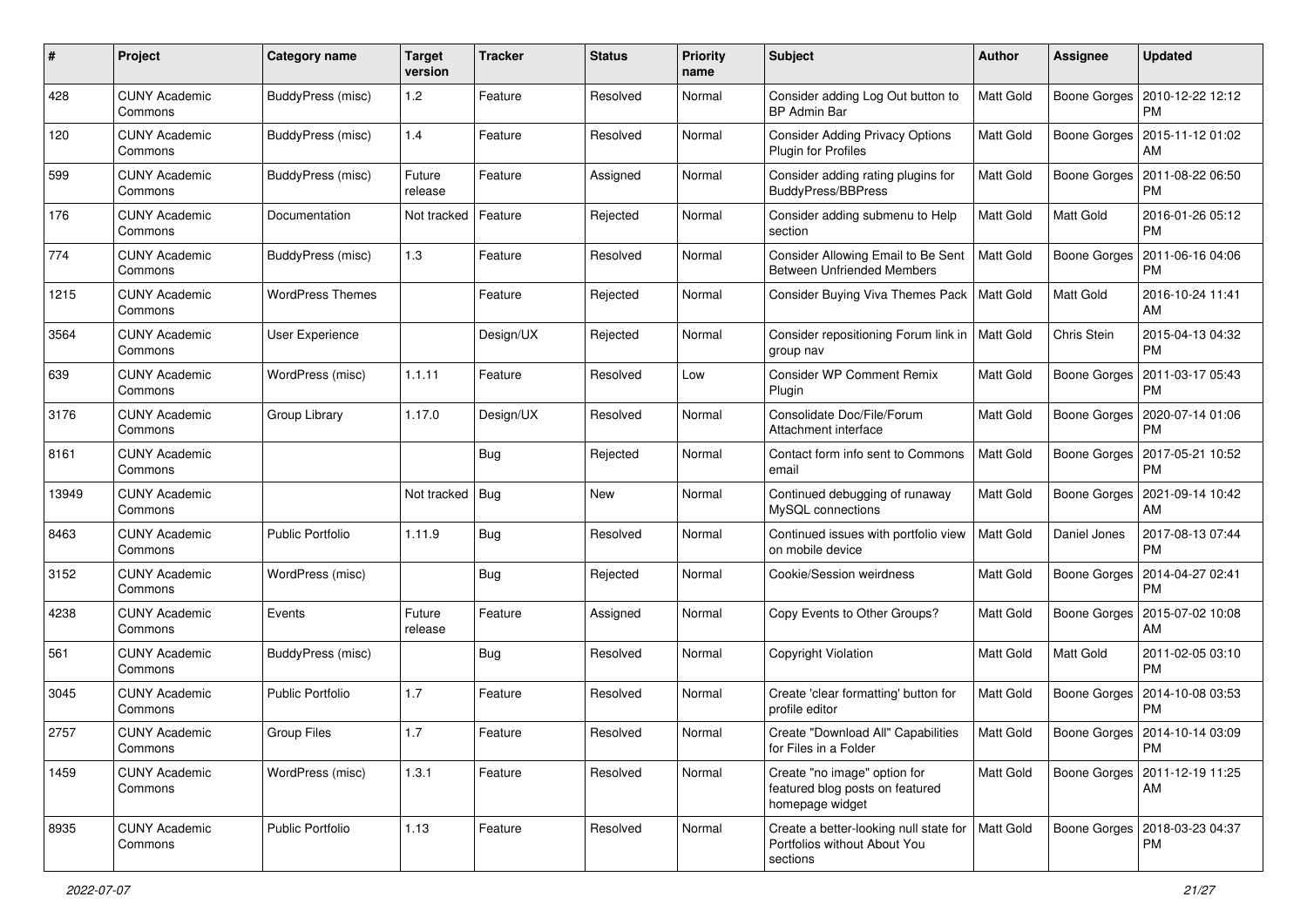| $\#$  | Project                         | <b>Category name</b>    | <b>Target</b><br>version | <b>Tracker</b> | <b>Status</b> | <b>Priority</b><br>name | Subject                                                                            | Author           | <b>Assignee</b> | <b>Updated</b>                               |
|-------|---------------------------------|-------------------------|--------------------------|----------------|---------------|-------------------------|------------------------------------------------------------------------------------|------------------|-----------------|----------------------------------------------|
| 428   | <b>CUNY Academic</b><br>Commons | BuddyPress (misc)       | 1.2                      | Feature        | Resolved      | Normal                  | Consider adding Log Out button to<br><b>BP Admin Bar</b>                           | Matt Gold        | Boone Gorges    | 2010-12-22 12:12<br>PM                       |
| 120   | <b>CUNY Academic</b><br>Commons | BuddyPress (misc)       | 1.4                      | Feature        | Resolved      | Normal                  | <b>Consider Adding Privacy Options</b><br>Plugin for Profiles                      | Matt Gold        | Boone Gorges    | 2015-11-12 01:02<br>AM                       |
| 599   | <b>CUNY Academic</b><br>Commons | BuddyPress (misc)       | Future<br>release        | Feature        | Assigned      | Normal                  | Consider adding rating plugins for<br>BuddyPress/BBPress                           | Matt Gold        | Boone Gorges    | 2011-08-22 06:50<br>PM                       |
| 176   | <b>CUNY Academic</b><br>Commons | Documentation           | Not tracked              | Feature        | Rejected      | Normal                  | Consider adding submenu to Help<br>section                                         | Matt Gold        | Matt Gold       | 2016-01-26 05:12<br><b>PM</b>                |
| 774   | <b>CUNY Academic</b><br>Commons | BuddyPress (misc)       | 1.3                      | Feature        | Resolved      | Normal                  | Consider Allowing Email to Be Sent<br><b>Between Unfriended Members</b>            | <b>Matt Gold</b> | Boone Gorges    | 2011-06-16 04:06<br><b>PM</b>                |
| 1215  | <b>CUNY Academic</b><br>Commons | <b>WordPress Themes</b> |                          | Feature        | Rejected      | Normal                  | Consider Buying Viva Themes Pack                                                   | <b>Matt Gold</b> | Matt Gold       | 2016-10-24 11:41<br>AM                       |
| 3564  | <b>CUNY Academic</b><br>Commons | User Experience         |                          | Design/UX      | Rejected      | Normal                  | Consider repositioning Forum link in   Matt Gold<br>group nav                      |                  | Chris Stein     | 2015-04-13 04:32<br><b>PM</b>                |
| 639   | <b>CUNY Academic</b><br>Commons | WordPress (misc)        | 1.1.11                   | Feature        | Resolved      | Low                     | <b>Consider WP Comment Remix</b><br>Plugin                                         | Matt Gold        | Boone Gorges    | 2011-03-17 05:43<br>PM                       |
| 3176  | <b>CUNY Academic</b><br>Commons | Group Library           | 1.17.0                   | Design/UX      | Resolved      | Normal                  | Consolidate Doc/File/Forum<br>Attachment interface                                 | Matt Gold        | Boone Gorges    | 2020-07-14 01:06<br><b>PM</b>                |
| 8161  | <b>CUNY Academic</b><br>Commons |                         |                          | <b>Bug</b>     | Rejected      | Normal                  | Contact form info sent to Commons<br>email                                         | Matt Gold        | Boone Gorges    | 2017-05-21 10:52<br>PM                       |
| 13949 | <b>CUNY Academic</b><br>Commons |                         | Not tracked              | Bug            | <b>New</b>    | Normal                  | Continued debugging of runaway<br>MySQL connections                                | Matt Gold        | Boone Gorges    | 2021-09-14 10:42<br>AM                       |
| 8463  | <b>CUNY Academic</b><br>Commons | <b>Public Portfolio</b> | 1.11.9                   | Bug            | Resolved      | Normal                  | Continued issues with portfolio view<br>on mobile device                           | <b>Matt Gold</b> | Daniel Jones    | 2017-08-13 07:44<br><b>PM</b>                |
| 3152  | <b>CUNY Academic</b><br>Commons | WordPress (misc)        |                          | Bug            | Rejected      | Normal                  | Cookie/Session weirdness                                                           | Matt Gold        | Boone Gorges    | 2014-04-27 02:41<br><b>PM</b>                |
| 4238  | <b>CUNY Academic</b><br>Commons | Events                  | Future<br>release        | Feature        | Assigned      | Normal                  | Copy Events to Other Groups?                                                       | Matt Gold        | Boone Gorges    | 2015-07-02 10:08<br>AM                       |
| 561   | <b>CUNY Academic</b><br>Commons | BuddyPress (misc)       |                          | Bug            | Resolved      | Normal                  | Copyright Violation                                                                | Matt Gold        | Matt Gold       | 2011-02-05 03:10<br><b>PM</b>                |
| 3045  | <b>CUNY Academic</b><br>Commons | <b>Public Portfolio</b> | 1.7                      | Feature        | Resolved      | Normal                  | Create 'clear formatting' button for<br>profile editor                             | Matt Gold        | Boone Gorges    | 2014-10-08 03:53<br><b>PM</b>                |
| 2757  | <b>CUNY Academic</b><br>Commons | <b>Group Files</b>      | 1.7                      | Feature        | Resolved      | Normal                  | Create "Download All" Capabilities<br>for Files in a Folder                        | <b>Matt Gold</b> |                 | Boone Gorges   2014-10-14 03:09<br><b>PM</b> |
| 1459  | <b>CUNY Academic</b><br>Commons | WordPress (misc)        | 1.3.1                    | Feature        | Resolved      | Normal                  | Create "no image" option for<br>featured blog posts on featured<br>homepage widget | Matt Gold        | Boone Gorges    | 2011-12-19 11:25<br>AM                       |
| 8935  | <b>CUNY Academic</b><br>Commons | Public Portfolio        | 1.13                     | Feature        | Resolved      | Normal                  | Create a better-looking null state for<br>Portfolios without About You<br>sections | <b>Matt Gold</b> | Boone Gorges    | 2018-03-23 04:37<br><b>PM</b>                |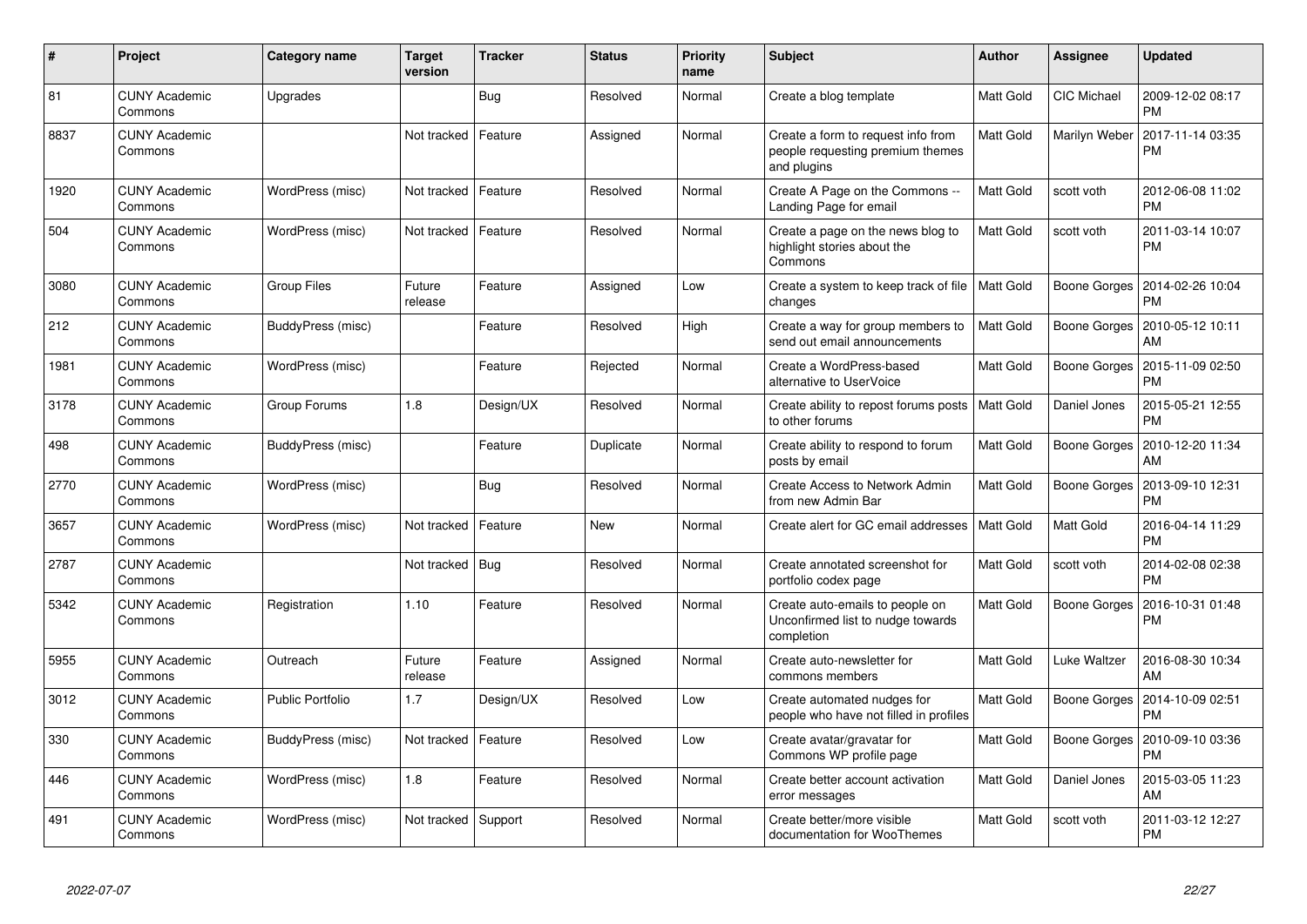| $\pmb{\sharp}$ | Project                         | <b>Category name</b>    | <b>Target</b><br>version | <b>Tracker</b> | <b>Status</b> | <b>Priority</b><br>name | <b>Subject</b>                                                                        | <b>Author</b>    | Assignee           | <b>Updated</b>                |
|----------------|---------------------------------|-------------------------|--------------------------|----------------|---------------|-------------------------|---------------------------------------------------------------------------------------|------------------|--------------------|-------------------------------|
| 81             | <b>CUNY Academic</b><br>Commons | Upgrades                |                          | <b>Bug</b>     | Resolved      | Normal                  | Create a blog template                                                                | Matt Gold        | <b>CIC Michael</b> | 2009-12-02 08:17<br><b>PM</b> |
| 8837           | <b>CUNY Academic</b><br>Commons |                         | Not tracked              | Feature        | Assigned      | Normal                  | Create a form to request info from<br>people requesting premium themes<br>and plugins | Matt Gold        | Marilyn Weber      | 2017-11-14 03:35<br><b>PM</b> |
| 1920           | <b>CUNY Academic</b><br>Commons | WordPress (misc)        | Not tracked              | Feature        | Resolved      | Normal                  | Create A Page on the Commons --<br>Landing Page for email                             | Matt Gold        | scott voth         | 2012-06-08 11:02<br><b>PM</b> |
| 504            | <b>CUNY Academic</b><br>Commons | WordPress (misc)        | Not tracked              | Feature        | Resolved      | Normal                  | Create a page on the news blog to<br>highlight stories about the<br>Commons           | Matt Gold        | scott voth         | 2011-03-14 10:07<br><b>PM</b> |
| 3080           | <b>CUNY Academic</b><br>Commons | <b>Group Files</b>      | Future<br>release        | Feature        | Assigned      | Low                     | Create a system to keep track of file<br>changes                                      | <b>Matt Gold</b> | Boone Gorges       | 2014-02-26 10:04<br><b>PM</b> |
| 212            | <b>CUNY Academic</b><br>Commons | BuddyPress (misc)       |                          | Feature        | Resolved      | High                    | Create a way for group members to<br>send out email announcements                     | Matt Gold        | Boone Gorges       | 2010-05-12 10:11<br>AM        |
| 1981           | <b>CUNY Academic</b><br>Commons | WordPress (misc)        |                          | Feature        | Rejected      | Normal                  | Create a WordPress-based<br>alternative to UserVoice                                  | Matt Gold        | Boone Gorges       | 2015-11-09 02:50<br><b>PM</b> |
| 3178           | <b>CUNY Academic</b><br>Commons | Group Forums            | 1.8                      | Design/UX      | Resolved      | Normal                  | Create ability to repost forums posts<br>to other forums                              | <b>Matt Gold</b> | Daniel Jones       | 2015-05-21 12:55<br><b>PM</b> |
| 498            | <b>CUNY Academic</b><br>Commons | BuddyPress (misc)       |                          | Feature        | Duplicate     | Normal                  | Create ability to respond to forum<br>posts by email                                  | Matt Gold        | Boone Gorges       | 2010-12-20 11:34<br>AM        |
| 2770           | <b>CUNY Academic</b><br>Commons | WordPress (misc)        |                          | <b>Bug</b>     | Resolved      | Normal                  | Create Access to Network Admin<br>from new Admin Bar                                  | Matt Gold        | Boone Gorges       | 2013-09-10 12:31<br><b>PM</b> |
| 3657           | <b>CUNY Academic</b><br>Commons | WordPress (misc)        | Not tracked              | Feature        | <b>New</b>    | Normal                  | Create alert for GC email addresses                                                   | <b>Matt Gold</b> | <b>Matt Gold</b>   | 2016-04-14 11:29<br><b>PM</b> |
| 2787           | <b>CUNY Academic</b><br>Commons |                         | Not tracked              | Bug            | Resolved      | Normal                  | Create annotated screenshot for<br>portfolio codex page                               | Matt Gold        | scott voth         | 2014-02-08 02:38<br><b>PM</b> |
| 5342           | <b>CUNY Academic</b><br>Commons | Registration            | 1.10                     | Feature        | Resolved      | Normal                  | Create auto-emails to people on<br>Unconfirmed list to nudge towards<br>completion    | Matt Gold        | Boone Gorges       | 2016-10-31 01:48<br><b>PM</b> |
| 5955           | <b>CUNY Academic</b><br>Commons | Outreach                | Future<br>release        | Feature        | Assigned      | Normal                  | Create auto-newsletter for<br>commons members                                         | Matt Gold        | Luke Waltzer       | 2016-08-30 10:34<br>AM        |
| 3012           | <b>CUNY Academic</b><br>Commons | <b>Public Portfolio</b> | 1.7                      | Design/UX      | Resolved      | Low                     | Create automated nudges for<br>people who have not filled in profiles                 | Matt Gold        | Boone Gorges       | 2014-10-09 02:51<br><b>PM</b> |
| 330            | <b>CUNY Academic</b><br>Commons | BuddyPress (misc)       | Not tracked              | Feature        | Resolved      | Low                     | Create avatar/gravatar for<br>Commons WP profile page                                 | Matt Gold        | Boone Gorges       | 2010-09-10 03:36<br><b>PM</b> |
| 446            | <b>CUNY Academic</b><br>Commons | WordPress (misc)        | 1.8                      | Feature        | Resolved      | Normal                  | Create better account activation<br>error messages                                    | Matt Gold        | Daniel Jones       | 2015-03-05 11:23<br>AM        |
| 491            | <b>CUNY Academic</b><br>Commons | WordPress (misc)        | Not tracked              | Support        | Resolved      | Normal                  | Create better/more visible<br>documentation for WooThemes                             | Matt Gold        | scott voth         | 2011-03-12 12:27<br><b>PM</b> |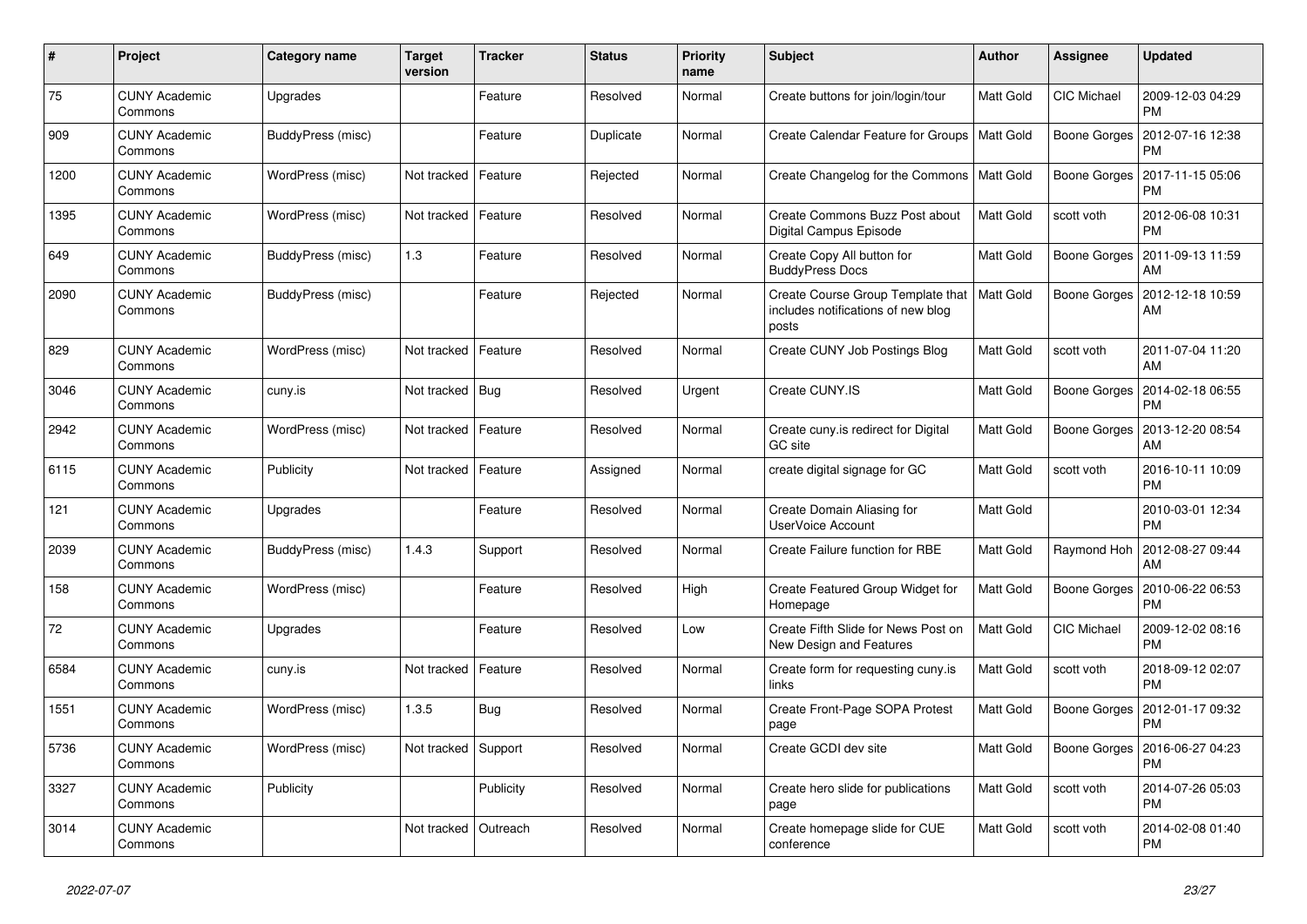| $\#$ | Project                         | Category name     | <b>Target</b><br>version | <b>Tracker</b> | <b>Status</b> | Priority<br>name | <b>Subject</b>                                                                   | Author           | Assignee           | <b>Updated</b>                        |
|------|---------------------------------|-------------------|--------------------------|----------------|---------------|------------------|----------------------------------------------------------------------------------|------------------|--------------------|---------------------------------------|
| 75   | <b>CUNY Academic</b><br>Commons | Upgrades          |                          | Feature        | Resolved      | Normal           | Create buttons for join/login/tour                                               | Matt Gold        | <b>CIC Michael</b> | 2009-12-03 04:29<br><b>PM</b>         |
| 909  | <b>CUNY Academic</b><br>Commons | BuddyPress (misc) |                          | Feature        | Duplicate     | Normal           | Create Calendar Feature for Groups                                               | <b>Matt Gold</b> | Boone Gorges       | 2012-07-16 12:38<br><b>PM</b>         |
| 1200 | <b>CUNY Academic</b><br>Commons | WordPress (misc)  | Not tracked              | Feature        | Rejected      | Normal           | Create Changelog for the Commons                                                 | Matt Gold        | Boone Gorges       | 2017-11-15 05:06<br><b>PM</b>         |
| 1395 | <b>CUNY Academic</b><br>Commons | WordPress (misc)  | Not tracked              | Feature        | Resolved      | Normal           | Create Commons Buzz Post about<br>Digital Campus Episode                         | Matt Gold        | scott voth         | 2012-06-08 10:31<br><b>PM</b>         |
| 649  | <b>CUNY Academic</b><br>Commons | BuddyPress (misc) | 1.3                      | Feature        | Resolved      | Normal           | Create Copy All button for<br><b>BuddyPress Docs</b>                             | Matt Gold        | Boone Gorges       | 2011-09-13 11:59<br>AM                |
| 2090 | <b>CUNY Academic</b><br>Commons | BuddyPress (misc) |                          | Feature        | Rejected      | Normal           | Create Course Group Template that<br>includes notifications of new blog<br>posts | Matt Gold        | Boone Gorges       | 2012-12-18 10:59<br>AM                |
| 829  | <b>CUNY Academic</b><br>Commons | WordPress (misc)  | Not tracked              | Feature        | Resolved      | Normal           | Create CUNY Job Postings Blog                                                    | Matt Gold        | scott voth         | 2011-07-04 11:20<br>AM                |
| 3046 | <b>CUNY Academic</b><br>Commons | cuny.is           | Not tracked              | Bug            | Resolved      | Urgent           | Create CUNY.IS                                                                   | Matt Gold        | Boone Gorges       | 2014-02-18 06:55<br><b>PM</b>         |
| 2942 | <b>CUNY Academic</b><br>Commons | WordPress (misc)  | Not tracked              | Feature        | Resolved      | Normal           | Create cuny is redirect for Digital<br><b>GC</b> site                            | Matt Gold        |                    | Boone Gorges   2013-12-20 08:54<br>AM |
| 6115 | <b>CUNY Academic</b><br>Commons | Publicity         | Not tracked              | Feature        | Assigned      | Normal           | create digital signage for GC                                                    | Matt Gold        | scott voth         | 2016-10-11 10:09<br><b>PM</b>         |
| 121  | <b>CUNY Academic</b><br>Commons | Upgrades          |                          | Feature        | Resolved      | Normal           | Create Domain Aliasing for<br><b>UserVoice Account</b>                           | Matt Gold        |                    | 2010-03-01 12:34<br><b>PM</b>         |
| 2039 | <b>CUNY Academic</b><br>Commons | BuddyPress (misc) | 1.4.3                    | Support        | Resolved      | Normal           | Create Failure function for RBE                                                  | Matt Gold        | Raymond Hoh        | 2012-08-27 09:44<br>AM                |
| 158  | <b>CUNY Academic</b><br>Commons | WordPress (misc)  |                          | Feature        | Resolved      | High             | Create Featured Group Widget for<br>Homepage                                     | Matt Gold        | Boone Gorges       | 2010-06-22 06:53<br><b>PM</b>         |
| 72   | <b>CUNY Academic</b><br>Commons | Upgrades          |                          | Feature        | Resolved      | Low              | Create Fifth Slide for News Post on<br>New Design and Features                   | Matt Gold        | CIC Michael        | 2009-12-02 08:16<br><b>PM</b>         |
| 6584 | <b>CUNY Academic</b><br>Commons | cuny.is           | Not tracked              | Feature        | Resolved      | Normal           | Create form for requesting cuny.is<br>links                                      | Matt Gold        | scott voth         | 2018-09-12 02:07<br><b>PM</b>         |
| 1551 | <b>CUNY Academic</b><br>Commons | WordPress (misc)  | 1.3.5                    | <b>Bug</b>     | Resolved      | Normal           | Create Front-Page SOPA Protest<br>page                                           | Matt Gold        | Boone Gorges       | 2012-01-17 09:32<br><b>PM</b>         |
| 5736 | <b>CUNY Academic</b><br>Commons | WordPress (misc)  | Not tracked              | Support        | Resolved      | Normal           | Create GCDI dev site                                                             | Matt Gold        | Boone Gorges       | 2016-06-27 04:23<br><b>PM</b>         |
| 3327 | <b>CUNY Academic</b><br>Commons | Publicity         |                          | Publicity      | Resolved      | Normal           | Create hero slide for publications<br>page                                       | Matt Gold        | scott voth         | 2014-07-26 05:03<br><b>PM</b>         |
| 3014 | <b>CUNY Academic</b><br>Commons |                   | Not tracked              | Outreach       | Resolved      | Normal           | Create homepage slide for CUE<br>conference                                      | Matt Gold        | scott voth         | 2014-02-08 01:40<br><b>PM</b>         |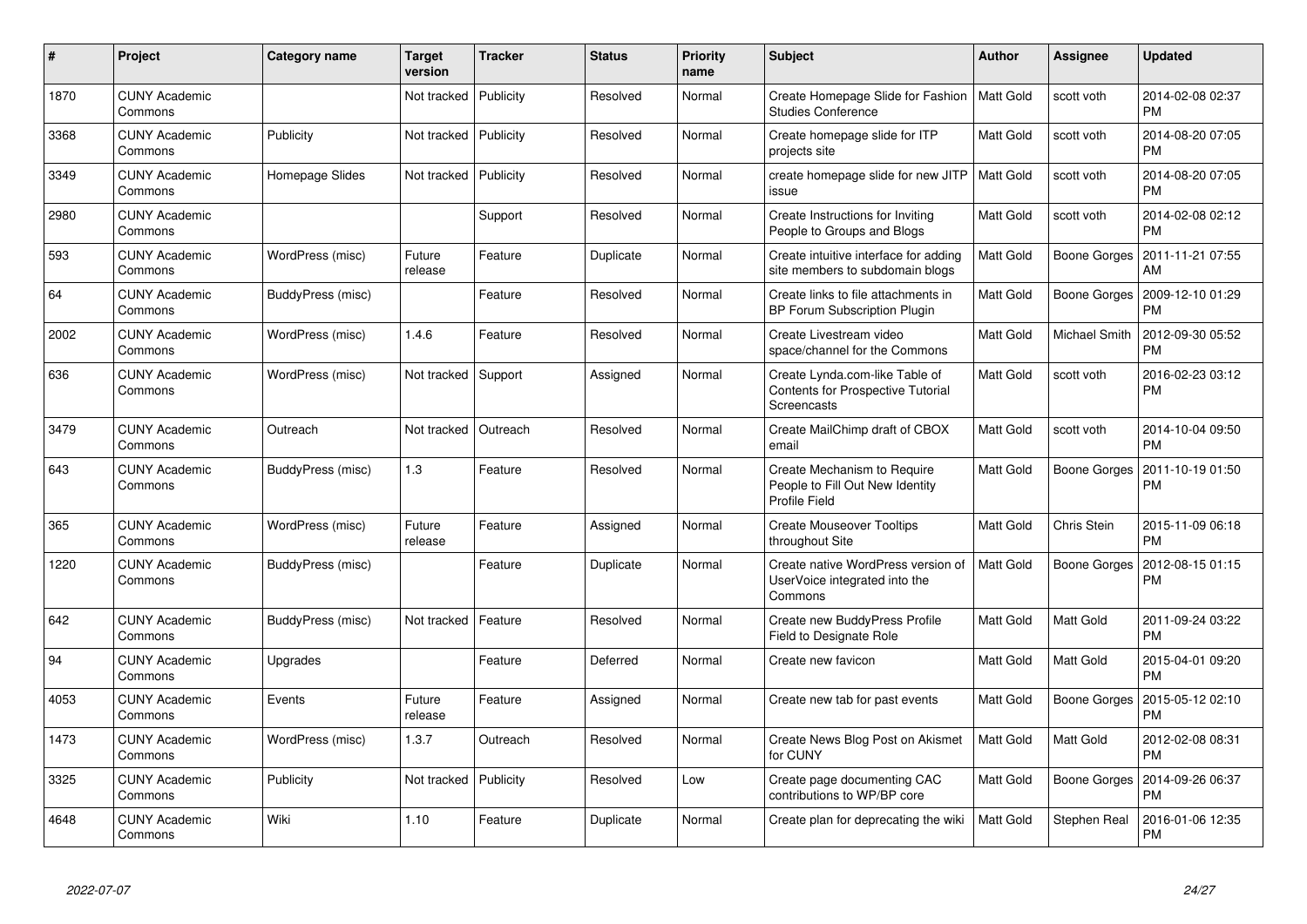| $\#$ | Project                         | Category name     | <b>Target</b><br>version | <b>Tracker</b> | <b>Status</b> | <b>Priority</b><br>name | <b>Subject</b>                                                                            | Author           | Assignee      | <b>Updated</b>                        |
|------|---------------------------------|-------------------|--------------------------|----------------|---------------|-------------------------|-------------------------------------------------------------------------------------------|------------------|---------------|---------------------------------------|
| 1870 | <b>CUNY Academic</b><br>Commons |                   | Not tracked              | Publicity      | Resolved      | Normal                  | Create Homepage Slide for Fashion<br><b>Studies Conference</b>                            | <b>Matt Gold</b> | scott voth    | 2014-02-08 02:37<br><b>PM</b>         |
| 3368 | <b>CUNY Academic</b><br>Commons | Publicity         | Not tracked              | Publicity      | Resolved      | Normal                  | Create homepage slide for ITP<br>projects site                                            | Matt Gold        | scott voth    | 2014-08-20 07:05<br><b>PM</b>         |
| 3349 | <b>CUNY Academic</b><br>Commons | Homepage Slides   | Not tracked              | Publicity      | Resolved      | Normal                  | create homepage slide for new JITP<br>issue                                               | Matt Gold        | scott voth    | 2014-08-20 07:05<br><b>PM</b>         |
| 2980 | <b>CUNY Academic</b><br>Commons |                   |                          | Support        | Resolved      | Normal                  | Create Instructions for Inviting<br>People to Groups and Blogs                            | Matt Gold        | scott voth    | 2014-02-08 02:12<br><b>PM</b>         |
| 593  | <b>CUNY Academic</b><br>Commons | WordPress (misc)  | Future<br>release        | Feature        | Duplicate     | Normal                  | Create intuitive interface for adding<br>site members to subdomain blogs                  | Matt Gold        |               | Boone Gorges   2011-11-21 07:55<br>AM |
| 64   | <b>CUNY Academic</b><br>Commons | BuddyPress (misc) |                          | Feature        | Resolved      | Normal                  | Create links to file attachments in<br>BP Forum Subscription Plugin                       | Matt Gold        | Boone Gorges  | 2009-12-10 01:29<br><b>PM</b>         |
| 2002 | <b>CUNY Academic</b><br>Commons | WordPress (misc)  | 1.4.6                    | Feature        | Resolved      | Normal                  | Create Livestream video<br>space/channel for the Commons                                  | Matt Gold        | Michael Smith | 2012-09-30 05:52<br><b>PM</b>         |
| 636  | <b>CUNY Academic</b><br>Commons | WordPress (misc)  | Not tracked Support      |                | Assigned      | Normal                  | Create Lynda.com-like Table of<br><b>Contents for Prospective Tutorial</b><br>Screencasts | Matt Gold        | scott voth    | 2016-02-23 03:12<br><b>PM</b>         |
| 3479 | <b>CUNY Academic</b><br>Commons | Outreach          | Not tracked              | Outreach       | Resolved      | Normal                  | Create MailChimp draft of CBOX<br>email                                                   | Matt Gold        | scott voth    | 2014-10-04 09:50<br><b>PM</b>         |
| 643  | CUNY Academic<br>Commons        | BuddyPress (misc) | 1.3                      | Feature        | Resolved      | Normal                  | Create Mechanism to Require<br>People to Fill Out New Identity<br>Profile Field           | Matt Gold        | Boone Gorges  | 2011-10-19 01:50<br><b>PM</b>         |
| 365  | <b>CUNY Academic</b><br>Commons | WordPress (misc)  | Future<br>release        | Feature        | Assigned      | Normal                  | <b>Create Mouseover Tooltips</b><br>throughout Site                                       | Matt Gold        | Chris Stein   | 2015-11-09 06:18<br><b>PM</b>         |
| 1220 | <b>CUNY Academic</b><br>Commons | BuddyPress (misc) |                          | Feature        | Duplicate     | Normal                  | Create native WordPress version of<br>UserVoice integrated into the<br>Commons            | Matt Gold        | Boone Gorges  | 2012-08-15 01:15<br><b>PM</b>         |
| 642  | <b>CUNY Academic</b><br>Commons | BuddyPress (misc) | Not tracked              | Feature        | Resolved      | Normal                  | Create new BuddyPress Profile<br>Field to Designate Role                                  | Matt Gold        | Matt Gold     | 2011-09-24 03:22<br><b>PM</b>         |
| 94   | <b>CUNY Academic</b><br>Commons | Upgrades          |                          | Feature        | Deferred      | Normal                  | Create new favicon                                                                        | Matt Gold        | Matt Gold     | 2015-04-01 09:20<br><b>PM</b>         |
| 4053 | <b>CUNY Academic</b><br>Commons | Events            | Future<br>release        | Feature        | Assigned      | Normal                  | Create new tab for past events                                                            | Matt Gold        | Boone Gorges  | 2015-05-12 02:10<br><b>PM</b>         |
| 1473 | <b>CUNY Academic</b><br>Commons | WordPress (misc)  | 1.3.7                    | Outreach       | Resolved      | Normal                  | Create News Blog Post on Akismet<br>for CUNY                                              | Matt Gold        | Matt Gold     | 2012-02-08 08:31<br><b>PM</b>         |
| 3325 | <b>CUNY Academic</b><br>Commons | Publicity         | Not tracked              | Publicity      | Resolved      | Low                     | Create page documenting CAC<br>contributions to WP/BP core                                | Matt Gold        | Boone Gorges  | 2014-09-26 06:37<br><b>PM</b>         |
| 4648 | <b>CUNY Academic</b><br>Commons | Wiki              | 1.10                     | Feature        | Duplicate     | Normal                  | Create plan for deprecating the wiki                                                      | Matt Gold        | Stephen Real  | 2016-01-06 12:35<br>PM                |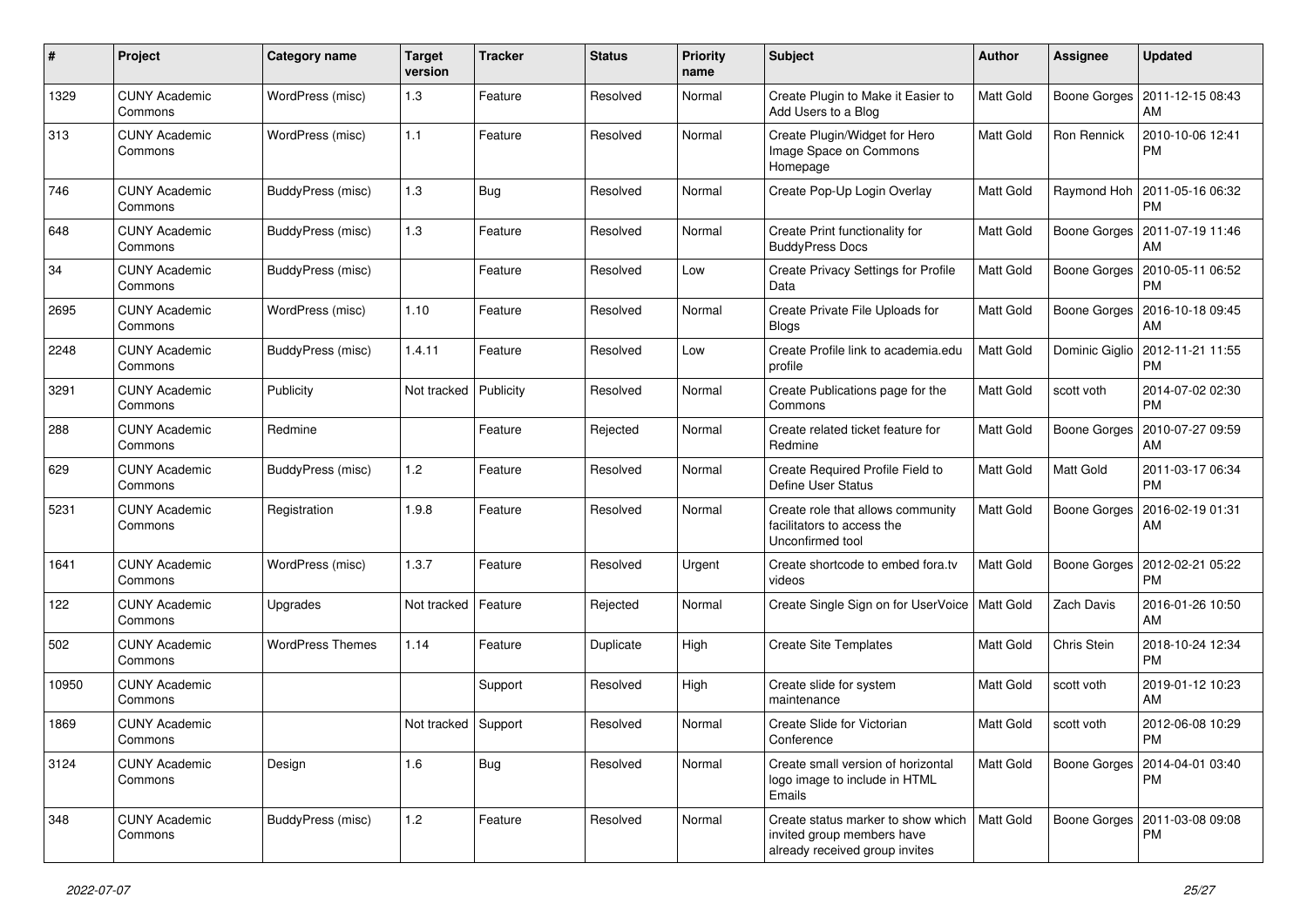| $\pmb{\#}$ | Project                         | <b>Category name</b>    | <b>Target</b><br>version | <b>Tracker</b> | <b>Status</b> | <b>Priority</b><br>name | <b>Subject</b>                                                                                     | Author    | Assignee     | <b>Updated</b>                                 |
|------------|---------------------------------|-------------------------|--------------------------|----------------|---------------|-------------------------|----------------------------------------------------------------------------------------------------|-----------|--------------|------------------------------------------------|
| 1329       | <b>CUNY Academic</b><br>Commons | WordPress (misc)        | 1.3                      | Feature        | Resolved      | Normal                  | Create Plugin to Make it Easier to<br>Add Users to a Blog                                          | Matt Gold | Boone Gorges | 2011-12-15 08:43<br>AM                         |
| 313        | <b>CUNY Academic</b><br>Commons | WordPress (misc)        | $1.1$                    | Feature        | Resolved      | Normal                  | Create Plugin/Widget for Hero<br>Image Space on Commons<br>Homepage                                | Matt Gold | Ron Rennick  | 2010-10-06 12:41<br><b>PM</b>                  |
| 746        | <b>CUNY Academic</b><br>Commons | BuddyPress (misc)       | 1.3                      | <b>Bug</b>     | Resolved      | Normal                  | Create Pop-Up Login Overlay                                                                        | Matt Gold | Raymond Hoh  | 2011-05-16 06:32<br><b>PM</b>                  |
| 648        | <b>CUNY Academic</b><br>Commons | BuddyPress (misc)       | 1.3                      | Feature        | Resolved      | Normal                  | Create Print functionality for<br><b>BuddyPress Docs</b>                                           | Matt Gold | Boone Gorges | 2011-07-19 11:46<br>AM                         |
| 34         | <b>CUNY Academic</b><br>Commons | BuddyPress (misc)       |                          | Feature        | Resolved      | Low                     | Create Privacy Settings for Profile<br>Data                                                        | Matt Gold | Boone Gorges | 2010-05-11 06:52<br><b>PM</b>                  |
| 2695       | <b>CUNY Academic</b><br>Commons | WordPress (misc)        | 1.10                     | Feature        | Resolved      | Normal                  | Create Private File Uploads for<br><b>Blogs</b>                                                    | Matt Gold | Boone Gorges | 2016-10-18 09:45<br>AM                         |
| 2248       | <b>CUNY Academic</b><br>Commons | BuddyPress (misc)       | 1.4.11                   | Feature        | Resolved      | Low                     | Create Profile link to academia.edu<br>profile                                                     | Matt Gold |              | Dominic Giglio   2012-11-21 11:55<br><b>PM</b> |
| 3291       | <b>CUNY Academic</b><br>Commons | Publicity               | Not tracked              | Publicity      | Resolved      | Normal                  | Create Publications page for the<br>Commons                                                        | Matt Gold | scott voth   | 2014-07-02 02:30<br><b>PM</b>                  |
| 288        | <b>CUNY Academic</b><br>Commons | Redmine                 |                          | Feature        | Rejected      | Normal                  | Create related ticket feature for<br>Redmine                                                       | Matt Gold | Boone Gorges | 2010-07-27 09:59<br>AM                         |
| 629        | <b>CUNY Academic</b><br>Commons | BuddyPress (misc)       | $1.2$                    | Feature        | Resolved      | Normal                  | Create Required Profile Field to<br>Define User Status                                             | Matt Gold | Matt Gold    | 2011-03-17 06:34<br><b>PM</b>                  |
| 5231       | <b>CUNY Academic</b><br>Commons | Registration            | 1.9.8                    | Feature        | Resolved      | Normal                  | Create role that allows community<br>facilitators to access the<br>Unconfirmed tool                | Matt Gold | Boone Gorges | 2016-02-19 01:31<br>AM                         |
| 1641       | <b>CUNY Academic</b><br>Commons | WordPress (misc)        | 1.3.7                    | Feature        | Resolved      | Urgent                  | Create shortcode to embed fora.tv<br>videos                                                        | Matt Gold | Boone Gorges | 2012-02-21 05:22<br><b>PM</b>                  |
| 122        | <b>CUNY Academic</b><br>Commons | Upgrades                | Not tracked              | Feature        | Rejected      | Normal                  | Create Single Sign on for UserVoice   Matt Gold                                                    |           | Zach Davis   | 2016-01-26 10:50<br>AM                         |
| 502        | <b>CUNY Academic</b><br>Commons | <b>WordPress Themes</b> | 1.14                     | Feature        | Duplicate     | High                    | <b>Create Site Templates</b>                                                                       | Matt Gold | Chris Stein  | 2018-10-24 12:34<br><b>PM</b>                  |
| 10950      | <b>CUNY Academic</b><br>Commons |                         |                          | Support        | Resolved      | High                    | Create slide for system<br>maintenance                                                             | Matt Gold | scott voth   | 2019-01-12 10:23<br>AM                         |
| 1869       | <b>CUNY Academic</b><br>Commons |                         | Not tracked Support      |                | Resolved      | Normal                  | Create Slide for Victorian<br>Conference                                                           | Matt Gold | scott voth   | 2012-06-08 10:29<br>PM                         |
| 3124       | <b>CUNY Academic</b><br>Commons | Design                  | 1.6                      | Bug            | Resolved      | Normal                  | Create small version of horizontal<br>logo image to include in HTML<br>Emails                      | Matt Gold | Boone Gorges | 2014-04-01 03:40<br>PM                         |
| 348        | <b>CUNY Academic</b><br>Commons | BuddyPress (misc)       | 1.2                      | Feature        | Resolved      | Normal                  | Create status marker to show which<br>invited group members have<br>already received group invites | Matt Gold |              | Boone Gorges   2011-03-08 09:08<br>PM          |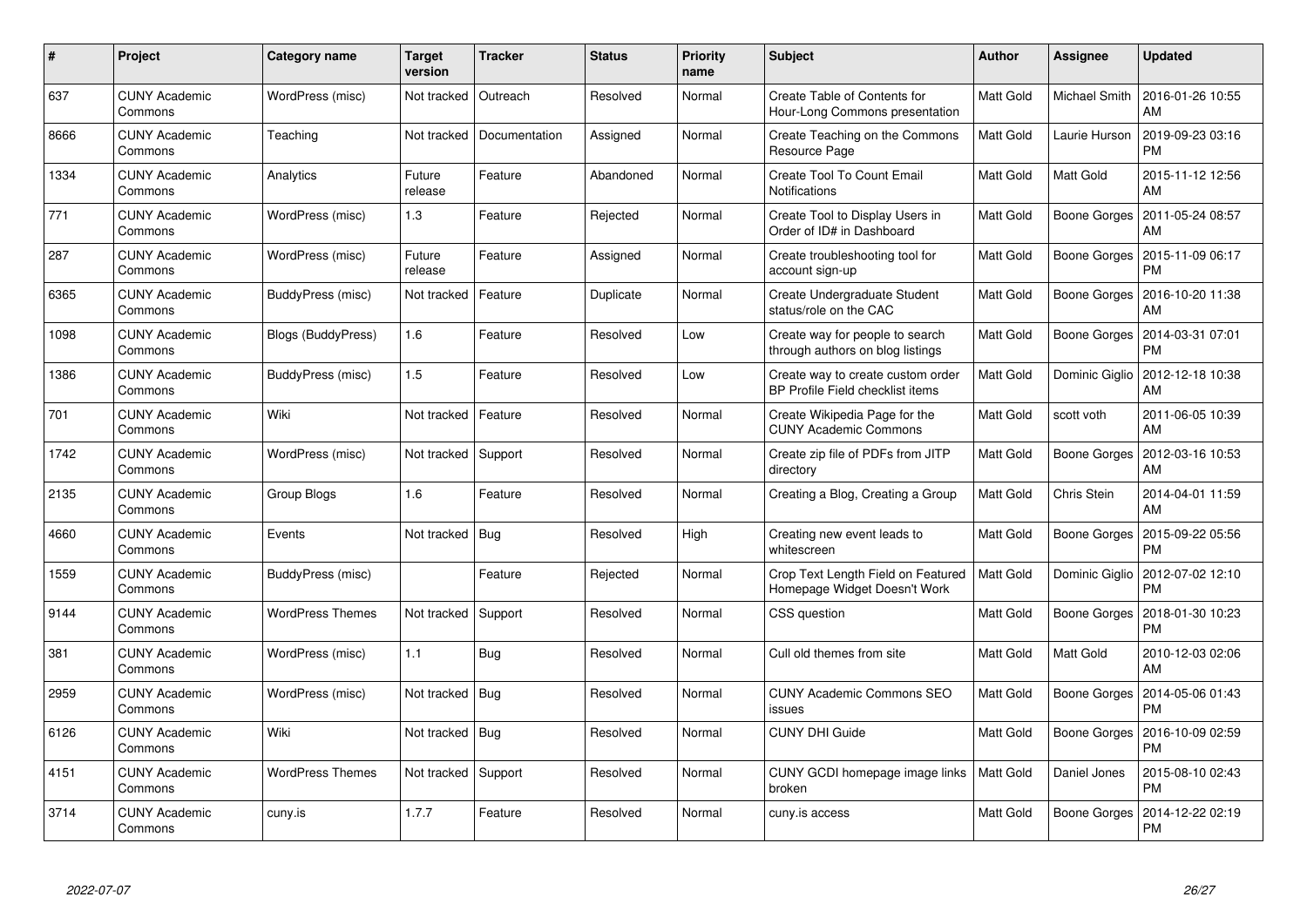| #    | Project                         | <b>Category name</b>      | <b>Target</b><br>version | <b>Tracker</b> | <b>Status</b> | <b>Priority</b><br>name | <b>Subject</b>                                                        | <b>Author</b>    | Assignee       | <b>Updated</b>                |
|------|---------------------------------|---------------------------|--------------------------|----------------|---------------|-------------------------|-----------------------------------------------------------------------|------------------|----------------|-------------------------------|
| 637  | <b>CUNY Academic</b><br>Commons | WordPress (misc)          | Not tracked              | Outreach       | Resolved      | Normal                  | Create Table of Contents for<br>Hour-Long Commons presentation        | Matt Gold        | Michael Smith  | 2016-01-26 10:55<br>AM        |
| 8666 | <b>CUNY Academic</b><br>Commons | Teaching                  | Not tracked              | Documentation  | Assigned      | Normal                  | Create Teaching on the Commons<br>Resource Page                       | Matt Gold        | Laurie Hurson  | 2019-09-23 03:16<br>PM        |
| 1334 | <b>CUNY Academic</b><br>Commons | Analytics                 | Future<br>release        | Feature        | Abandoned     | Normal                  | Create Tool To Count Email<br>Notifications                           | Matt Gold        | Matt Gold      | 2015-11-12 12:56<br>AM        |
| 771  | <b>CUNY Academic</b><br>Commons | WordPress (misc)          | 1.3                      | Feature        | Rejected      | Normal                  | Create Tool to Display Users in<br>Order of ID# in Dashboard          | Matt Gold        | Boone Gorges   | 2011-05-24 08:57<br>AM        |
| 287  | <b>CUNY Academic</b><br>Commons | WordPress (misc)          | Future<br>release        | Feature        | Assigned      | Normal                  | Create troubleshooting tool for<br>account sign-up                    | Matt Gold        | Boone Gorges   | 2015-11-09 06:17<br><b>PM</b> |
| 6365 | <b>CUNY Academic</b><br>Commons | BuddyPress (misc)         | Not tracked              | Feature        | Duplicate     | Normal                  | Create Undergraduate Student<br>status/role on the CAC                | Matt Gold        | Boone Gorges   | 2016-10-20 11:38<br>AM        |
| 1098 | <b>CUNY Academic</b><br>Commons | <b>Blogs (BuddyPress)</b> | 1.6                      | Feature        | Resolved      | Low                     | Create way for people to search<br>through authors on blog listings   | Matt Gold        | Boone Gorges   | 2014-03-31 07:01<br>PM        |
| 1386 | <b>CUNY Academic</b><br>Commons | BuddyPress (misc)         | 1.5                      | Feature        | Resolved      | Low                     | Create way to create custom order<br>BP Profile Field checklist items | Matt Gold        | Dominic Giglio | 2012-12-18 10:38<br>AM        |
| 701  | <b>CUNY Academic</b><br>Commons | Wiki                      | Not tracked              | Feature        | Resolved      | Normal                  | Create Wikipedia Page for the<br><b>CUNY Academic Commons</b>         | Matt Gold        | scott voth     | 2011-06-05 10:39<br>AM        |
| 1742 | <b>CUNY Academic</b><br>Commons | WordPress (misc)          | Not tracked              | Support        | Resolved      | Normal                  | Create zip file of PDFs from JITP<br>directory                        | Matt Gold        | Boone Gorges   | 2012-03-16 10:53<br>AM        |
| 2135 | <b>CUNY Academic</b><br>Commons | Group Blogs               | 1.6                      | Feature        | Resolved      | Normal                  | Creating a Blog, Creating a Group                                     | Matt Gold        | Chris Stein    | 2014-04-01 11:59<br>AM        |
| 4660 | <b>CUNY Academic</b><br>Commons | Events                    | Not tracked              | Bug            | Resolved      | High                    | Creating new event leads to<br>whitescreen                            | Matt Gold        | Boone Gorges   | 2015-09-22 05:56<br>РM        |
| 1559 | <b>CUNY Academic</b><br>Commons | BuddyPress (misc)         |                          | Feature        | Rejected      | Normal                  | Crop Text Length Field on Featured<br>Homepage Widget Doesn't Work    | <b>Matt Gold</b> | Dominic Giglio | 2012-07-02 12:10<br>PM        |
| 9144 | <b>CUNY Academic</b><br>Commons | <b>WordPress Themes</b>   | Not tracked              | Support        | Resolved      | Normal                  | CSS question                                                          | Matt Gold        | Boone Gorges   | 2018-01-30 10:23<br>PM        |
| 381  | <b>CUNY Academic</b><br>Commons | WordPress (misc)          | 1.1                      | Bug            | Resolved      | Normal                  | Cull old themes from site                                             | Matt Gold        | Matt Gold      | 2010-12-03 02:06<br>AM        |
| 2959 | <b>CUNY Academic</b><br>Commons | WordPress (misc)          | Not tracked              | Bug            | Resolved      | Normal                  | <b>CUNY Academic Commons SEO</b><br>issues                            | Matt Gold        | Boone Gorges   | 2014-05-06 01:43<br><b>PM</b> |
| 6126 | <b>CUNY Academic</b><br>Commons | Wiki                      | Not tracked              | Bug            | Resolved      | Normal                  | <b>CUNY DHI Guide</b>                                                 | Matt Gold        | Boone Gorges   | 2016-10-09 02:59<br>PM        |
| 4151 | <b>CUNY Academic</b><br>Commons | <b>WordPress Themes</b>   | Not tracked              | Support        | Resolved      | Normal                  | CUNY GCDI homepage image links<br>broken                              | Matt Gold        | Daniel Jones   | 2015-08-10 02:43<br>PM        |
| 3714 | <b>CUNY Academic</b><br>Commons | cuny.is                   | 1.7.7                    | Feature        | Resolved      | Normal                  | cuny.is access                                                        | Matt Gold        | Boone Gorges   | 2014-12-22 02:19<br>PM        |